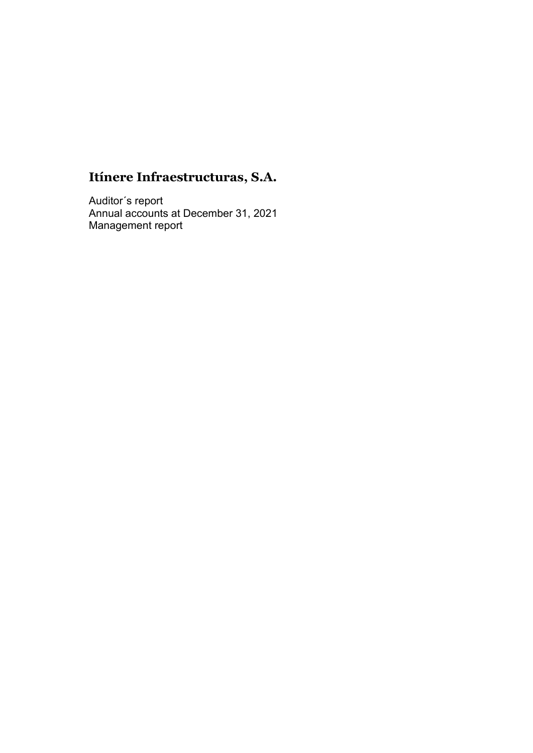Auditor´s report Annual accounts at December 31, 2021 Management report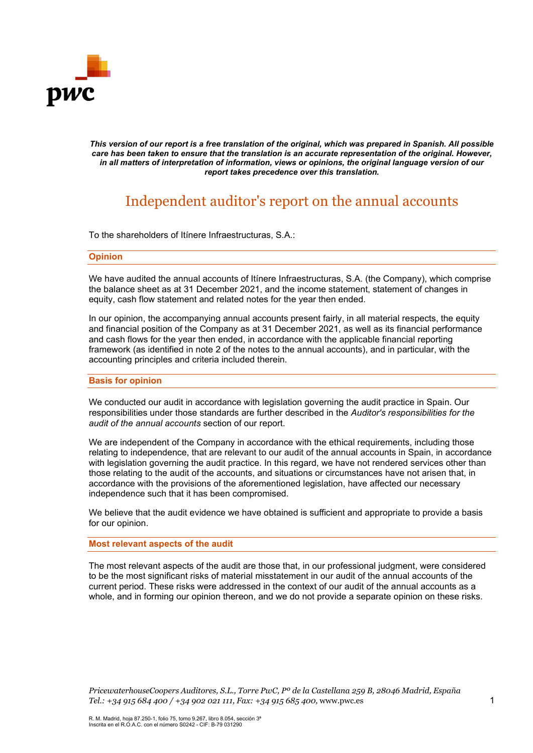

*This version of our report is a free translation of the original, which was prepared in Spanish. All possible care has been taken to ensure that the translation is an accurate representation of the original. However, in all matters of interpretation of information, views or opinions, the original language version of our report takes precedence over this translation.*

# Independent auditor's report on the annual accounts

To the shareholders of Itínere Infraestructuras, S.A.:

#### **Opinion**

We have audited the annual accounts of Itínere Infraestructuras, S.A. (the Company), which comprise the balance sheet as at 31 December 2021, and the income statement, statement of changes in equity, cash flow statement and related notes for the year then ended.

In our opinion, the accompanying annual accounts present fairly, in all material respects, the equity and financial position of the Company as at 31 December 2021, as well as its financial performance and cash flows for the year then ended, in accordance with the applicable financial reporting framework (as identified in note 2 of the notes to the annual accounts), and in particular, with the accounting principles and criteria included therein.

#### **Basis for opinion**

We conducted our audit in accordance with legislation governing the audit practice in Spain. Our responsibilities under those standards are further described in the *Auditor's responsibilities for the audit of the annual accounts* section of our report.

We are independent of the Company in accordance with the ethical requirements, including those relating to independence, that are relevant to our audit of the annual accounts in Spain, in accordance with legislation governing the audit practice. In this regard, we have not rendered services other than those relating to the audit of the accounts, and situations or circumstances have not arisen that, in accordance with the provisions of the aforementioned legislation, have affected our necessary independence such that it has been compromised.

We believe that the audit evidence we have obtained is sufficient and appropriate to provide a basis for our opinion.

#### **Most relevant aspects of the audit**

The most relevant aspects of the audit are those that, in our professional judgment, were considered to be the most significant risks of material misstatement in our audit of the annual accounts of the current period. These risks were addressed in the context of our audit of the annual accounts as a whole, and in forming our opinion thereon, and we do not provide a separate opinion on these risks.

*PricewaterhouseCoopers Auditores, S.L., Torre PwC, Pº de la Castellana 259 B, 28046 Madrid, España Tel.:* +34 915 684 400 / +34 902 021 111, *Fax:* +34 915 685 400, www.pwc.es 1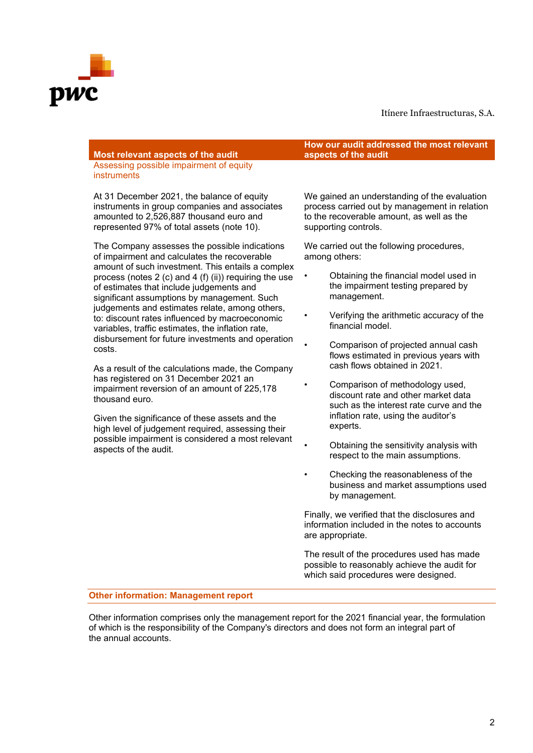

### **Most relevant aspects of the audit** Assessing possible impairment of equity instruments

At 31 December 2021, the balance of equity instruments in group companies and associates amounted to 2,526,887 thousand euro and represented 97% of total assets (note 10).

The Company assesses the possible indications of impairment and calculates the recoverable amount of such investment. This entails a complex process (notes 2 (c) and 4 (f) (ii)) requiring the use of estimates that include judgements and significant assumptions by management. Such judgements and estimates relate, among others, to: discount rates influenced by macroeconomic variables, traffic estimates, the inflation rate, disbursement for future investments and operation costs.

As a result of the calculations made, the Company has registered on 31 December 2021 an impairment reversion of an amount of 225,178 thousand euro.

Given the significance of these assets and the high level of judgement required, assessing their possible impairment is considered a most relevant aspects of the audit.

**How our audit addressed the most relevant aspects of the audit**

We gained an understanding of the evaluation process carried out by management in relation to the recoverable amount, as well as the supporting controls.

We carried out the following procedures, among others:

- Obtaining the financial model used in the impairment testing prepared by management.
- Verifying the arithmetic accuracy of the financial model.
- Comparison of projected annual cash flows estimated in previous years with cash flows obtained in 2021.
- Comparison of methodology used, discount rate and other market data such as the interest rate curve and the inflation rate, using the auditor's experts.
- Obtaining the sensitivity analysis with respect to the main assumptions.
- Checking the reasonableness of the business and market assumptions used by management.

Finally, we verified that the disclosures and information included in the notes to accounts are appropriate.

The result of the procedures used has made possible to reasonably achieve the audit for which said procedures were designed.

#### **Other information: Management report**

Other information comprises only the management report for the 2021 financial year, the formulation of which is the responsibility of the Company's directors and does not form an integral part of the annual accounts.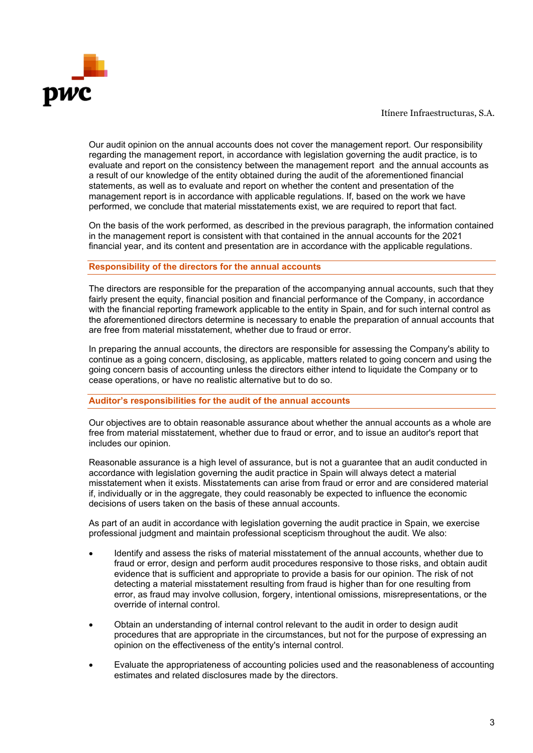

Our audit opinion on the annual accounts does not cover the management report. Our responsibility regarding the management report, in accordance with legislation governing the audit practice, is to evaluate and report on the consistency between the management report and the annual accounts as a result of our knowledge of the entity obtained during the audit of the aforementioned financial statements, as well as to evaluate and report on whether the content and presentation of the management report is in accordance with applicable regulations. If, based on the work we have performed, we conclude that material misstatements exist, we are required to report that fact.

On the basis of the work performed, as described in the previous paragraph, the information contained in the management report is consistent with that contained in the annual accounts for the 2021 financial year, and its content and presentation are in accordance with the applicable regulations.

#### **Responsibility of the directors for the annual accounts**

The directors are responsible for the preparation of the accompanying annual accounts, such that they fairly present the equity, financial position and financial performance of the Company, in accordance with the financial reporting framework applicable to the entity in Spain, and for such internal control as the aforementioned directors determine is necessary to enable the preparation of annual accounts that are free from material misstatement, whether due to fraud or error.

In preparing the annual accounts, the directors are responsible for assessing the Company's ability to continue as a going concern, disclosing, as applicable, matters related to going concern and using the going concern basis of accounting unless the directors either intend to liquidate the Company or to cease operations, or have no realistic alternative but to do so.

#### **Auditor's responsibilities for the audit of the annual accounts**

Our objectives are to obtain reasonable assurance about whether the annual accounts as a whole are free from material misstatement, whether due to fraud or error, and to issue an auditor's report that includes our opinion.

Reasonable assurance is a high level of assurance, but is not a guarantee that an audit conducted in accordance with legislation governing the audit practice in Spain will always detect a material misstatement when it exists. Misstatements can arise from fraud or error and are considered material if, individually or in the aggregate, they could reasonably be expected to influence the economic decisions of users taken on the basis of these annual accounts.

As part of an audit in accordance with legislation governing the audit practice in Spain, we exercise professional judgment and maintain professional scepticism throughout the audit. We also:

- Identify and assess the risks of material misstatement of the annual accounts, whether due to fraud or error, design and perform audit procedures responsive to those risks, and obtain audit evidence that is sufficient and appropriate to provide a basis for our opinion. The risk of not detecting a material misstatement resulting from fraud is higher than for one resulting from error, as fraud may involve collusion, forgery, intentional omissions, misrepresentations, or the override of internal control.
- Obtain an understanding of internal control relevant to the audit in order to design audit procedures that are appropriate in the circumstances, but not for the purpose of expressing an opinion on the effectiveness of the entity's internal control.
- Evaluate the appropriateness of accounting policies used and the reasonableness of accounting estimates and related disclosures made by the directors.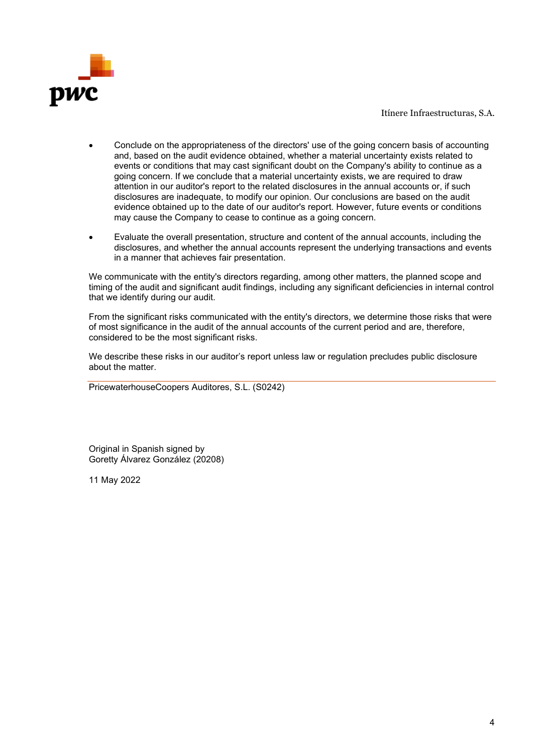

- Conclude on the appropriateness of the directors' use of the going concern basis of accounting and, based on the audit evidence obtained, whether a material uncertainty exists related to events or conditions that may cast significant doubt on the Company's ability to continue as a going concern. If we conclude that a material uncertainty exists, we are required to draw attention in our auditor's report to the related disclosures in the annual accounts or, if such disclosures are inadequate, to modify our opinion. Our conclusions are based on the audit evidence obtained up to the date of our auditor's report. However, future events or conditions may cause the Company to cease to continue as a going concern.
- Evaluate the overall presentation, structure and content of the annual accounts, including the disclosures, and whether the annual accounts represent the underlying transactions and events in a manner that achieves fair presentation.

We communicate with the entity's directors regarding, among other matters, the planned scope and timing of the audit and significant audit findings, including any significant deficiencies in internal control that we identify during our audit.

From the significant risks communicated with the entity's directors, we determine those risks that were of most significance in the audit of the annual accounts of the current period and are, therefore, considered to be the most significant risks.

We describe these risks in our auditor's report unless law or regulation precludes public disclosure about the matter.

PricewaterhouseCoopers Auditores, S.L. (S0242)

Original in Spanish signed by Goretty Álvarez González (20208)

11 May 2022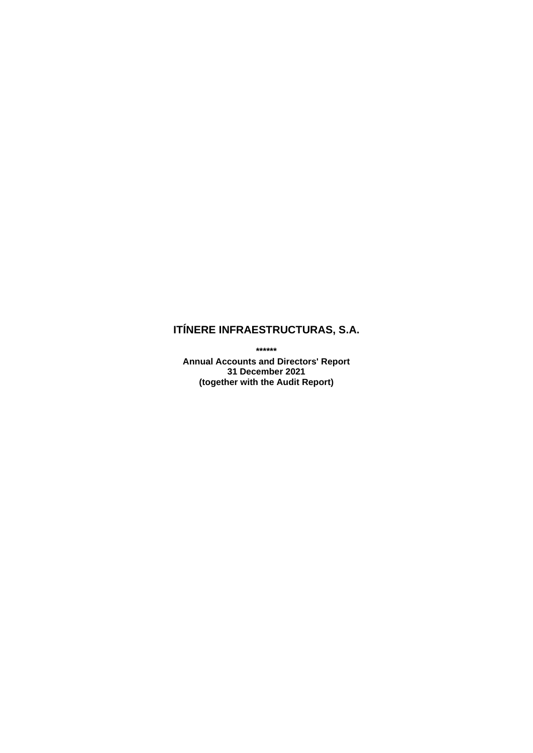**\*\*\*\*\*\***

**Annual Accounts and Directors' Report 31 December 2021 (together with the Audit Report)**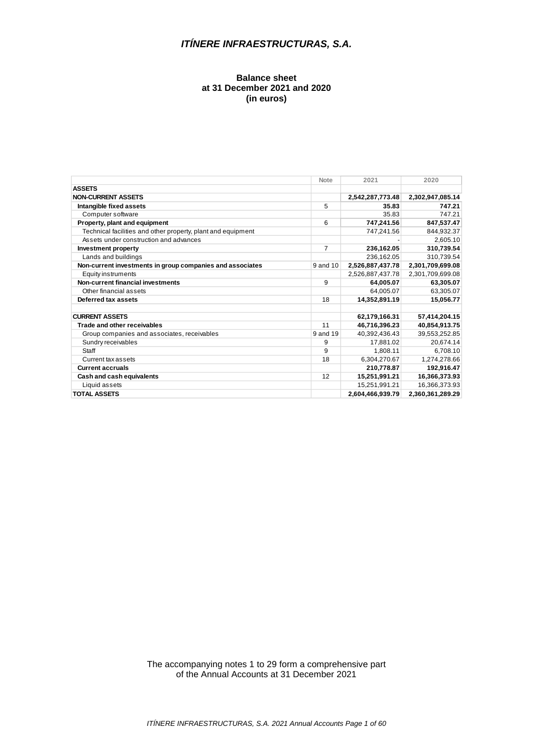#### **Balance sheet at 31 December 2021 and 2020 (in euros)**

|                                                              | <b>Note</b>    | 2021             | 2020             |
|--------------------------------------------------------------|----------------|------------------|------------------|
| <b>ASSETS</b>                                                |                |                  |                  |
| <b>NON-CURRENT ASSETS</b>                                    |                | 2,542,287,773.48 | 2,302,947,085.14 |
| Intangible fixed assets                                      | 5              | 35.83            | 747.21           |
| Computer software                                            |                | 35.83            | 747.21           |
| Property, plant and equipment                                | 6              | 747,241.56       | 847,537.47       |
| Technical facilities and other property, plant and equipment |                | 747.241.56       | 844,932.37       |
| Assets under construction and advances                       |                |                  | 2.605.10         |
| <b>Investment property</b>                                   | $\overline{7}$ | 236,162.05       | 310,739.54       |
| Lands and buildings                                          |                | 236.162.05       | 310,739.54       |
| Non-current investments in group companies and associates    | 9 and 10       | 2,526,887,437.78 | 2,301,709,699.08 |
| <b>Equity instruments</b>                                    |                | 2,526,887,437.78 | 2,301,709,699.08 |
| Non-current financial investments                            | 9              | 64,005.07        | 63,305.07        |
| Other financial assets                                       |                | 64.005.07        | 63,305.07        |
| Deferred tax assets                                          | 18             | 14,352,891.19    | 15,056.77        |
|                                                              |                |                  |                  |
| <b>CURRENT ASSETS</b>                                        |                | 62,179,166.31    | 57,414,204.15    |
| Trade and other receivables                                  | 11             | 46,716,396.23    | 40,854,913.75    |
| Group companies and associates, receivables                  | 9 and 19       | 40,392,436.43    | 39,553,252.85    |
| Sundry receivables                                           | 9              | 17.881.02        | 20,674.14        |
| Staff                                                        | 9              | 1,808.11         | 6.708.10         |
| Current tax assets                                           | 18             | 6,304,270.67     | 1,274,278.66     |
| <b>Current accruals</b>                                      |                | 210.778.87       | 192,916.47       |
| Cash and cash equivalents                                    | 12             | 15,251,991.21    | 16,366,373.93    |
| Liquid assets                                                |                | 15,251,991.21    | 16,366,373.93    |
| <b>TOTAL ASSETS</b>                                          |                | 2,604,466,939.79 | 2,360,361,289.29 |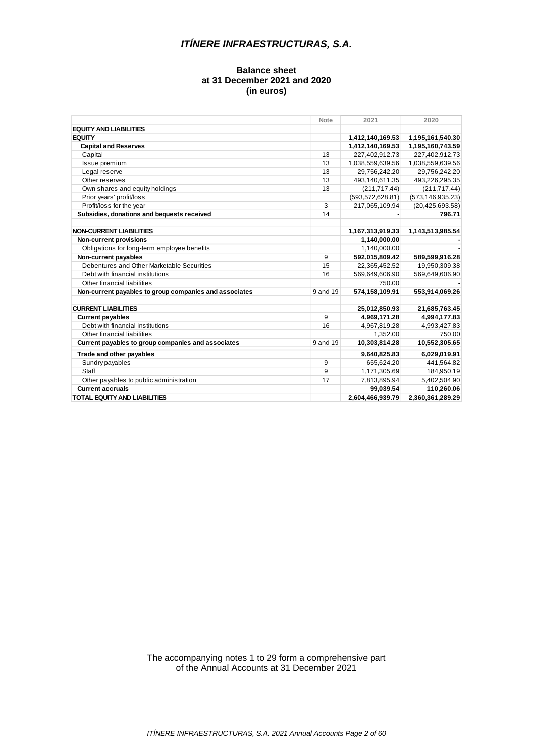#### **Balance sheet at 31 December 2021 and 2020 (in euros)**

|                                                        | <b>Note</b> | 2021               | 2020               |
|--------------------------------------------------------|-------------|--------------------|--------------------|
| <b>EQUITY AND LIABILITIES</b>                          |             |                    |                    |
| <b>EQUITY</b>                                          |             | 1,412,140,169.53   | 1,195,161,540.30   |
| <b>Capital and Reserves</b>                            |             | 1,412,140,169.53   | 1,195,160,743.59   |
| Capital                                                | 13          | 227,402,912.73     | 227,402,912.73     |
| Issue premium                                          | 13          | 1,038,559,639.56   | 1,038,559,639.56   |
| Legal reserve                                          | 13          | 29,756,242.20      | 29,756,242.20      |
| Other reserves                                         | 13          | 493,140,611.35     | 493,226,295.35     |
| Own shares and equity holdings                         | 13          | (211, 717.44)      | (211, 717.44)      |
| Prior years' profit/loss                               |             | (593, 572, 628.81) | (573, 146, 935.23) |
| Profit/loss for the year                               | 3           | 217,065,109.94     | (20, 425, 693.58)  |
| Subsidies, donations and bequests received             | 14          |                    | 796.71             |
| <b>NON-CURRENT LIABILITIES</b>                         |             | 1,167,313,919.33   | 1,143,513,985.54   |
| <b>Non-current provisions</b>                          |             | 1,140,000.00       |                    |
| Obligations for long-term employee benefits            |             | 1,140,000.00       |                    |
| Non-current payables                                   | 9           | 592,015,809.42     | 589,599,916.28     |
| Debentures and Other Marketable Securities             | 15          | 22,365,452.52      | 19,950,309.38      |
| Debt with financial institutions                       | 16          | 569,649,606.90     | 569,649,606.90     |
| Other financial liabilities                            |             | 750.00             |                    |
| Non-current payables to group companies and associates | 9 and 19    | 574,158,109.91     | 553,914,069.26     |
| <b>CURRENT LIABILITIES</b>                             |             | 25,012,850.93      | 21,685,763.45      |
| <b>Current payables</b>                                | 9           | 4,969,171.28       | 4,994,177.83       |
| Debt with financial institutions                       | 16          | 4,967,819.28       | 4,993,427.83       |
| Other financial liabilities                            |             | 1,352.00           | 750.00             |
| Current payables to group companies and associates     | 9 and 19    | 10,303,814.28      | 10,552,305.65      |
| Trade and other payables                               |             | 9,640,825.83       | 6,029,019.91       |
| Sundry payables                                        | 9           | 655,624.20         | 441,564.82         |
| Staff                                                  | 9           | 1,171,305.69       | 184,950.19         |
| Other payables to public administration                | 17          | 7,813,895.94       | 5,402,504.90       |
| <b>Current accruals</b>                                |             | 99,039.54          | 110,260.06         |
| <b>TOTAL EQUITY AND LIABILITIES</b>                    |             | 2,604,466,939.79   | 2,360,361,289.29   |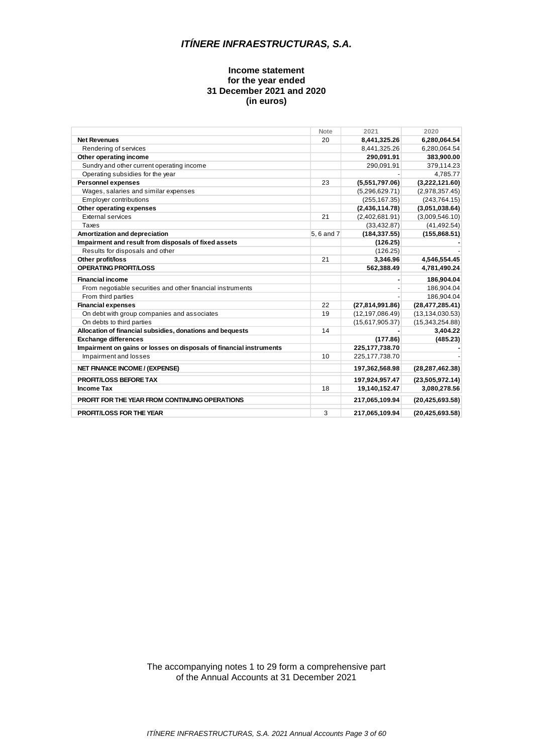#### **Income statement for the year ended 31 December 2021 and 2020 (in euros)**

|                                                                     | <b>Note</b> | 2021              | 2020              |
|---------------------------------------------------------------------|-------------|-------------------|-------------------|
| <b>Net Revenues</b>                                                 | 20          | 8,441,325.26      | 6,280,064.54      |
| Rendering of services                                               |             | 8,441,325.26      | 6,280,064.54      |
| Other operating income                                              |             | 290,091.91        | 383,900.00        |
| Sundry and other current operating income                           |             | 290,091.91        | 379,114.23        |
| Operating subsidies for the year                                    |             |                   | 4.785.77          |
| <b>Personnel expenses</b>                                           | 23          | (5,551,797.06)    | (3,222,121.60)    |
| Wages, salaries and similar expenses                                |             | (5,296,629.71)    | (2,978,357.45)    |
| <b>Employer contributions</b>                                       |             | (255, 167.35)     | (243, 764.15)     |
| Other operating expenses                                            |             | (2,436,114.78)    | (3,051,038.64)    |
| External services                                                   | 21          | (2,402,681.91)    | (3,009,546.10)    |
| Taxes                                                               |             | (33, 432.87)      | (41, 492.54)      |
| Amortization and depreciation                                       | 5, 6 and 7  | (184, 337.55)     | (155, 868.51)     |
| Impairment and result from disposals of fixed assets                |             | (126.25)          |                   |
| Results for disposals and other                                     |             | (126.25)          |                   |
| Other profit/loss                                                   | 21          | 3,346.96          | 4,546,554.45      |
| <b>OPERATING PROFIT/LOSS</b>                                        |             | 562,388.49        | 4,781,490.24      |
| <b>Financial income</b>                                             |             |                   | 186,904.04        |
| From negotiable securities and other financial instruments          |             |                   | 186,904.04        |
| From third parties                                                  |             |                   | 186,904.04        |
| <b>Financial expenses</b>                                           | 22          | (27, 814, 991.86) | (28, 477, 285.41) |
| On debt with group companies and associates                         | 19          | (12, 197, 086.49) | (13, 134, 030.53) |
| On debts to third parties                                           |             | (15.617.905.37)   | (15,343,254.88)   |
| Allocation of financial subsidies, donations and bequests           | 14          |                   | 3,404.22          |
| <b>Exchange differences</b>                                         |             | (177.86)          | (485.23)          |
| Impairment on gains or losses on disposals of financial instruments |             | 225, 177, 738. 70 |                   |
| Impairment and losses                                               | 10          | 225, 177, 738. 70 |                   |
| <b>NET FINANCE INCOME / (EXPENSE)</b>                               |             | 197,362,568.98    | (28, 287, 462.38) |
| PROFIT/LOSS BEFORE TAX                                              |             | 197,924,957.47    | (23,505,972.14)   |
| <b>Income Tax</b>                                                   | 18          | 19,140,152.47     | 3,080,278.56      |
| <b>PROFIT FOR THE YEAR FROM CONTINUING OPERATIONS</b>               |             | 217,065,109.94    | (20, 425, 693.58) |
| <b>PROFIT/LOSS FOR THE YEAR</b>                                     | 3           | 217,065,109.94    | (20, 425, 693.58) |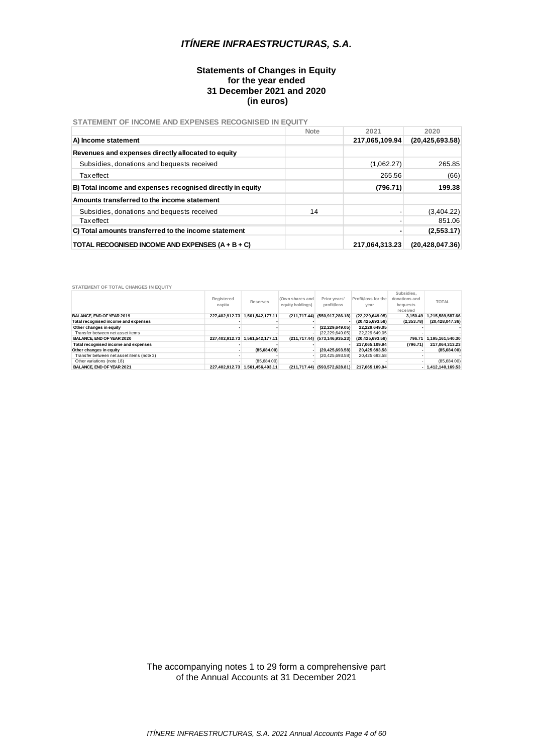#### **Statements of Changes in Equity for the year ended 31 December 2021 and 2020 (in euros)**

**STATEMENT OF INCOME AND EXPENSES RECOGNISED IN EQUITY**

|                                                            | <b>Note</b> | 2021           | 2020              |
|------------------------------------------------------------|-------------|----------------|-------------------|
| A) Income statement                                        |             | 217,065,109.94 | (20, 425, 693.58) |
| Revenues and expenses directly allocated to equity         |             |                |                   |
| Subsidies, donations and bequests received                 |             | (1,062.27)     | 265.85            |
| Tax effect                                                 |             | 265.56         | (66)              |
| B) Total income and expenses recognised directly in equity |             | (796.71)       | 199.38            |
| Amounts transferred to the income statement                |             |                |                   |
| Subsidies, donations and bequests received                 | 14          |                | (3,404.22)        |
| Tax effect                                                 |             |                | 851.06            |
| C) Total amounts transferred to the income statement       |             |                | (2,553.17)        |
| TOTAL RECOGNISED INCOME AND EXPENSES $(A + B + C)$         |             | 217.064.313.23 | (20, 428, 047.36) |

**STATEMENT OF TOTAL CHANGES IN EQUITY**

|                                           | Registered<br>capita | Reserves         | (Own shares and<br>equity holdings) | Prior years'<br>profit/loss   | Profit/loss for the<br>vear | Subsidies,<br>donations and<br>bequests<br>received | <b>TOTAL</b>      |
|-------------------------------------------|----------------------|------------------|-------------------------------------|-------------------------------|-----------------------------|-----------------------------------------------------|-------------------|
| BALANCE. END OF YEAR 2019                 | 227.402.912.73       | 1,561,542,177.11 |                                     | (211,717.44) (550,917,286.18) | (22, 229, 649.05)           | 3.150.49                                            | 1,215,589,587.66  |
| Total recognised income and expenses      |                      |                  |                                     |                               | (20, 425, 693.58)           | (2,353.78)                                          | (20, 428, 047.36) |
| Other changes in equity                   |                      |                  |                                     | (22.229.649.05)               | 22.229.649.05               |                                                     |                   |
| Transfer between net asset items          |                      |                  |                                     | (22.229.649.05)               | 22.229.649.05               |                                                     |                   |
| <b>BALANCE, END OF YEAR 2020</b>          | 227.402.912.73       | 1.561.542.177.11 |                                     | (211,717.44) (573,146,935.23) | (20, 425, 693.58)           | 796.71                                              | 1,195,161,540.30  |
| Total recognised income and expenses      |                      |                  |                                     |                               | 217.065.109.94              | (796.71)                                            | 217.064.313.23    |
| Other changes in equity                   |                      | (85.684.00)      |                                     | (20.425.693.58)               | 20.425.693.58               |                                                     | (85.684.00)       |
| Transfer between net asset items (note 3) |                      |                  |                                     | (20.425.693.58)               | 20.425.693.58               |                                                     |                   |
| Other variations (note 18)                |                      | (85.684.00)      |                                     |                               |                             |                                                     | (85,684.00)       |
| BALANCE. END OF YEAR 2021                 | 227.402.912.73       | 1.561.456.493.11 |                                     | (211,717.44) (593,572,628.81) | 217.065.109.94              |                                                     | 1.412.140.169.53  |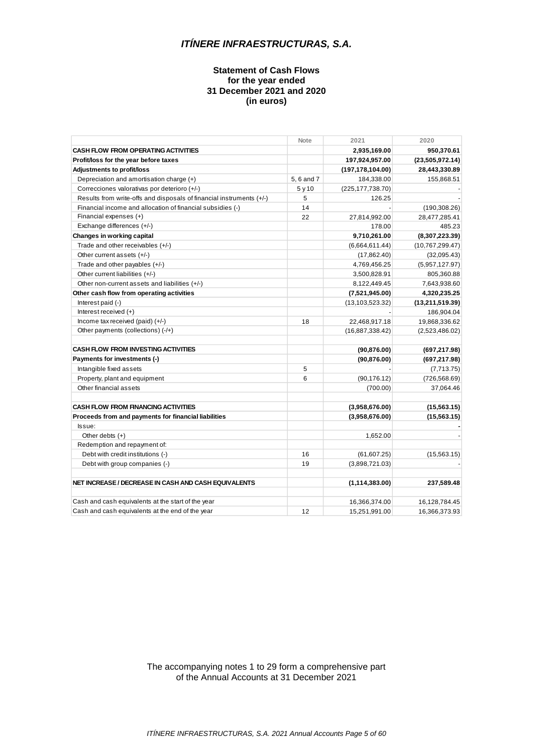#### **Statement of Cash Flows for the year ended 31 December 2021 and 2020 (in euros)**

|                                                                      | <b>Note</b> | 2021               | 2020              |
|----------------------------------------------------------------------|-------------|--------------------|-------------------|
| <b>CASH FLOW FROM OPERATING ACTIVITIES</b>                           |             | 2,935,169.00       | 950,370.61        |
| Profit/loss for the year before taxes                                |             | 197,924,957.00     | (23,505,972.14)   |
| <b>Adjustments to profit/loss</b>                                    |             | (197, 178, 104.00) | 28,443,330.89     |
| Depreciation and amortisation charge (+)                             | 5, 6 and 7  | 184,338.00         | 155,868.51        |
| Correcciones valorativas por deterioro (+/-)                         | 5y10        | (225, 177, 738.70) |                   |
| Results from write-offs and disposals of financial instruments (+/-) | 5           | 126.25             |                   |
| Financial income and allocation of financial subsidies (-)           | 14          |                    | (190,308.26)      |
| Financial expenses (+)                                               | 22          | 27,814,992.00      | 28,477,285.41     |
| Exchange differences (+/-)                                           |             | 178.00             | 485.23            |
| Changes in working capital                                           |             | 9,710,261.00       | (8,307,223.39)    |
| Trade and other receivables (+/-)                                    |             | (6,664,611.44)     | (10, 767, 299.47) |
| Other current assets (+/-)                                           |             | (17, 862.40)       | (32,095.43)       |
| Trade and other payables (+/-)                                       |             | 4,769,456.25       | (5,957,127.97)    |
| Other current liabilities (+/-)                                      |             | 3,500,828.91       | 805,360.88        |
| Other non-current assets and liabilities (+/-)                       |             | 8,122,449.45       | 7,643,938.60      |
| Other cash flow from operating activities                            |             | (7,521,945.00)     | 4,320,235.25      |
| Interest paid (-)                                                    |             | (13, 103, 523.32)  | (13,211,519.39)   |
| Interest received (+)                                                |             |                    | 186,904.04        |
| Income tax received (paid) (+/-)                                     | 18          | 22,468,917.18      | 19,868,336.62     |
| Other payments (collections) (-/+)                                   |             | (16, 887, 338.42)  | (2,523,486.02)    |
| <b>CASH FLOW FROM INVESTING ACTIVITIES</b>                           |             | (90, 876.00)       | (697, 217.98)     |
| Payments for investments (-)                                         |             | (90, 876.00)       | (697, 217.98)     |
| Intangible fixed assets                                              | 5           |                    | (7,713.75)        |
| Property, plant and equipment                                        | 6           | (90, 176.12)       | (726, 568.69)     |
| Other financial assets                                               |             | (700.00)           | 37,064.46         |
| <b>CASH FLOW FROM FINANCING ACTIVITIES</b>                           |             | (3,958,676.00)     | (15, 563.15)      |
| Proceeds from and payments for financial liabilities                 |             | (3,958,676.00)     | (15, 563.15)      |
| Issue:                                                               |             |                    |                   |
| Other debts $(+)$                                                    |             | 1,652.00           |                   |
| Redemption and repayment of:                                         |             |                    |                   |
| Debt with credit institutions (-)                                    | 16          | (61,607.25)        | (15, 563.15)      |
| Debt with group companies (-)                                        | 19          | (3,898,721.03)     |                   |
| NET INCREASE / DECREASE IN CASH AND CASH EQUIVALENTS                 |             | (1, 114, 383.00)   | 237,589.48        |
| Cash and cash equivalents at the start of the year                   |             | 16,366,374.00      | 16,128,784.45     |
| Cash and cash equivalents at the end of the year                     | 12          | 15,251,991.00      | 16,366,373.93     |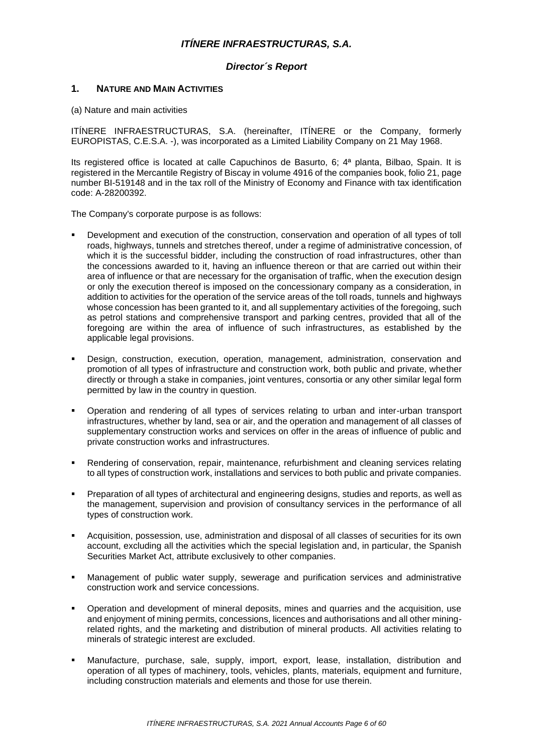## *Director´s Report*

## **1. NATURE AND MAIN ACTIVITIES**

(a) Nature and main activities

ITÍNERE INFRAESTRUCTURAS, S.A. (hereinafter, ITÍNERE or the Company, formerly EUROPISTAS, C.E.S.A. -), was incorporated as a Limited Liability Company on 21 May 1968.

Its registered office is located at calle Capuchinos de Basurto, 6; 4ª planta, Bilbao, Spain. It is registered in the Mercantile Registry of Biscay in volume 4916 of the companies book, folio 21, page number BI-519148 and in the tax roll of the Ministry of Economy and Finance with tax identification code: A-28200392.

The Company's corporate purpose is as follows:

- Development and execution of the construction, conservation and operation of all types of toll roads, highways, tunnels and stretches thereof, under a regime of administrative concession, of which it is the successful bidder, including the construction of road infrastructures, other than the concessions awarded to it, having an influence thereon or that are carried out within their area of influence or that are necessary for the organisation of traffic, when the execution design or only the execution thereof is imposed on the concessionary company as a consideration, in addition to activities for the operation of the service areas of the toll roads, tunnels and highways whose concession has been granted to it, and all supplementary activities of the foregoing, such as petrol stations and comprehensive transport and parking centres, provided that all of the foregoing are within the area of influence of such infrastructures, as established by the applicable legal provisions.
- Design, construction, execution, operation, management, administration, conservation and promotion of all types of infrastructure and construction work, both public and private, whether directly or through a stake in companies, joint ventures, consortia or any other similar legal form permitted by law in the country in question.
- Operation and rendering of all types of services relating to urban and inter-urban transport infrastructures, whether by land, sea or air, and the operation and management of all classes of supplementary construction works and services on offer in the areas of influence of public and private construction works and infrastructures.
- Rendering of conservation, repair, maintenance, refurbishment and cleaning services relating to all types of construction work, installations and services to both public and private companies.
- Preparation of all types of architectural and engineering designs, studies and reports, as well as the management, supervision and provision of consultancy services in the performance of all types of construction work.
- Acquisition, possession, use, administration and disposal of all classes of securities for its own account, excluding all the activities which the special legislation and, in particular, the Spanish Securities Market Act, attribute exclusively to other companies.
- Management of public water supply, sewerage and purification services and administrative construction work and service concessions.
- Operation and development of mineral deposits, mines and quarries and the acquisition, use and enjoyment of mining permits, concessions, licences and authorisations and all other miningrelated rights, and the marketing and distribution of mineral products. All activities relating to minerals of strategic interest are excluded.
- Manufacture, purchase, sale, supply, import, export, lease, installation, distribution and operation of all types of machinery, tools, vehicles, plants, materials, equipment and furniture, including construction materials and elements and those for use therein.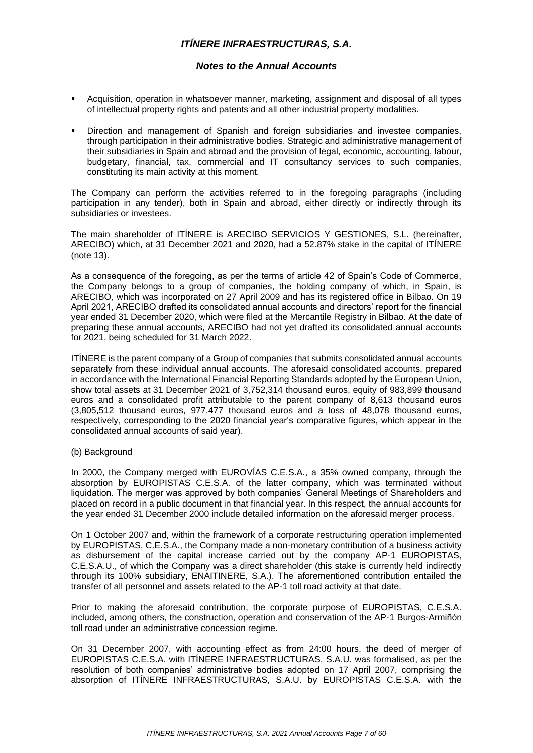### *Notes to the Annual Accounts*

- Acquisition, operation in whatsoever manner, marketing, assignment and disposal of all types of intellectual property rights and patents and all other industrial property modalities.
- Direction and management of Spanish and foreign subsidiaries and investee companies. through participation in their administrative bodies. Strategic and administrative management of their subsidiaries in Spain and abroad and the provision of legal, economic, accounting, labour, budgetary, financial, tax, commercial and IT consultancy services to such companies, constituting its main activity at this moment.

The Company can perform the activities referred to in the foregoing paragraphs (including participation in any tender), both in Spain and abroad, either directly or indirectly through its subsidiaries or investees.

The main shareholder of ITÍNERE is ARECIBO SERVICIOS Y GESTIONES, S.L. (hereinafter, ARECIBO) which, at 31 December 2021 and 2020, had a 52.87% stake in the capital of ITÍNERE (note 13).

As a consequence of the foregoing, as per the terms of article 42 of Spain's Code of Commerce, the Company belongs to a group of companies, the holding company of which, in Spain, is ARECIBO, which was incorporated on 27 April 2009 and has its registered office in Bilbao. On 19 April 2021, ARECIBO drafted its consolidated annual accounts and directors' report for the financial year ended 31 December 2020, which were filed at the Mercantile Registry in Bilbao. At the date of preparing these annual accounts, ARECIBO had not yet drafted its consolidated annual accounts for 2021, being scheduled for 31 March 2022.

ITÍNERE is the parent company of a Group of companies that submits consolidated annual accounts separately from these individual annual accounts. The aforesaid consolidated accounts, prepared in accordance with the International Financial Reporting Standards adopted by the European Union, show total assets at 31 December 2021 of 3,752,314 thousand euros, equity of 983,899 thousand euros and a consolidated profit attributable to the parent company of 8,613 thousand euros (3,805,512 thousand euros, 977,477 thousand euros and a loss of 48,078 thousand euros, respectively, corresponding to the 2020 financial year's comparative figures, which appear in the consolidated annual accounts of said year).

#### (b) Background

In 2000, the Company merged with EUROVÍAS C.E.S.A., a 35% owned company, through the absorption by EUROPISTAS C.E.S.A. of the latter company, which was terminated without liquidation. The merger was approved by both companies' General Meetings of Shareholders and placed on record in a public document in that financial year. In this respect, the annual accounts for the year ended 31 December 2000 include detailed information on the aforesaid merger process.

On 1 October 2007 and, within the framework of a corporate restructuring operation implemented by EUROPISTAS, C.E.S.A., the Company made a non-monetary contribution of a business activity as disbursement of the capital increase carried out by the company AP-1 EUROPISTAS, C.E.S.A.U., of which the Company was a direct shareholder (this stake is currently held indirectly through its 100% subsidiary, ENAITINERE, S.A.). The aforementioned contribution entailed the transfer of all personnel and assets related to the AP-1 toll road activity at that date.

Prior to making the aforesaid contribution, the corporate purpose of EUROPISTAS, C.E.S.A. included, among others, the construction, operation and conservation of the AP-1 Burgos-Armiñón toll road under an administrative concession regime.

On 31 December 2007, with accounting effect as from 24:00 hours, the deed of merger of EUROPISTAS C.E.S.A. with ITÍNERE INFRAESTRUCTURAS, S.A.U. was formalised, as per the resolution of both companies' administrative bodies adopted on 17 April 2007, comprising the absorption of ITÍNERE INFRAESTRUCTURAS, S.A.U. by EUROPISTAS C.E.S.A. with the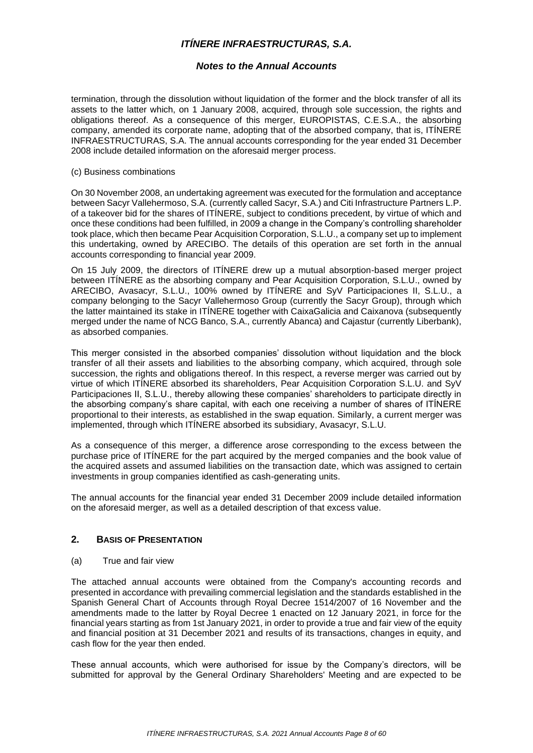# *Notes to the Annual Accounts*

termination, through the dissolution without liquidation of the former and the block transfer of all its assets to the latter which, on 1 January 2008, acquired, through sole succession, the rights and obligations thereof. As a consequence of this merger, EUROPISTAS, C.E.S.A., the absorbing company, amended its corporate name, adopting that of the absorbed company, that is, ITÍNERE INFRAESTRUCTURAS, S.A. The annual accounts corresponding for the year ended 31 December 2008 include detailed information on the aforesaid merger process.

#### (c) Business combinations

On 30 November 2008, an undertaking agreement was executed for the formulation and acceptance between Sacyr Vallehermoso, S.A. (currently called Sacyr, S.A.) and Citi Infrastructure Partners L.P. of a takeover bid for the shares of ITÍNERE, subject to conditions precedent, by virtue of which and once these conditions had been fulfilled, in 2009 a change in the Company's controlling shareholder took place, which then became Pear Acquisition Corporation, S.L.U., a company set up to implement this undertaking, owned by ARECIBO. The details of this operation are set forth in the annual accounts corresponding to financial year 2009.

On 15 July 2009, the directors of ITÍNERE drew up a mutual absorption-based merger project between ITÍNERE as the absorbing company and Pear Acquisition Corporation, S.L.U., owned by ARECIBO, Avasacyr, S.L.U., 100% owned by ITÍNERE and SyV Participaciones II, S.L.U., a company belonging to the Sacyr Vallehermoso Group (currently the Sacyr Group), through which the latter maintained its stake in ITÍNERE together with CaixaGalicia and Caixanova (subsequently merged under the name of NCG Banco, S.A., currently Abanca) and Cajastur (currently Liberbank), as absorbed companies.

This merger consisted in the absorbed companies' dissolution without liquidation and the block transfer of all their assets and liabilities to the absorbing company, which acquired, through sole succession, the rights and obligations thereof. In this respect, a reverse merger was carried out by virtue of which ITÍNERE absorbed its shareholders, Pear Acquisition Corporation S.L.U. and SyV Participaciones II, S.L.U., thereby allowing these companies' shareholders to participate directly in the absorbing company's share capital, with each one receiving a number of shares of ITÍNERE proportional to their interests, as established in the swap equation. Similarly, a current merger was implemented, through which ITÍNERE absorbed its subsidiary, Avasacyr, S.L.U.

As a consequence of this merger, a difference arose corresponding to the excess between the purchase price of ITÍNERE for the part acquired by the merged companies and the book value of the acquired assets and assumed liabilities on the transaction date, which was assigned to certain investments in group companies identified as cash-generating units.

The annual accounts for the financial year ended 31 December 2009 include detailed information on the aforesaid merger, as well as a detailed description of that excess value.

## **2. BASIS OF PRESENTATION**

#### (a) True and fair view

The attached annual accounts were obtained from the Company's accounting records and presented in accordance with prevailing commercial legislation and the standards established in the Spanish General Chart of Accounts through Royal Decree 1514/2007 of 16 November and the amendments made to the latter by Royal Decree 1 enacted on 12 January 2021, in force for the financial years starting as from 1st January 2021, in order to provide a true and fair view of the equity and financial position at 31 December 2021 and results of its transactions, changes in equity, and cash flow for the year then ended.

These annual accounts, which were authorised for issue by the Company's directors, will be submitted for approval by the General Ordinary Shareholders' Meeting and are expected to be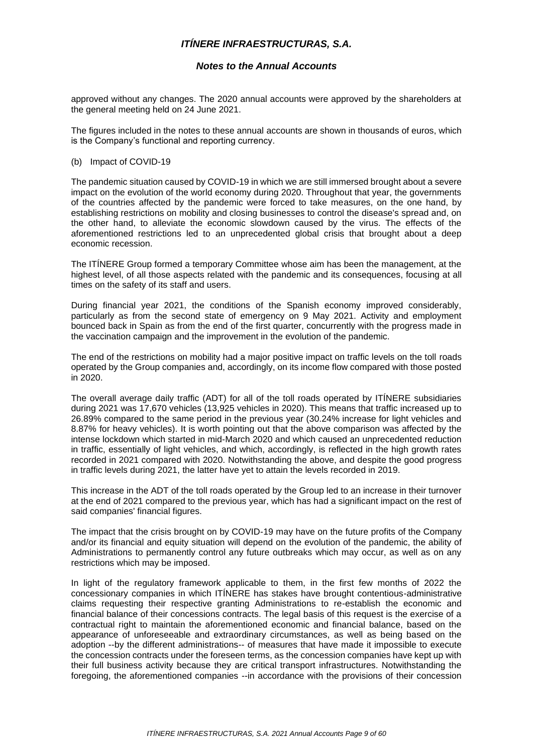### *Notes to the Annual Accounts*

approved without any changes. The 2020 annual accounts were approved by the shareholders at the general meeting held on 24 June 2021.

The figures included in the notes to these annual accounts are shown in thousands of euros, which is the Company's functional and reporting currency.

(b) Impact of COVID-19

The pandemic situation caused by COVID-19 in which we are still immersed brought about a severe impact on the evolution of the world economy during 2020. Throughout that year, the governments of the countries affected by the pandemic were forced to take measures, on the one hand, by establishing restrictions on mobility and closing businesses to control the disease's spread and, on the other hand, to alleviate the economic slowdown caused by the virus. The effects of the aforementioned restrictions led to an unprecedented global crisis that brought about a deep economic recession.

The ITÍNERE Group formed a temporary Committee whose aim has been the management, at the highest level, of all those aspects related with the pandemic and its consequences, focusing at all times on the safety of its staff and users.

During financial year 2021, the conditions of the Spanish economy improved considerably, particularly as from the second state of emergency on 9 May 2021. Activity and employment bounced back in Spain as from the end of the first quarter, concurrently with the progress made in the vaccination campaign and the improvement in the evolution of the pandemic.

The end of the restrictions on mobility had a major positive impact on traffic levels on the toll roads operated by the Group companies and, accordingly, on its income flow compared with those posted in 2020.

The overall average daily traffic (ADT) for all of the toll roads operated by ITÍNERE subsidiaries during 2021 was 17,670 vehicles (13,925 vehicles in 2020). This means that traffic increased up to 26.89% compared to the same period in the previous year (30.24% increase for light vehicles and 8.87% for heavy vehicles). It is worth pointing out that the above comparison was affected by the intense lockdown which started in mid-March 2020 and which caused an unprecedented reduction in traffic, essentially of light vehicles, and which, accordingly, is reflected in the high growth rates recorded in 2021 compared with 2020. Notwithstanding the above, and despite the good progress in traffic levels during 2021, the latter have yet to attain the levels recorded in 2019.

This increase in the ADT of the toll roads operated by the Group led to an increase in their turnover at the end of 2021 compared to the previous year, which has had a significant impact on the rest of said companies' financial figures.

The impact that the crisis brought on by COVID-19 may have on the future profits of the Company and/or its financial and equity situation will depend on the evolution of the pandemic, the ability of Administrations to permanently control any future outbreaks which may occur, as well as on any restrictions which may be imposed.

In light of the regulatory framework applicable to them, in the first few months of 2022 the concessionary companies in which ITÍNERE has stakes have brought contentious-administrative claims requesting their respective granting Administrations to re-establish the economic and financial balance of their concessions contracts. The legal basis of this request is the exercise of a contractual right to maintain the aforementioned economic and financial balance, based on the appearance of unforeseeable and extraordinary circumstances, as well as being based on the adoption --by the different administrations-- of measures that have made it impossible to execute the concession contracts under the foreseen terms, as the concession companies have kept up with their full business activity because they are critical transport infrastructures. Notwithstanding the foregoing, the aforementioned companies --in accordance with the provisions of their concession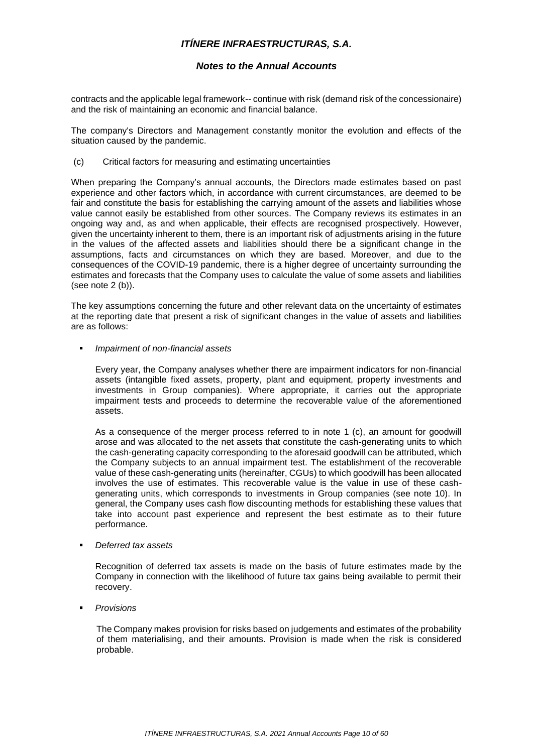### *Notes to the Annual Accounts*

contracts and the applicable legal framework-- continue with risk (demand risk of the concessionaire) and the risk of maintaining an economic and financial balance.

The company's Directors and Management constantly monitor the evolution and effects of the situation caused by the pandemic.

#### (c) Critical factors for measuring and estimating uncertainties

When preparing the Company's annual accounts, the Directors made estimates based on past experience and other factors which, in accordance with current circumstances, are deemed to be fair and constitute the basis for establishing the carrying amount of the assets and liabilities whose value cannot easily be established from other sources. The Company reviews its estimates in an ongoing way and, as and when applicable, their effects are recognised prospectively. However, given the uncertainty inherent to them, there is an important risk of adjustments arising in the future in the values of the affected assets and liabilities should there be a significant change in the assumptions, facts and circumstances on which they are based. Moreover, and due to the consequences of the COVID-19 pandemic, there is a higher degree of uncertainty surrounding the estimates and forecasts that the Company uses to calculate the value of some assets and liabilities (see note 2 (b)).

The key assumptions concerning the future and other relevant data on the uncertainty of estimates at the reporting date that present a risk of significant changes in the value of assets and liabilities are as follows:

▪ *Impairment of non-financial assets*

Every year, the Company analyses whether there are impairment indicators for non-financial assets (intangible fixed assets, property, plant and equipment, property investments and investments in Group companies). Where appropriate, it carries out the appropriate impairment tests and proceeds to determine the recoverable value of the aforementioned assets.

As a consequence of the merger process referred to in note 1 (c), an amount for goodwill arose and was allocated to the net assets that constitute the cash-generating units to which the cash-generating capacity corresponding to the aforesaid goodwill can be attributed, which the Company subjects to an annual impairment test. The establishment of the recoverable value of these cash-generating units (hereinafter, CGUs) to which goodwill has been allocated involves the use of estimates. This recoverable value is the value in use of these cashgenerating units, which corresponds to investments in Group companies (see note 10). In general, the Company uses cash flow discounting methods for establishing these values that take into account past experience and represent the best estimate as to their future performance.

▪ *Deferred tax assets*

Recognition of deferred tax assets is made on the basis of future estimates made by the Company in connection with the likelihood of future tax gains being available to permit their recovery.

▪ *Provisions*

The Company makes provision for risks based on judgements and estimates of the probability of them materialising, and their amounts. Provision is made when the risk is considered probable.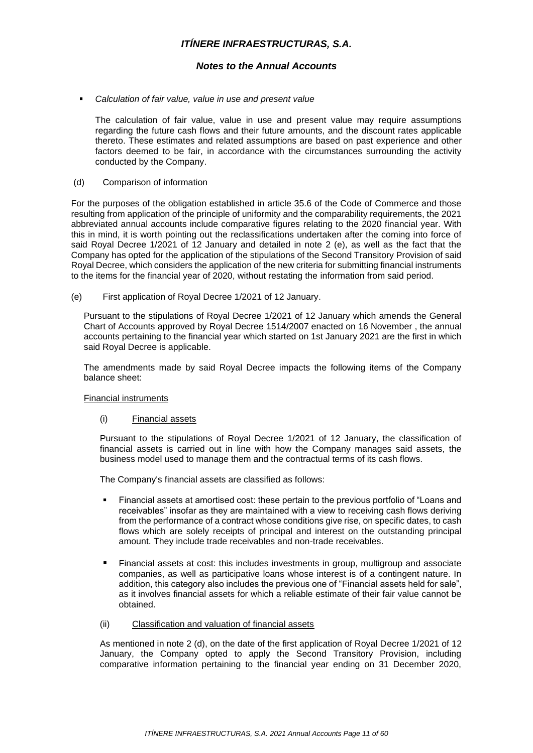# *Notes to the Annual Accounts*

#### ▪ *Calculation of fair value, value in use and present value*

The calculation of fair value, value in use and present value may require assumptions regarding the future cash flows and their future amounts, and the discount rates applicable thereto. These estimates and related assumptions are based on past experience and other factors deemed to be fair, in accordance with the circumstances surrounding the activity conducted by the Company.

#### (d) Comparison of information

For the purposes of the obligation established in article 35.6 of the Code of Commerce and those resulting from application of the principle of uniformity and the comparability requirements, the 2021 abbreviated annual accounts include comparative figures relating to the 2020 financial year. With this in mind, it is worth pointing out the reclassifications undertaken after the coming into force of said Royal Decree 1/2021 of 12 January and detailed in note 2 (e), as well as the fact that the Company has opted for the application of the stipulations of the Second Transitory Provision of said Royal Decree, which considers the application of the new criteria for submitting financial instruments to the items for the financial year of 2020, without restating the information from said period.

(e) First application of Royal Decree 1/2021 of 12 January.

Pursuant to the stipulations of Royal Decree 1/2021 of 12 January which amends the General Chart of Accounts approved by Royal Decree 1514/2007 enacted on 16 November , the annual accounts pertaining to the financial year which started on 1st January 2021 are the first in which said Royal Decree is applicable.

The amendments made by said Royal Decree impacts the following items of the Company balance sheet:

#### Financial instruments

#### (i) Financial assets

Pursuant to the stipulations of Royal Decree 1/2021 of 12 January, the classification of financial assets is carried out in line with how the Company manages said assets, the business model used to manage them and the contractual terms of its cash flows.

The Company's financial assets are classified as follows:

- Financial assets at amortised cost: these pertain to the previous portfolio of "Loans and receivables" insofar as they are maintained with a view to receiving cash flows deriving from the performance of a contract whose conditions give rise, on specific dates, to cash flows which are solely receipts of principal and interest on the outstanding principal amount. They include trade receivables and non-trade receivables.
- Financial assets at cost: this includes investments in group, multigroup and associate companies, as well as participative loans whose interest is of a contingent nature. In addition, this category also includes the previous one of "Financial assets held for sale", as it involves financial assets for which a reliable estimate of their fair value cannot be obtained.
- (ii) Classification and valuation of financial assets

As mentioned in note 2 (d), on the date of the first application of Royal Decree 1/2021 of 12 January, the Company opted to apply the Second Transitory Provision, including comparative information pertaining to the financial year ending on 31 December 2020,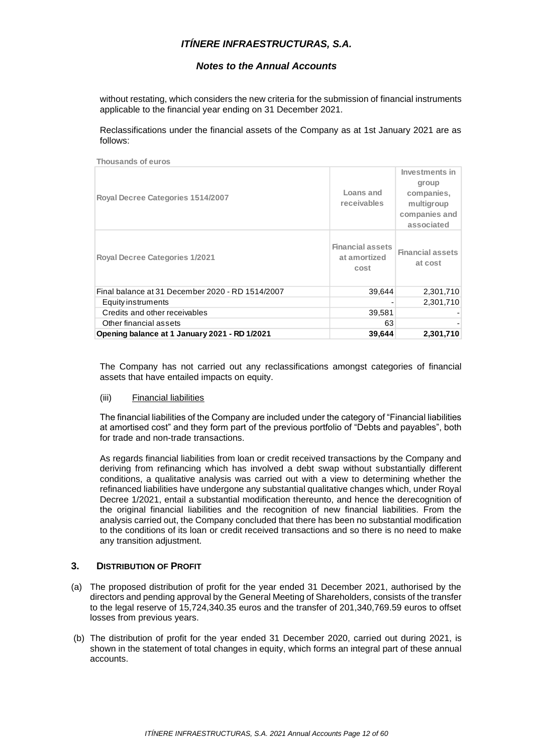# *Notes to the Annual Accounts*

without restating, which considers the new criteria for the submission of financial instruments applicable to the financial year ending on 31 December 2021.

Reclassifications under the financial assets of the Company as at 1st January 2021 are as follows:

| Thousands of euros                               |                                                 |                                                                                           |
|--------------------------------------------------|-------------------------------------------------|-------------------------------------------------------------------------------------------|
| Royal Decree Categories 1514/2007                | Loans and<br>receivables                        | <b>Investments in</b><br>group<br>companies,<br>multigroup<br>companies and<br>associated |
| <b>Royal Decree Categories 1/2021</b>            | <b>Financial assets</b><br>at amortized<br>cost | <b>Financial assets</b><br>at cost                                                        |
| Final balance at 31 December 2020 - RD 1514/2007 | 39,644                                          | 2,301,710                                                                                 |
| Equity instruments                               |                                                 | 2,301,710                                                                                 |
| Credits and other receivables                    | 39,581                                          |                                                                                           |
| Other financial assets                           | 63                                              |                                                                                           |
| Opening balance at 1 January 2021 - RD 1/2021    | 39,644                                          | 2,301,710                                                                                 |

The Company has not carried out any reclassifications amongst categories of financial assets that have entailed impacts on equity.

### (iii) Financial liabilities

The financial liabilities of the Company are included under the category of "Financial liabilities at amortised cost" and they form part of the previous portfolio of "Debts and payables", both for trade and non-trade transactions.

As regards financial liabilities from loan or credit received transactions by the Company and deriving from refinancing which has involved a debt swap without substantially different conditions, a qualitative analysis was carried out with a view to determining whether the refinanced liabilities have undergone any substantial qualitative changes which, under Royal Decree 1/2021, entail a substantial modification thereunto, and hence the derecognition of the original financial liabilities and the recognition of new financial liabilities. From the analysis carried out, the Company concluded that there has been no substantial modification to the conditions of its loan or credit received transactions and so there is no need to make any transition adjustment.

#### **3. DISTRIBUTION OF PROFIT**

- (a) The proposed distribution of profit for the year ended 31 December 2021, authorised by the directors and pending approval by the General Meeting of Shareholders, consists of the transfer to the legal reserve of 15,724,340.35 euros and the transfer of 201,340,769.59 euros to offset losses from previous years.
- (b) The distribution of profit for the year ended 31 December 2020, carried out during 2021, is shown in the statement of total changes in equity, which forms an integral part of these annual accounts.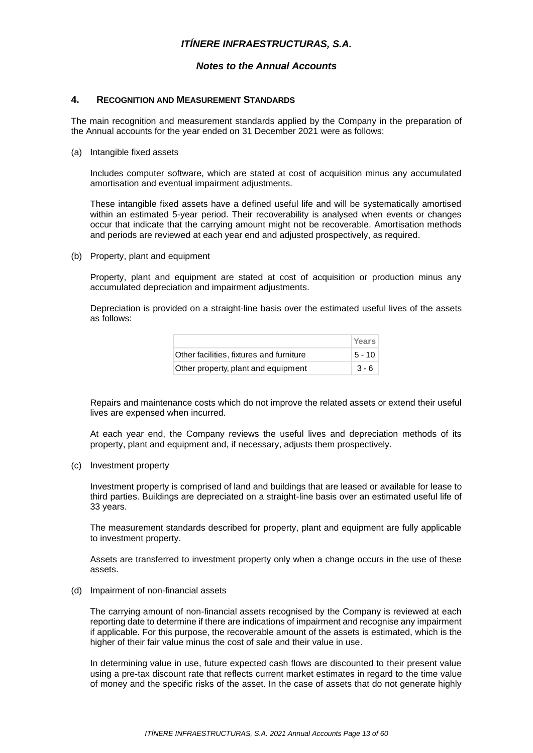### *Notes to the Annual Accounts*

#### **4. RECOGNITION AND MEASUREMENT STANDARDS**

The main recognition and measurement standards applied by the Company in the preparation of the Annual accounts for the year ended on 31 December 2021 were as follows:

(a) Intangible fixed assets

Includes computer software, which are stated at cost of acquisition minus any accumulated amortisation and eventual impairment adjustments.

These intangible fixed assets have a defined useful life and will be systematically amortised within an estimated 5-year period. Their recoverability is analysed when events or changes occur that indicate that the carrying amount might not be recoverable. Amortisation methods and periods are reviewed at each year end and adjusted prospectively, as required.

(b) Property, plant and equipment

Property, plant and equipment are stated at cost of acquisition or production minus any accumulated depreciation and impairment adjustments.

Depreciation is provided on a straight-line basis over the estimated useful lives of the assets as follows:

|                                          | Years    |
|------------------------------------------|----------|
| Other facilities, fixtures and furniture | $5 - 10$ |
| Other property, plant and equipment      | $3 - 6$  |

Repairs and maintenance costs which do not improve the related assets or extend their useful lives are expensed when incurred.

At each year end, the Company reviews the useful lives and depreciation methods of its property, plant and equipment and, if necessary, adjusts them prospectively.

(c) Investment property

Investment property is comprised of land and buildings that are leased or available for lease to third parties. Buildings are depreciated on a straight-line basis over an estimated useful life of 33 years.

The measurement standards described for property, plant and equipment are fully applicable to investment property.

Assets are transferred to investment property only when a change occurs in the use of these assets.

(d) Impairment of non-financial assets

The carrying amount of non-financial assets recognised by the Company is reviewed at each reporting date to determine if there are indications of impairment and recognise any impairment if applicable. For this purpose, the recoverable amount of the assets is estimated, which is the higher of their fair value minus the cost of sale and their value in use.

In determining value in use, future expected cash flows are discounted to their present value using a pre-tax discount rate that reflects current market estimates in regard to the time value of money and the specific risks of the asset. In the case of assets that do not generate highly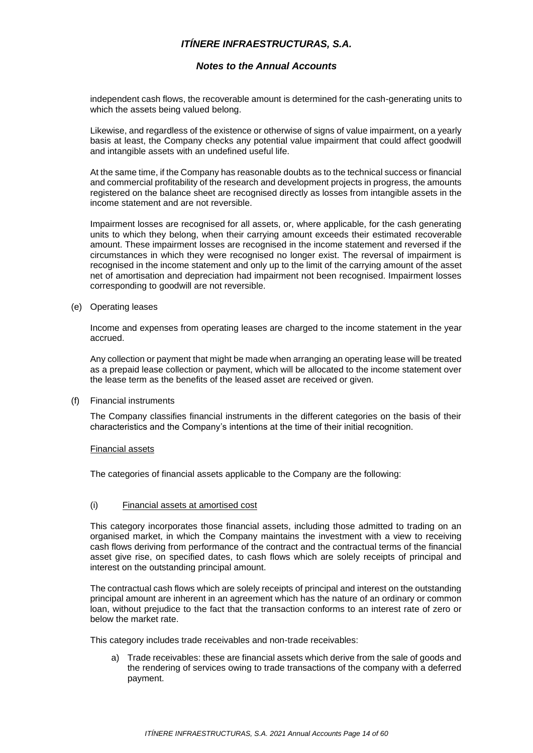# *Notes to the Annual Accounts*

independent cash flows, the recoverable amount is determined for the cash-generating units to which the assets being valued belong.

Likewise, and regardless of the existence or otherwise of signs of value impairment, on a yearly basis at least, the Company checks any potential value impairment that could affect goodwill and intangible assets with an undefined useful life.

At the same time, if the Company has reasonable doubts as to the technical success or financial and commercial profitability of the research and development projects in progress, the amounts registered on the balance sheet are recognised directly as losses from intangible assets in the income statement and are not reversible.

Impairment losses are recognised for all assets, or, where applicable, for the cash generating units to which they belong, when their carrying amount exceeds their estimated recoverable amount. These impairment losses are recognised in the income statement and reversed if the circumstances in which they were recognised no longer exist. The reversal of impairment is recognised in the income statement and only up to the limit of the carrying amount of the asset net of amortisation and depreciation had impairment not been recognised. Impairment losses corresponding to goodwill are not reversible.

(e) Operating leases

Income and expenses from operating leases are charged to the income statement in the year accrued.

Any collection or payment that might be made when arranging an operating lease will be treated as a prepaid lease collection or payment, which will be allocated to the income statement over the lease term as the benefits of the leased asset are received or given.

(f) Financial instruments

The Company classifies financial instruments in the different categories on the basis of their characteristics and the Company's intentions at the time of their initial recognition.

# Financial assets

The categories of financial assets applicable to the Company are the following:

## (i) Financial assets at amortised cost

This category incorporates those financial assets, including those admitted to trading on an organised market, in which the Company maintains the investment with a view to receiving cash flows deriving from performance of the contract and the contractual terms of the financial asset give rise, on specified dates, to cash flows which are solely receipts of principal and interest on the outstanding principal amount.

The contractual cash flows which are solely receipts of principal and interest on the outstanding principal amount are inherent in an agreement which has the nature of an ordinary or common loan, without prejudice to the fact that the transaction conforms to an interest rate of zero or below the market rate.

This category includes trade receivables and non-trade receivables:

a) Trade receivables: these are financial assets which derive from the sale of goods and the rendering of services owing to trade transactions of the company with a deferred payment.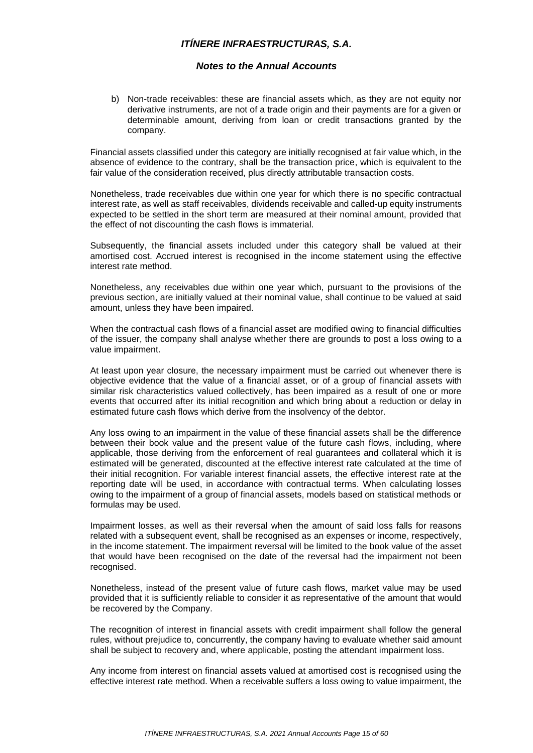### *Notes to the Annual Accounts*

b) Non-trade receivables: these are financial assets which, as they are not equity nor derivative instruments, are not of a trade origin and their payments are for a given or determinable amount, deriving from loan or credit transactions granted by the company.

Financial assets classified under this category are initially recognised at fair value which, in the absence of evidence to the contrary, shall be the transaction price, which is equivalent to the fair value of the consideration received, plus directly attributable transaction costs.

Nonetheless, trade receivables due within one year for which there is no specific contractual interest rate, as well as staff receivables, dividends receivable and called-up equity instruments expected to be settled in the short term are measured at their nominal amount, provided that the effect of not discounting the cash flows is immaterial.

Subsequently, the financial assets included under this category shall be valued at their amortised cost. Accrued interest is recognised in the income statement using the effective interest rate method.

Nonetheless, any receivables due within one year which, pursuant to the provisions of the previous section, are initially valued at their nominal value, shall continue to be valued at said amount, unless they have been impaired.

When the contractual cash flows of a financial asset are modified owing to financial difficulties of the issuer, the company shall analyse whether there are grounds to post a loss owing to a value impairment.

At least upon year closure, the necessary impairment must be carried out whenever there is objective evidence that the value of a financial asset, or of a group of financial assets with similar risk characteristics valued collectively, has been impaired as a result of one or more events that occurred after its initial recognition and which bring about a reduction or delay in estimated future cash flows which derive from the insolvency of the debtor.

Any loss owing to an impairment in the value of these financial assets shall be the difference between their book value and the present value of the future cash flows, including, where applicable, those deriving from the enforcement of real guarantees and collateral which it is estimated will be generated, discounted at the effective interest rate calculated at the time of their initial recognition. For variable interest financial assets, the effective interest rate at the reporting date will be used, in accordance with contractual terms. When calculating losses owing to the impairment of a group of financial assets, models based on statistical methods or formulas may be used.

Impairment losses, as well as their reversal when the amount of said loss falls for reasons related with a subsequent event, shall be recognised as an expenses or income, respectively, in the income statement. The impairment reversal will be limited to the book value of the asset that would have been recognised on the date of the reversal had the impairment not been recognised.

Nonetheless, instead of the present value of future cash flows, market value may be used provided that it is sufficiently reliable to consider it as representative of the amount that would be recovered by the Company.

The recognition of interest in financial assets with credit impairment shall follow the general rules, without prejudice to, concurrently, the company having to evaluate whether said amount shall be subject to recovery and, where applicable, posting the attendant impairment loss.

Any income from interest on financial assets valued at amortised cost is recognised using the effective interest rate method. When a receivable suffers a loss owing to value impairment, the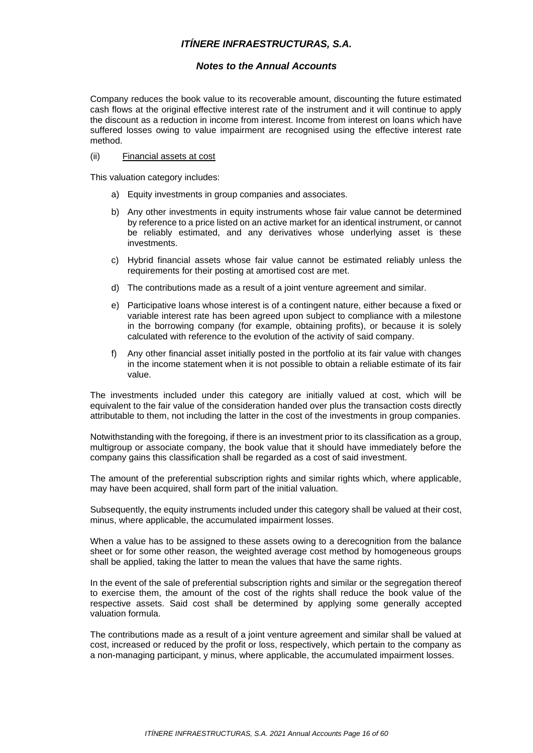### *Notes to the Annual Accounts*

Company reduces the book value to its recoverable amount, discounting the future estimated cash flows at the original effective interest rate of the instrument and it will continue to apply the discount as a reduction in income from interest. Income from interest on loans which have suffered losses owing to value impairment are recognised using the effective interest rate method.

#### (ii) Financial assets at cost

This valuation category includes:

- a) Equity investments in group companies and associates.
- b) Any other investments in equity instruments whose fair value cannot be determined by reference to a price listed on an active market for an identical instrument, or cannot be reliably estimated, and any derivatives whose underlying asset is these investments.
- c) Hybrid financial assets whose fair value cannot be estimated reliably unless the requirements for their posting at amortised cost are met.
- d) The contributions made as a result of a joint venture agreement and similar.
- e) Participative loans whose interest is of a contingent nature, either because a fixed or variable interest rate has been agreed upon subject to compliance with a milestone in the borrowing company (for example, obtaining profits), or because it is solely calculated with reference to the evolution of the activity of said company.
- f) Any other financial asset initially posted in the portfolio at its fair value with changes in the income statement when it is not possible to obtain a reliable estimate of its fair value.

The investments included under this category are initially valued at cost, which will be equivalent to the fair value of the consideration handed over plus the transaction costs directly attributable to them, not including the latter in the cost of the investments in group companies.

Notwithstanding with the foregoing, if there is an investment prior to its classification as a group, multigroup or associate company, the book value that it should have immediately before the company gains this classification shall be regarded as a cost of said investment.

The amount of the preferential subscription rights and similar rights which, where applicable, may have been acquired, shall form part of the initial valuation.

Subsequently, the equity instruments included under this category shall be valued at their cost, minus, where applicable, the accumulated impairment losses.

When a value has to be assigned to these assets owing to a derecognition from the balance sheet or for some other reason, the weighted average cost method by homogeneous groups shall be applied, taking the latter to mean the values that have the same rights.

In the event of the sale of preferential subscription rights and similar or the segregation thereof to exercise them, the amount of the cost of the rights shall reduce the book value of the respective assets. Said cost shall be determined by applying some generally accepted valuation formula.

The contributions made as a result of a joint venture agreement and similar shall be valued at cost, increased or reduced by the profit or loss, respectively, which pertain to the company as a non-managing participant, y minus, where applicable, the accumulated impairment losses.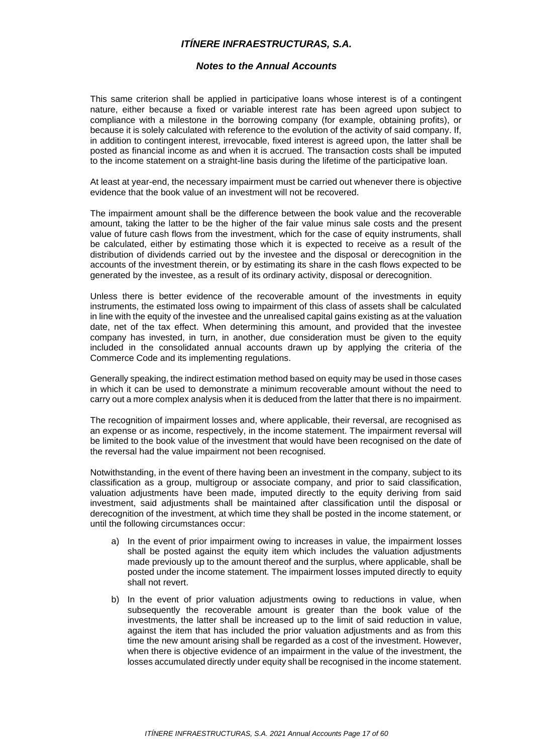### *Notes to the Annual Accounts*

This same criterion shall be applied in participative loans whose interest is of a contingent nature, either because a fixed or variable interest rate has been agreed upon subject to compliance with a milestone in the borrowing company (for example, obtaining profits), or because it is solely calculated with reference to the evolution of the activity of said company. If, in addition to contingent interest, irrevocable, fixed interest is agreed upon, the latter shall be posted as financial income as and when it is accrued. The transaction costs shall be imputed to the income statement on a straight-line basis during the lifetime of the participative loan.

At least at year-end, the necessary impairment must be carried out whenever there is objective evidence that the book value of an investment will not be recovered.

The impairment amount shall be the difference between the book value and the recoverable amount, taking the latter to be the higher of the fair value minus sale costs and the present value of future cash flows from the investment, which for the case of equity instruments, shall be calculated, either by estimating those which it is expected to receive as a result of the distribution of dividends carried out by the investee and the disposal or derecognition in the accounts of the investment therein, or by estimating its share in the cash flows expected to be generated by the investee, as a result of its ordinary activity, disposal or derecognition.

Unless there is better evidence of the recoverable amount of the investments in equity instruments, the estimated loss owing to impairment of this class of assets shall be calculated in line with the equity of the investee and the unrealised capital gains existing as at the valuation date, net of the tax effect. When determining this amount, and provided that the investee company has invested, in turn, in another, due consideration must be given to the equity included in the consolidated annual accounts drawn up by applying the criteria of the Commerce Code and its implementing regulations.

Generally speaking, the indirect estimation method based on equity may be used in those cases in which it can be used to demonstrate a minimum recoverable amount without the need to carry out a more complex analysis when it is deduced from the latter that there is no impairment.

The recognition of impairment losses and, where applicable, their reversal, are recognised as an expense or as income, respectively, in the income statement. The impairment reversal will be limited to the book value of the investment that would have been recognised on the date of the reversal had the value impairment not been recognised.

Notwithstanding, in the event of there having been an investment in the company, subject to its classification as a group, multigroup or associate company, and prior to said classification, valuation adjustments have been made, imputed directly to the equity deriving from said investment, said adjustments shall be maintained after classification until the disposal or derecognition of the investment, at which time they shall be posted in the income statement, or until the following circumstances occur:

- a) In the event of prior impairment owing to increases in value, the impairment losses shall be posted against the equity item which includes the valuation adjustments made previously up to the amount thereof and the surplus, where applicable, shall be posted under the income statement. The impairment losses imputed directly to equity shall not revert.
- b) In the event of prior valuation adjustments owing to reductions in value, when subsequently the recoverable amount is greater than the book value of the investments, the latter shall be increased up to the limit of said reduction in value, against the item that has included the prior valuation adjustments and as from this time the new amount arising shall be regarded as a cost of the investment. However, when there is objective evidence of an impairment in the value of the investment, the losses accumulated directly under equity shall be recognised in the income statement.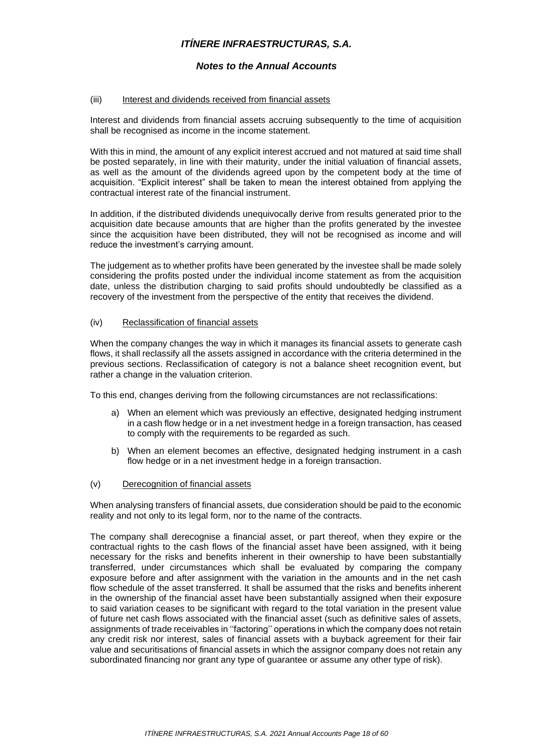# *Notes to the Annual Accounts*

#### (iii) Interest and dividends received from financial assets

Interest and dividends from financial assets accruing subsequently to the time of acquisition shall be recognised as income in the income statement.

With this in mind, the amount of any explicit interest accrued and not matured at said time shall be posted separately, in line with their maturity, under the initial valuation of financial assets, as well as the amount of the dividends agreed upon by the competent body at the time of acquisition. "Explicit interest" shall be taken to mean the interest obtained from applying the contractual interest rate of the financial instrument.

In addition, if the distributed dividends unequivocally derive from results generated prior to the acquisition date because amounts that are higher than the profits generated by the investee since the acquisition have been distributed, they will not be recognised as income and will reduce the investment's carrying amount.

The judgement as to whether profits have been generated by the investee shall be made solely considering the profits posted under the individual income statement as from the acquisition date, unless the distribution charging to said profits should undoubtedly be classified as a recovery of the investment from the perspective of the entity that receives the dividend.

#### (iv) Reclassification of financial assets

When the company changes the way in which it manages its financial assets to generate cash flows, it shall reclassify all the assets assigned in accordance with the criteria determined in the previous sections. Reclassification of category is not a balance sheet recognition event, but rather a change in the valuation criterion.

To this end, changes deriving from the following circumstances are not reclassifications:

- a) When an element which was previously an effective, designated hedging instrument in a cash flow hedge or in a net investment hedge in a foreign transaction, has ceased to comply with the requirements to be regarded as such.
- b) When an element becomes an effective, designated hedging instrument in a cash flow hedge or in a net investment hedge in a foreign transaction.

#### (v) Derecognition of financial assets

When analysing transfers of financial assets, due consideration should be paid to the economic reality and not only to its legal form, nor to the name of the contracts.

The company shall derecognise a financial asset, or part thereof, when they expire or the contractual rights to the cash flows of the financial asset have been assigned, with it being necessary for the risks and benefits inherent in their ownership to have been substantially transferred, under circumstances which shall be evaluated by comparing the company exposure before and after assignment with the variation in the amounts and in the net cash flow schedule of the asset transferred. It shall be assumed that the risks and benefits inherent in the ownership of the financial asset have been substantially assigned when their exposure to said variation ceases to be significant with regard to the total variation in the present value of future net cash flows associated with the financial asset (such as definitive sales of assets, assignments of trade receivables in ''factoring'' operations in which the company does not retain any credit risk nor interest, sales of financial assets with a buyback agreement for their fair value and securitisations of financial assets in which the assignor company does not retain any subordinated financing nor grant any type of guarantee or assume any other type of risk).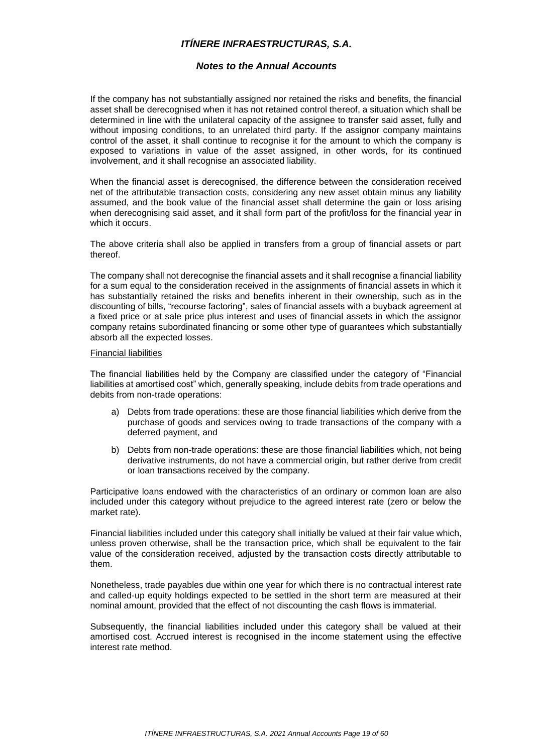### *Notes to the Annual Accounts*

If the company has not substantially assigned nor retained the risks and benefits, the financial asset shall be derecognised when it has not retained control thereof, a situation which shall be determined in line with the unilateral capacity of the assignee to transfer said asset, fully and without imposing conditions, to an unrelated third party. If the assignor company maintains control of the asset, it shall continue to recognise it for the amount to which the company is exposed to variations in value of the asset assigned, in other words, for its continued involvement, and it shall recognise an associated liability.

When the financial asset is derecognised, the difference between the consideration received net of the attributable transaction costs, considering any new asset obtain minus any liability assumed, and the book value of the financial asset shall determine the gain or loss arising when derecognising said asset, and it shall form part of the profit/loss for the financial year in which it occurs.

The above criteria shall also be applied in transfers from a group of financial assets or part thereof.

The company shall not derecognise the financial assets and it shall recognise a financial liability for a sum equal to the consideration received in the assignments of financial assets in which it has substantially retained the risks and benefits inherent in their ownership, such as in the discounting of bills, "recourse factoring", sales of financial assets with a buyback agreement at a fixed price or at sale price plus interest and uses of financial assets in which the assignor company retains subordinated financing or some other type of guarantees which substantially absorb all the expected losses.

#### Financial liabilities

The financial liabilities held by the Company are classified under the category of "Financial liabilities at amortised cost" which, generally speaking, include debits from trade operations and debits from non-trade operations:

- a) Debts from trade operations: these are those financial liabilities which derive from the purchase of goods and services owing to trade transactions of the company with a deferred payment, and
- b) Debts from non-trade operations: these are those financial liabilities which, not being derivative instruments, do not have a commercial origin, but rather derive from credit or loan transactions received by the company.

Participative loans endowed with the characteristics of an ordinary or common loan are also included under this category without prejudice to the agreed interest rate (zero or below the market rate).

Financial liabilities included under this category shall initially be valued at their fair value which, unless proven otherwise, shall be the transaction price, which shall be equivalent to the fair value of the consideration received, adjusted by the transaction costs directly attributable to them.

Nonetheless, trade payables due within one year for which there is no contractual interest rate and called-up equity holdings expected to be settled in the short term are measured at their nominal amount, provided that the effect of not discounting the cash flows is immaterial.

Subsequently, the financial liabilities included under this category shall be valued at their amortised cost. Accrued interest is recognised in the income statement using the effective interest rate method.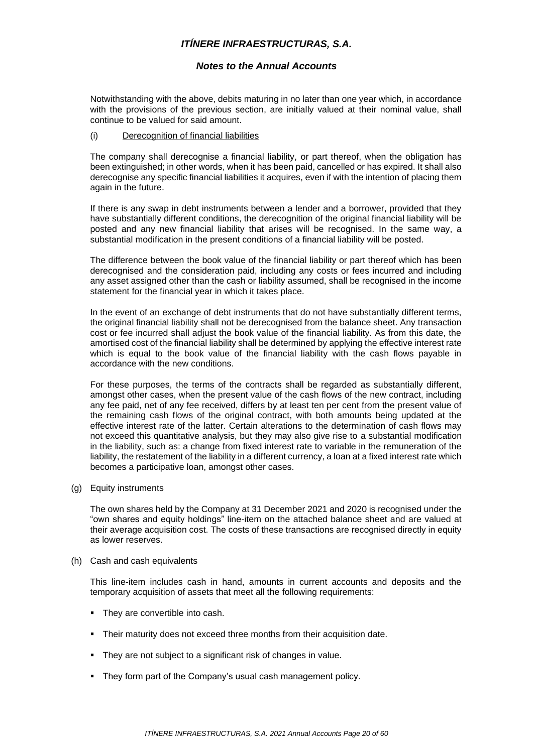# *Notes to the Annual Accounts*

Notwithstanding with the above, debits maturing in no later than one year which, in accordance with the provisions of the previous section, are initially valued at their nominal value, shall continue to be valued for said amount.

#### (i) Derecognition of financial liabilities

The company shall derecognise a financial liability, or part thereof, when the obligation has been extinguished; in other words, when it has been paid, cancelled or has expired. It shall also derecognise any specific financial liabilities it acquires, even if with the intention of placing them again in the future.

If there is any swap in debt instruments between a lender and a borrower, provided that they have substantially different conditions, the derecognition of the original financial liability will be posted and any new financial liability that arises will be recognised. In the same way, a substantial modification in the present conditions of a financial liability will be posted.

The difference between the book value of the financial liability or part thereof which has been derecognised and the consideration paid, including any costs or fees incurred and including any asset assigned other than the cash or liability assumed, shall be recognised in the income statement for the financial year in which it takes place.

In the event of an exchange of debt instruments that do not have substantially different terms, the original financial liability shall not be derecognised from the balance sheet. Any transaction cost or fee incurred shall adjust the book value of the financial liability. As from this date, the amortised cost of the financial liability shall be determined by applying the effective interest rate which is equal to the book value of the financial liability with the cash flows payable in accordance with the new conditions.

For these purposes, the terms of the contracts shall be regarded as substantially different, amongst other cases, when the present value of the cash flows of the new contract, including any fee paid, net of any fee received, differs by at least ten per cent from the present value of the remaining cash flows of the original contract, with both amounts being updated at the effective interest rate of the latter. Certain alterations to the determination of cash flows may not exceed this quantitative analysis, but they may also give rise to a substantial modification in the liability, such as: a change from fixed interest rate to variable in the remuneration of the liability, the restatement of the liability in a different currency, a loan at a fixed interest rate which becomes a participative loan, amongst other cases.

(g) Equity instruments

The own shares held by the Company at 31 December 2021 and 2020 is recognised under the "own shares and equity holdings" line-item on the attached balance sheet and are valued at their average acquisition cost. The costs of these transactions are recognised directly in equity as lower reserves.

#### (h) Cash and cash equivalents

This line-item includes cash in hand, amounts in current accounts and deposits and the temporary acquisition of assets that meet all the following requirements:

- **•** They are convertible into cash.
- Their maturity does not exceed three months from their acquisition date.
- They are not subject to a significant risk of changes in value.
- They form part of the Company's usual cash management policy.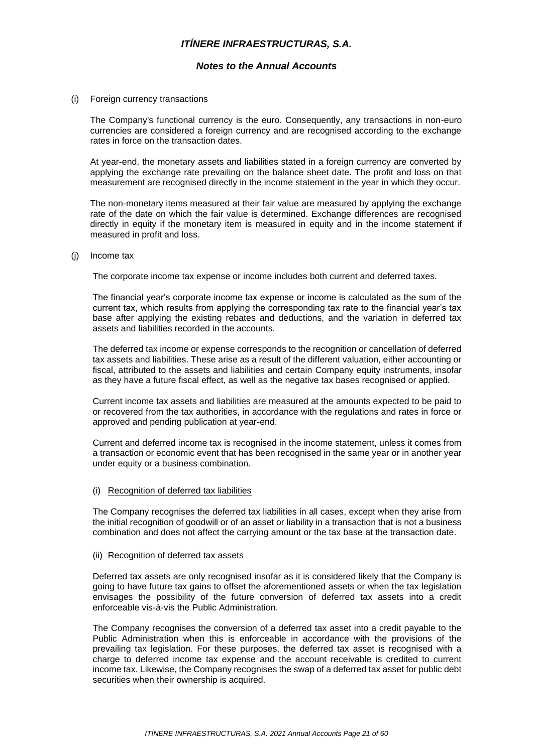### *Notes to the Annual Accounts*

(i) Foreign currency transactions

The Company's functional currency is the euro. Consequently, any transactions in non-euro currencies are considered a foreign currency and are recognised according to the exchange rates in force on the transaction dates.

At year-end, the monetary assets and liabilities stated in a foreign currency are converted by applying the exchange rate prevailing on the balance sheet date. The profit and loss on that measurement are recognised directly in the income statement in the year in which they occur.

The non-monetary items measured at their fair value are measured by applying the exchange rate of the date on which the fair value is determined. Exchange differences are recognised directly in equity if the monetary item is measured in equity and in the income statement if measured in profit and loss.

(j) Income tax

The corporate income tax expense or income includes both current and deferred taxes.

The financial year's corporate income tax expense or income is calculated as the sum of the current tax, which results from applying the corresponding tax rate to the financial year's tax base after applying the existing rebates and deductions, and the variation in deferred tax assets and liabilities recorded in the accounts.

The deferred tax income or expense corresponds to the recognition or cancellation of deferred tax assets and liabilities. These arise as a result of the different valuation, either accounting or fiscal, attributed to the assets and liabilities and certain Company equity instruments, insofar as they have a future fiscal effect, as well as the negative tax bases recognised or applied.

Current income tax assets and liabilities are measured at the amounts expected to be paid to or recovered from the tax authorities, in accordance with the regulations and rates in force or approved and pending publication at year-end.

Current and deferred income tax is recognised in the income statement, unless it comes from a transaction or economic event that has been recognised in the same year or in another year under equity or a business combination.

#### (i) Recognition of deferred tax liabilities

The Company recognises the deferred tax liabilities in all cases, except when they arise from the initial recognition of goodwill or of an asset or liability in a transaction that is not a business combination and does not affect the carrying amount or the tax base at the transaction date.

#### (ii) Recognition of deferred tax assets

Deferred tax assets are only recognised insofar as it is considered likely that the Company is going to have future tax gains to offset the aforementioned assets or when the tax legislation envisages the possibility of the future conversion of deferred tax assets into a credit enforceable vis-à-vis the Public Administration.

The Company recognises the conversion of a deferred tax asset into a credit payable to the Public Administration when this is enforceable in accordance with the provisions of the prevailing tax legislation. For these purposes, the deferred tax asset is recognised with a charge to deferred income tax expense and the account receivable is credited to current income tax. Likewise, the Company recognises the swap of a deferred tax asset for public debt securities when their ownership is acquired.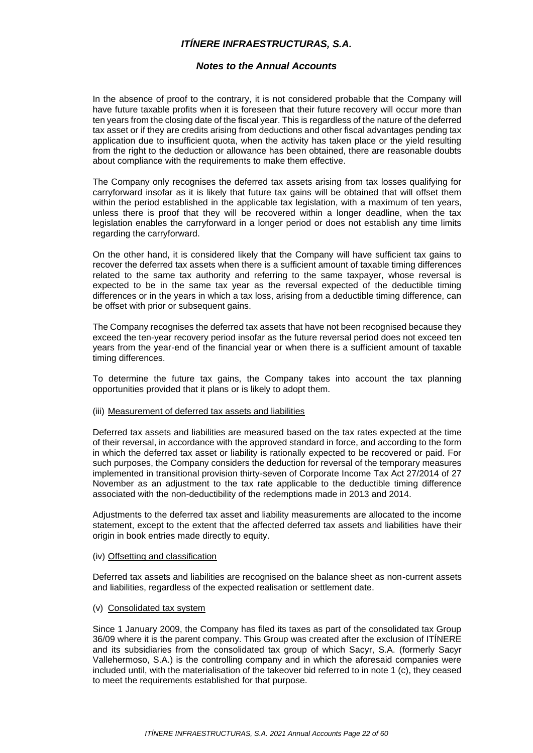### *Notes to the Annual Accounts*

In the absence of proof to the contrary, it is not considered probable that the Company will have future taxable profits when it is foreseen that their future recovery will occur more than ten years from the closing date of the fiscal year. This is regardless of the nature of the deferred tax asset or if they are credits arising from deductions and other fiscal advantages pending tax application due to insufficient quota, when the activity has taken place or the yield resulting from the right to the deduction or allowance has been obtained, there are reasonable doubts about compliance with the requirements to make them effective.

The Company only recognises the deferred tax assets arising from tax losses qualifying for carryforward insofar as it is likely that future tax gains will be obtained that will offset them within the period established in the applicable tax legislation, with a maximum of ten years, unless there is proof that they will be recovered within a longer deadline, when the tax legislation enables the carryforward in a longer period or does not establish any time limits regarding the carryforward.

On the other hand, it is considered likely that the Company will have sufficient tax gains to recover the deferred tax assets when there is a sufficient amount of taxable timing differences related to the same tax authority and referring to the same taxpayer, whose reversal is expected to be in the same tax year as the reversal expected of the deductible timing differences or in the years in which a tax loss, arising from a deductible timing difference, can be offset with prior or subsequent gains.

The Company recognises the deferred tax assets that have not been recognised because they exceed the ten-year recovery period insofar as the future reversal period does not exceed ten years from the year-end of the financial year or when there is a sufficient amount of taxable timing differences.

To determine the future tax gains, the Company takes into account the tax planning opportunities provided that it plans or is likely to adopt them.

#### (iii) Measurement of deferred tax assets and liabilities

Deferred tax assets and liabilities are measured based on the tax rates expected at the time of their reversal, in accordance with the approved standard in force, and according to the form in which the deferred tax asset or liability is rationally expected to be recovered or paid. For such purposes, the Company considers the deduction for reversal of the temporary measures implemented in transitional provision thirty-seven of Corporate Income Tax Act 27/2014 of 27 November as an adjustment to the tax rate applicable to the deductible timing difference associated with the non-deductibility of the redemptions made in 2013 and 2014.

Adjustments to the deferred tax asset and liability measurements are allocated to the income statement, except to the extent that the affected deferred tax assets and liabilities have their origin in book entries made directly to equity.

#### (iv) Offsetting and classification

Deferred tax assets and liabilities are recognised on the balance sheet as non-current assets and liabilities, regardless of the expected realisation or settlement date.

#### (v) Consolidated tax system

Since 1 January 2009, the Company has filed its taxes as part of the consolidated tax Group 36/09 where it is the parent company. This Group was created after the exclusion of ITÍNERE and its subsidiaries from the consolidated tax group of which Sacyr, S.A. (formerly Sacyr Vallehermoso, S.A.) is the controlling company and in which the aforesaid companies were included until, with the materialisation of the takeover bid referred to in note 1 (c), they ceased to meet the requirements established for that purpose.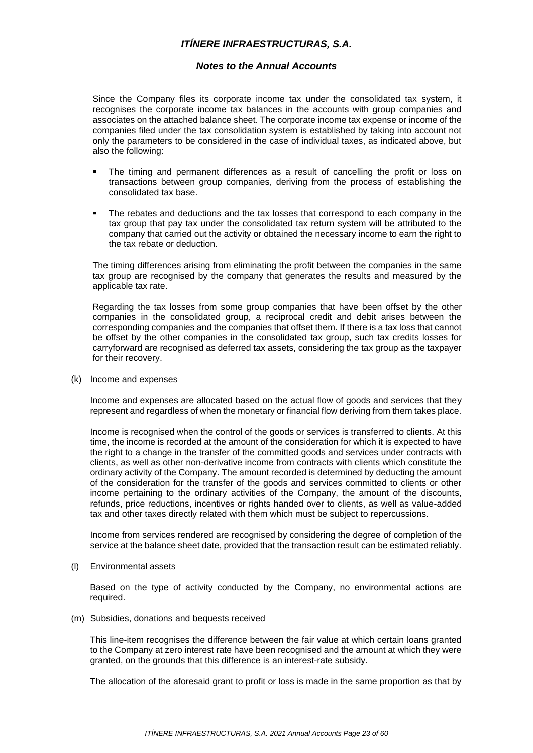### *Notes to the Annual Accounts*

Since the Company files its corporate income tax under the consolidated tax system, it recognises the corporate income tax balances in the accounts with group companies and associates on the attached balance sheet. The corporate income tax expense or income of the companies filed under the tax consolidation system is established by taking into account not only the parameters to be considered in the case of individual taxes, as indicated above, but also the following:

- The timing and permanent differences as a result of cancelling the profit or loss on transactions between group companies, deriving from the process of establishing the consolidated tax base.
- The rebates and deductions and the tax losses that correspond to each company in the tax group that pay tax under the consolidated tax return system will be attributed to the company that carried out the activity or obtained the necessary income to earn the right to the tax rebate or deduction.

The timing differences arising from eliminating the profit between the companies in the same tax group are recognised by the company that generates the results and measured by the applicable tax rate.

Regarding the tax losses from some group companies that have been offset by the other companies in the consolidated group, a reciprocal credit and debit arises between the corresponding companies and the companies that offset them. If there is a tax loss that cannot be offset by the other companies in the consolidated tax group, such tax credits losses for carryforward are recognised as deferred tax assets, considering the tax group as the taxpayer for their recovery.

(k) Income and expenses

Income and expenses are allocated based on the actual flow of goods and services that they represent and regardless of when the monetary or financial flow deriving from them takes place.

Income is recognised when the control of the goods or services is transferred to clients. At this time, the income is recorded at the amount of the consideration for which it is expected to have the right to a change in the transfer of the committed goods and services under contracts with clients, as well as other non-derivative income from contracts with clients which constitute the ordinary activity of the Company. The amount recorded is determined by deducting the amount of the consideration for the transfer of the goods and services committed to clients or other income pertaining to the ordinary activities of the Company, the amount of the discounts, refunds, price reductions, incentives or rights handed over to clients, as well as value-added tax and other taxes directly related with them which must be subject to repercussions.

Income from services rendered are recognised by considering the degree of completion of the service at the balance sheet date, provided that the transaction result can be estimated reliably.

(l) Environmental assets

Based on the type of activity conducted by the Company, no environmental actions are required.

(m) Subsidies, donations and bequests received

This line-item recognises the difference between the fair value at which certain loans granted to the Company at zero interest rate have been recognised and the amount at which they were granted, on the grounds that this difference is an interest-rate subsidy.

The allocation of the aforesaid grant to profit or loss is made in the same proportion as that by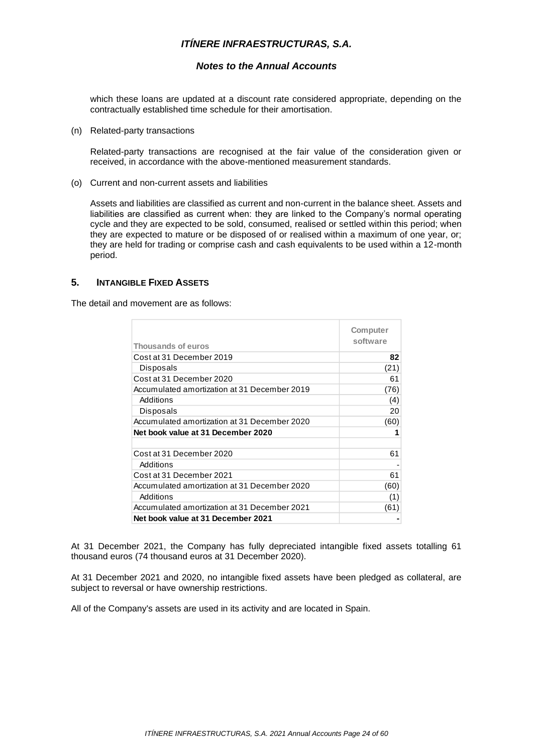## *Notes to the Annual Accounts*

which these loans are updated at a discount rate considered appropriate, depending on the contractually established time schedule for their amortisation.

(n) Related-party transactions

Related-party transactions are recognised at the fair value of the consideration given or received, in accordance with the above-mentioned measurement standards.

(o) Current and non-current assets and liabilities

Assets and liabilities are classified as current and non-current in the balance sheet. Assets and liabilities are classified as current when: they are linked to the Company's normal operating cycle and they are expected to be sold, consumed, realised or settled within this period; when they are expected to mature or be disposed of or realised within a maximum of one year, or; they are held for trading or comprise cash and cash equivalents to be used within a 12-month period.

## **5. INTANGIBLE FIXED ASSETS**

The detail and movement are as follows:

|                                              | Computer |
|----------------------------------------------|----------|
| <b>Thousands of euros</b>                    | software |
| Cost at 31 December 2019                     | 82       |
| Disposals                                    | (21)     |
| Cost at 31 December 2020                     | 61       |
| Accumulated amortization at 31 December 2019 | (76)     |
| Additions                                    | (4)      |
| Disposals                                    | 20       |
| Accumulated amortization at 31 December 2020 | (60)     |
| Net book value at 31 December 2020           |          |
|                                              |          |
| Cost at 31 December 2020                     | 61       |
| Additions                                    |          |
| Cost at 31 December 2021                     | 61       |
| Accumulated amortization at 31 December 2020 | (60)     |
| Additions                                    | (1)      |
| Accumulated amortization at 31 December 2021 | (61)     |
| Net book value at 31 December 2021           |          |

At 31 December 2021, the Company has fully depreciated intangible fixed assets totalling 61 thousand euros (74 thousand euros at 31 December 2020).

At 31 December 2021 and 2020, no intangible fixed assets have been pledged as collateral, are subject to reversal or have ownership restrictions.

All of the Company's assets are used in its activity and are located in Spain.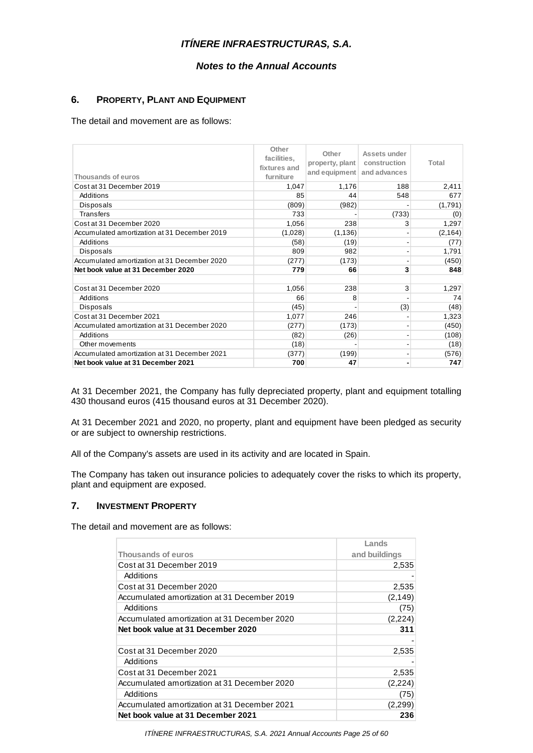# *Notes to the Annual Accounts*

# **6. PROPERTY, PLANT AND EQUIPMENT**

The detail and movement are as follows:

| Thousands of euros                           | Other<br>facilities,<br>fixtures and<br>furniture | Other<br>property, plant<br>and equipment and advances | Assets under<br>construction | Total    |
|----------------------------------------------|---------------------------------------------------|--------------------------------------------------------|------------------------------|----------|
| Cost at 31 December 2019                     | 1,047                                             | 1,176                                                  | 188                          | 2,411    |
| Additions                                    | 85                                                | 44                                                     | 548                          | 677      |
| Disposals                                    | (809)                                             | (982)                                                  |                              | (1,791)  |
| <b>Transfers</b>                             | 733                                               |                                                        | (733)                        | (0)      |
| Cost at 31 December 2020                     | 1,056                                             | 238                                                    | 3                            | 1,297    |
| Accumulated amortization at 31 December 2019 | (1,028)                                           | (1, 136)                                               |                              | (2, 164) |
| Additions                                    | (58)                                              | (19)                                                   |                              | (77)     |
| Disposals                                    | 809                                               | 982                                                    |                              | 1,791    |
| Accumulated amortization at 31 December 2020 | (277)                                             | (173)                                                  |                              | (450)    |
| Net book value at 31 December 2020           | 779                                               | 66                                                     | 3                            | 848      |
|                                              |                                                   |                                                        |                              |          |
| Cost at 31 December 2020                     | 1,056                                             | 238                                                    | 3                            | 1,297    |
| Additions                                    | 66                                                | 8                                                      |                              | 74       |
| Disposals                                    | (45)                                              |                                                        | (3)                          | (48)     |
| Cost at 31 December 2021                     | 1,077                                             | 246                                                    |                              | 1,323    |
| Accumulated amortization at 31 December 2020 | (277)                                             | (173)                                                  |                              | (450)    |
| Additions                                    | (82)                                              | (26)                                                   |                              | (108)    |
| Other movements                              | (18)                                              |                                                        |                              | (18)     |
| Accumulated amortization at 31 December 2021 | (377)                                             | (199)                                                  |                              | (576)    |
| Net book value at 31 December 2021           | 700                                               | 47                                                     |                              | 747      |

At 31 December 2021, the Company has fully depreciated property, plant and equipment totalling 430 thousand euros (415 thousand euros at 31 December 2020).

At 31 December 2021 and 2020, no property, plant and equipment have been pledged as security or are subject to ownership restrictions.

All of the Company's assets are used in its activity and are located in Spain.

The Company has taken out insurance policies to adequately cover the risks to which its property, plant and equipment are exposed.

# **7. INVESTMENT PROPERTY**

The detail and movement are as follows:

|                                              | Lands         |
|----------------------------------------------|---------------|
| Thousands of euros                           | and buildings |
| Cost at 31 December 2019                     | 2,535         |
| Additions                                    |               |
| Cost at 31 December 2020                     | 2,535         |
| Accumulated amortization at 31 December 2019 | (2, 149)      |
| Additions                                    | (75)          |
| Accumulated amortization at 31 December 2020 | (2,224)       |
| Net book value at 31 December 2020           | 311           |
|                                              |               |
| Cost at 31 December 2020                     | 2,535         |
| Additions                                    |               |
| Cost at 31 December 2021                     | 2,535         |
| Accumulated amortization at 31 December 2020 | (2,224)       |
| Additions                                    | (75)          |
| Accumulated amortization at 31 December 2021 | (2,299)       |
| Net book value at 31 December 2021           | 236           |

*ITÍNERE INFRAESTRUCTURAS, S.A. 2021 Annual Accounts Page 25 of 60*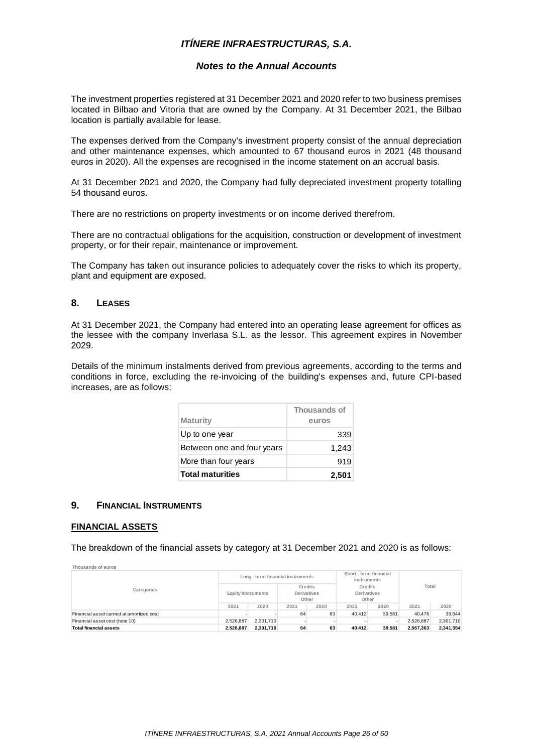### *Notes to the Annual Accounts*

The investment properties registered at 31 December 2021 and 2020 refer to two business premises located in Bilbao and Vitoria that are owned by the Company. At 31 December 2021, the Bilbao location is partially available for lease.

The expenses derived from the Company's investment property consist of the annual depreciation and other maintenance expenses, which amounted to 67 thousand euros in 2021 (48 thousand euros in 2020). All the expenses are recognised in the income statement on an accrual basis.

At 31 December 2021 and 2020, the Company had fully depreciated investment property totalling 54 thousand euros.

There are no restrictions on property investments or on income derived therefrom.

There are no contractual obligations for the acquisition, construction or development of investment property, or for their repair, maintenance or improvement.

The Company has taken out insurance policies to adequately cover the risks to which its property, plant and equipment are exposed.

### **8. LEASES**

At 31 December 2021, the Company had entered into an operating lease agreement for offices as the lessee with the company Inverlasa S.L. as the lessor. This agreement expires in November 2029.

Details of the minimum instalments derived from previous agreements, according to the terms and conditions in force, excluding the re-invoicing of the building's expenses and, future CPI-based increases, are as follows:

| <b>Maturity</b>            | Thousands of<br>euros |
|----------------------------|-----------------------|
| Up to one year             | 339                   |
| Between one and four years | 1.243                 |
| More than four years       | 919                   |
| <b>Total maturities</b>    | 2,501                 |

#### **9. FINANCIAL INSTRUMENTS**

#### **FINANCIAL ASSETS**

The breakdown of the financial assets by category at 31 December 2021 and 2020 is as follows:

| Thousands of euros                        |                           |                                   |                                        |      |                                        |        |           |           |
|-------------------------------------------|---------------------------|-----------------------------------|----------------------------------------|------|----------------------------------------|--------|-----------|-----------|
| Categories                                |                           | Long - term financial instruments |                                        |      | Short - term financial<br>instruments  |        |           |           |
|                                           | <b>Equity Instruments</b> |                                   | Credits<br><b>Derivatives</b><br>Other |      | Credits<br><b>Derivatives</b><br>Other |        | Total     |           |
|                                           | 2021                      | 2020                              | 2021                                   | 2020 | 2021                                   | 2020   | 2021      | 2020      |
| Financial asset carried at amortized cost |                           |                                   | 64                                     | 63   | 40.412                                 | 39.581 | 40.476    | 39.644    |
| Financial asset cost (note 10)            | 2.526.887                 | 2.301.710                         |                                        |      |                                        |        | 2.526.887 | 2.301.710 |
| <b>Total financial assets</b>             | 2.526.887                 | 2,301,710                         | 64                                     | 63   | 40.412                                 | 39.581 | 2,567,363 | 2,341,354 |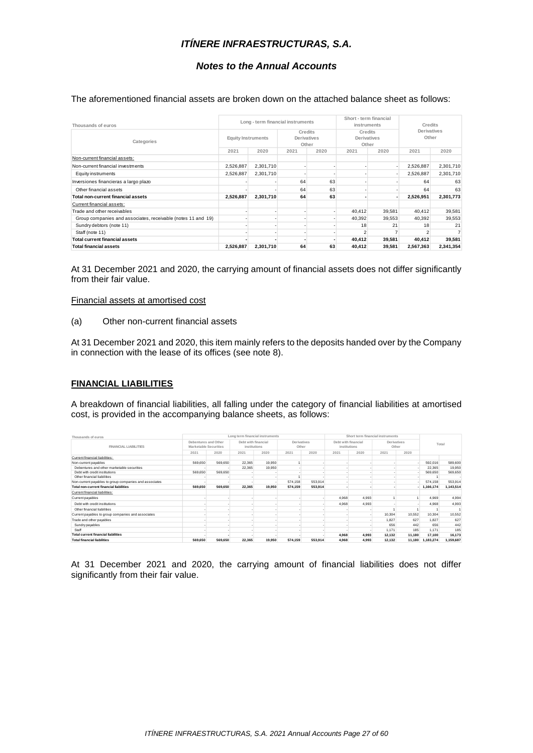# *Notes to the Annual Accounts*

The aforementioned financial assets are broken down on the attached balance sheet as follows:

|                                                              |           | Long - term financial instruments |                |                    | Short - term financial |        |             |           |
|--------------------------------------------------------------|-----------|-----------------------------------|----------------|--------------------|------------------------|--------|-------------|-----------|
| Thousands of euros                                           |           |                                   |                |                    | instruments            |        | Credits     |           |
|                                                              |           |                                   | <b>Credits</b> |                    | Credits                |        | Derivatives |           |
| Categories                                                   |           | <b>Equity Instruments</b>         |                | <b>Derivatives</b> | Derivatives            |        | Other       |           |
|                                                              |           |                                   | Other          |                    | Other                  |        |             |           |
|                                                              | 2021      | 2020                              | 2021           | 2020               | 2021                   | 2020   | 2021        | 2020      |
| Non-current financial assets:                                |           |                                   |                |                    |                        |        |             |           |
| Non-current financial investments                            | 2,526,887 | 2,301,710                         |                |                    |                        |        | 2,526,887   | 2,301,710 |
| Equity instruments                                           | 2,526,887 | 2,301,710                         |                |                    |                        |        | 2,526,887   | 2,301,710 |
| Inversiones financieras a largo plazo                        |           |                                   | 64             | 63                 |                        |        | 64          | 63        |
| Other financial assets                                       |           |                                   | 64             | 63                 |                        |        | 64          | 63        |
| <b>Total non-current financial assets</b>                    | 2,526,887 | 2,301,710                         | 64             | 63                 |                        |        | 2,526,951   | 2,301,773 |
| Current financial assets:                                    |           |                                   |                |                    |                        |        |             |           |
| Trade and other receivables                                  |           |                                   |                |                    | 40,412                 | 39,581 | 40,412      | 39,581    |
| Group companies and associates, receivable (notes 11 and 19) |           |                                   |                |                    | 40,392                 | 39,553 | 40,392      | 39,553    |
| Sundry debtors (note 11)                                     |           |                                   |                |                    | 18                     | 21     | 18          | 21        |
| Staff (note 11)                                              |           |                                   |                |                    | 2                      |        |             |           |
| <b>Total current financial assets</b>                        |           |                                   |                |                    | 40,412                 | 39,581 | 40,412      | 39,581    |
| <b>Total financial assets</b>                                | 2.526.887 | 2.301.710                         | 64             | 63                 | 40.412                 | 39.581 | 2,567,363   | 2,341,354 |

At 31 December 2021 and 2020, the carrying amount of financial assets does not differ significantly from their fair value.

#### Financial assets at amortised cost

#### (a) Other non-current financial assets

At 31 December 2021 and 2020, this item mainly refers to the deposits handed over by the Company in connection with the lease of its offices (see note 8).

#### **FINANCIAL LIABILITIES**

A breakdown of financial liabilities, all falling under the category of financial liabilities at amortised cost, is provided in the accompanying balance sheets, as follows:

| Thousands of euros                                     |         |                                               | Long term financial instruments |                                                             |         |         |                                     | Short term financial instruments |                      |        |           |           |
|--------------------------------------------------------|---------|-----------------------------------------------|---------------------------------|-------------------------------------------------------------|---------|---------|-------------------------------------|----------------------------------|----------------------|--------|-----------|-----------|
| <b>FINANCIAL LIABILITIES</b>                           |         | Debentures and Other<br>Marketable Securities |                                 | Debt with financial<br>Derivatives<br>Other<br>institutions |         |         | Debt with financial<br>institutions |                                  | Derivatives<br>Other |        | Total     |           |
|                                                        | 2021    | 2020                                          | 2021                            | 2020                                                        | 2021    | 2020    | 2021                                | 2020                             | 2021                 | 2020   |           |           |
| Current financial liabilities:                         |         |                                               |                                 |                                                             |         |         |                                     |                                  |                      |        |           |           |
| Non-current payables                                   | 569,650 | 569,650                                       | 22,365                          | 19,950                                                      |         |         |                                     |                                  |                      |        | 592.016   | 589,600   |
| Debentures and other marketable securities             |         |                                               | 22,365                          | 19,950                                                      |         |         |                                     |                                  |                      |        | 22.365    | 19,950    |
| Debt with credit institutions                          | 569,650 | 569,650                                       |                                 |                                                             |         |         |                                     |                                  |                      |        | 569,650   | 569,650   |
| Other financial liabilities                            |         |                                               |                                 |                                                             |         |         |                                     |                                  |                      |        |           |           |
| Non-current payables to group companies and associates |         |                                               |                                 |                                                             | 574,158 | 553.914 |                                     |                                  |                      |        | 574.158   | 553,914   |
| <b>Total non-current financial liabilities</b>         | 569,650 | 569,650                                       | 22.365                          | 19,950                                                      | 574.159 | 553,914 |                                     |                                  |                      |        | 1,166,174 | 1,143,514 |
| Current financial liabilities:                         |         |                                               |                                 |                                                             |         |         |                                     |                                  |                      |        |           |           |
| Current payables                                       |         |                                               |                                 |                                                             |         |         | 4.968                               | 4,993                            |                      |        | 4.969     | 4,994     |
| Debt with credit institutions                          |         |                                               |                                 |                                                             |         |         | 4.968                               | 4,993                            |                      |        | 4.968     | 4,993     |
| Other financial liabilities                            |         |                                               |                                 |                                                             |         |         |                                     |                                  |                      |        |           |           |
| Current payables to group companies and associates     |         |                                               |                                 |                                                             |         |         |                                     |                                  | 10,304               | 10,552 | 10,304    | 10,552    |
| Trade and other payables                               |         |                                               |                                 |                                                             |         |         |                                     |                                  | 1.827                | 627    | 1.827     | 627       |
| Sundry payables                                        |         |                                               |                                 |                                                             |         |         |                                     |                                  | 656                  | 442    | 656       | 442       |
| Staff                                                  |         |                                               |                                 |                                                             |         |         |                                     |                                  | 1.171                | 185    | 1.171     | 185       |
| <b>Total current financial liabilities</b>             |         |                                               |                                 |                                                             |         |         | 4.968                               | 4,993                            | 12,132               | 11,180 | 17,100    | 16,173    |
| <b>Total financial liabilities</b>                     | 569,650 | 569,650                                       | 22.365                          | 19,950                                                      | 574.159 | 553.914 | 4.968                               | 4.993                            | 12.132               | 11.180 | 1.183.274 | 1.159.687 |

At 31 December 2021 and 2020, the carrying amount of financial liabilities does not differ significantly from their fair value.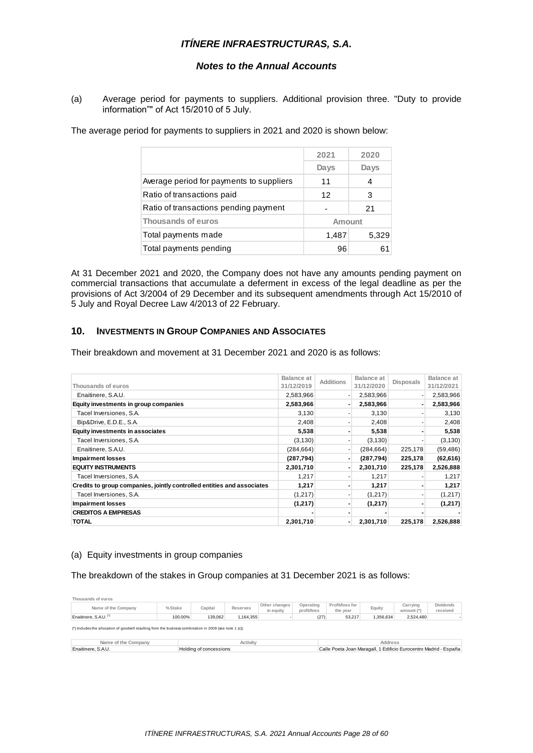### *Notes to the Annual Accounts*

(a) Average period for payments to suppliers. Additional provision three. "Duty to provide information"" of Act 15/2010 of 5 July.

The average period for payments to suppliers in 2021 and 2020 is shown below:

|                                          | 2021   | 2020  |
|------------------------------------------|--------|-------|
|                                          | Days   | Days  |
| Average period for payments to suppliers | 11     | 4     |
| Ratio of transactions paid               | 12     | 3     |
| Ratio of transactions pending payment    |        | 21    |
| <b>Thousands of euros</b>                | Amount |       |
| Total payments made                      | 1,487  | 5,329 |
| Total payments pending                   | 96     | 61    |

At 31 December 2021 and 2020, the Company does not have any amounts pending payment on commercial transactions that accumulate a deferment in excess of the legal deadline as per the provisions of Act 3/2004 of 29 December and its subsequent amendments through Act 15/2010 of 5 July and Royal Decree Law 4/2013 of 22 February.

### **10. INVESTMENTS IN GROUP COMPANIES AND ASSOCIATES**

Their breakdown and movement at 31 December 2021 and 2020 is as follows:

|                                                                        | Balance at |                  | <b>Balance</b> at |           | Balance at |
|------------------------------------------------------------------------|------------|------------------|-------------------|-----------|------------|
| Thousands of euros                                                     | 31/12/2019 | <b>Additions</b> | 31/12/2020        | Disposals | 31/12/2021 |
| Enaitinere, S.A.U.                                                     | 2,583,966  |                  | 2,583,966         |           | 2,583,966  |
| Equity investments in group companies                                  | 2,583,966  |                  | 2,583,966         |           | 2,583,966  |
| Tacel Inversiones, S.A.                                                | 3,130      |                  | 3,130             |           | 3,130      |
| Bip&Drive, E.D.E., S.A.                                                | 2,408      |                  | 2,408             |           | 2,408      |
| Equity investments in associates                                       | 5,538      |                  | 5,538             |           | 5,538      |
| Tacel Inversiones, S.A.                                                | (3, 130)   |                  | (3,130)           |           | (3, 130)   |
| Enaitinere, S.A.U.                                                     | (284, 664) |                  | (284, 664)        | 225,178   | (59, 486)  |
| <b>Impairment losses</b>                                               | (287, 794) |                  | (287, 794)        | 225,178   | (62, 616)  |
| <b>EQUITY INSTRUMENTS</b>                                              | 2,301,710  |                  | 2,301,710         | 225,178   | 2,526,888  |
| Tacel Inversiones, S.A.                                                | 1,217      |                  | 1,217             |           | 1,217      |
| Credits to group companies, jointly controlled entities and associates | 1,217      |                  | 1,217             |           | 1,217      |
| Tacel Inversiones, S.A.                                                | (1,217)    |                  | (1,217)           |           | (1,217)    |
| <b>Impairment losses</b>                                               | (1,217)    |                  | (1,217)           |           | (1,217)    |
| <b>CREDITOS A EMPRESAS</b>                                             |            |                  |                   |           |            |
| <b>TOTAL</b>                                                           | 2,301,710  | $\blacksquare$   | 2,301,710         | 225.178   | 2,526,888  |

#### (a) Equity investments in group companies

The breakdown of the stakes in Group companies at 31 December 2021 is as follows:

| Thousands of euros                                                                                        |         |                        |                 |               |             |                                                                  |           |              |                  |
|-----------------------------------------------------------------------------------------------------------|---------|------------------------|-----------------|---------------|-------------|------------------------------------------------------------------|-----------|--------------|------------------|
| Name of the Company                                                                                       | %Stake  | Capital                |                 | Other changes | Operating   | Profit/loss for                                                  |           | Carrving     | <b>Dividends</b> |
|                                                                                                           |         |                        | <b>Reserves</b> | in equity     | profit/loss | the year                                                         | Equity    | amount $(*)$ | received         |
| Enaitinere, S.A.U. <sup>(*)</sup>                                                                         | 100.00% | 139.062                | 1.164.355       |               |             | (27)<br>53.217                                                   | 1.356.634 | 2.524.480    |                  |
| (*) Includes the allocation of goodwill resulting from the business combination in 2009 (see note 1 (c)). |         |                        |                 |               |             |                                                                  |           |              |                  |
| Activity<br>Name of the Company                                                                           |         |                        |                 |               | Address     |                                                                  |           |              |                  |
| Enaitinere, S.A.U.                                                                                        |         | Holding of concessions |                 |               |             | Calle Poeta Joan Maragall, 1 Edificio Eurocentro Madrid - España |           |              |                  |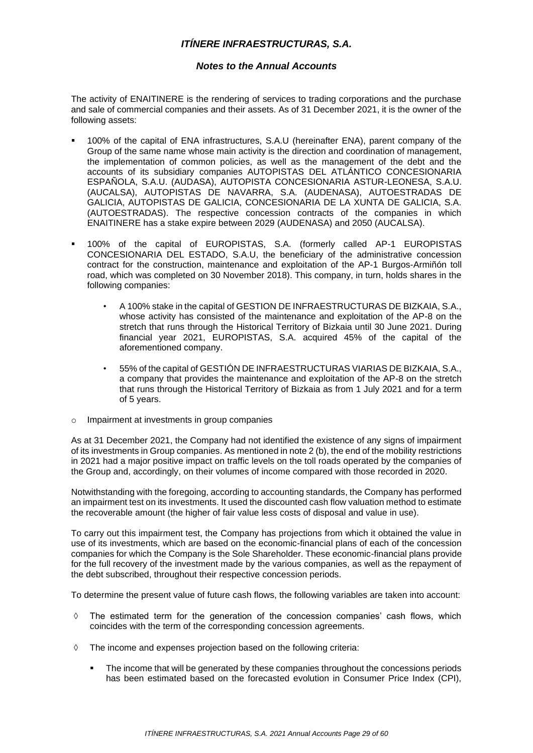### *Notes to the Annual Accounts*

The activity of ENAITINERE is the rendering of services to trading corporations and the purchase and sale of commercial companies and their assets. As of 31 December 2021, it is the owner of the following assets:

- 100% of the capital of ENA infrastructures, S.A.U (hereinafter ENA), parent company of the Group of the same name whose main activity is the direction and coordination of management, the implementation of common policies, as well as the management of the debt and the accounts of its subsidiary companies AUTOPISTAS DEL ATLÁNTICO CONCESIONARIA ESPAÑOLA, S.A.U. (AUDASA), AUTOPISTA CONCESIONARIA ASTUR-LEONESA, S.A.U. (AUCALSA), AUTOPISTAS DE NAVARRA, S.A. (AUDENASA), AUTOESTRADAS DE GALICIA, AUTOPISTAS DE GALICIA, CONCESIONARIA DE LA XUNTA DE GALICIA, S.A. (AUTOESTRADAS). The respective concession contracts of the companies in which ENAITINERE has a stake expire between 2029 (AUDENASA) and 2050 (AUCALSA).
- 100% of the capital of EUROPISTAS, S.A. (formerly called AP-1 EUROPISTAS CONCESIONARIA DEL ESTADO, S.A.U, the beneficiary of the administrative concession contract for the construction, maintenance and exploitation of the AP-1 Burgos-Armiñón toll road, which was completed on 30 November 2018). This company, in turn, holds shares in the following companies:
	- A 100% stake in the capital of GESTION DE INFRAESTRUCTURAS DE BIZKAIA, S.A., whose activity has consisted of the maintenance and exploitation of the AP-8 on the stretch that runs through the Historical Territory of Bizkaia until 30 June 2021. During financial year 2021, EUROPISTAS, S.A. acquired 45% of the capital of the aforementioned company.
	- 55% of the capital of GESTIÓN DE INFRAESTRUCTURAS VIARIAS DE BIZKAIA, S.A., a company that provides the maintenance and exploitation of the AP-8 on the stretch that runs through the Historical Territory of Bizkaia as from 1 July 2021 and for a term of 5 years.
- o Impairment at investments in group companies

As at 31 December 2021, the Company had not identified the existence of any signs of impairment of its investments in Group companies. As mentioned in note 2 (b), the end of the mobility restrictions in 2021 had a major positive impact on traffic levels on the toll roads operated by the companies of the Group and, accordingly, on their volumes of income compared with those recorded in 2020.

Notwithstanding with the foregoing, according to accounting standards, the Company has performed an impairment test on its investments. It used the discounted cash flow valuation method to estimate the recoverable amount (the higher of fair value less costs of disposal and value in use).

To carry out this impairment test, the Company has projections from which it obtained the value in use of its investments, which are based on the economic-financial plans of each of the concession companies for which the Company is the Sole Shareholder. These economic-financial plans provide for the full recovery of the investment made by the various companies, as well as the repayment of the debt subscribed, throughout their respective concession periods.

To determine the present value of future cash flows, the following variables are taken into account:

- $\Diamond$  The estimated term for the generation of the concession companies' cash flows, which coincides with the term of the corresponding concession agreements.
- $\Diamond$  The income and expenses projection based on the following criteria:
	- The income that will be generated by these companies throughout the concessions periods has been estimated based on the forecasted evolution in Consumer Price Index (CPI),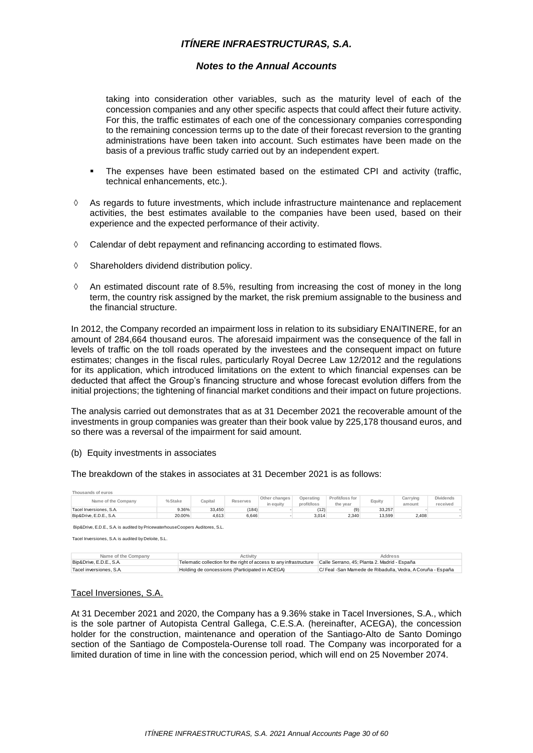### *Notes to the Annual Accounts*

taking into consideration other variables, such as the maturity level of each of the concession companies and any other specific aspects that could affect their future activity. For this, the traffic estimates of each one of the concessionary companies corresponding to the remaining concession terms up to the date of their forecast reversion to the granting administrations have been taken into account. Such estimates have been made on the basis of a previous traffic study carried out by an independent expert.

- The expenses have been estimated based on the estimated CPI and activity (traffic, technical enhancements, etc.).
- $\Diamond$  As regards to future investments, which include infrastructure maintenance and replacement activities, the best estimates available to the companies have been used, based on their experience and the expected performance of their activity.
- $\Diamond$  Calendar of debt repayment and refinancing according to estimated flows.
- $\Diamond$  Shareholders dividend distribution policy.
- $\Diamond$  An estimated discount rate of 8.5%, resulting from increasing the cost of money in the long term, the country risk assigned by the market, the risk premium assignable to the business and the financial structure.

In 2012, the Company recorded an impairment loss in relation to its subsidiary ENAITINERE, for an amount of 284,664 thousand euros. The aforesaid impairment was the consequence of the fall in levels of traffic on the toll roads operated by the investees and the consequent impact on future estimates; changes in the fiscal rules, particularly Royal Decree Law 12/2012 and the regulations for its application, which introduced limitations on the extent to which financial expenses can be deducted that affect the Group's financing structure and whose forecast evolution differs from the initial projections; the tightening of financial market conditions and their impact on future projections.

The analysis carried out demonstrates that as at 31 December 2021 the recoverable amount of the investments in group companies was greater than their book value by 225,178 thousand euros, and so there was a reversal of the impairment for said amount.

#### (b) Equity investments in associates

The breakdown of the stakes in associates at 31 December 2021 is as follows:

| Thousands of euros                                                                                                                  |        |                                                |                 |                                                                    |             |                                                           |         |          |                  |
|-------------------------------------------------------------------------------------------------------------------------------------|--------|------------------------------------------------|-----------------|--------------------------------------------------------------------|-------------|-----------------------------------------------------------|---------|----------|------------------|
|                                                                                                                                     |        |                                                |                 | Other changes                                                      | Operating   | Profit/loss for                                           |         | Carrying | <b>Dividends</b> |
| Name of the Company                                                                                                                 | %Stake | Capital                                        | <b>Reserves</b> | in equity                                                          | profit/loss | the year                                                  | Equity  | amount   | received         |
| Tacel Inversiones, S.A.                                                                                                             | 9.36%  | 33,450                                         | (184)           |                                                                    | (12)        | (9)                                                       | 33.257  |          |                  |
| Bip&Drive, E.D.E., S.A.                                                                                                             | 20.00% | 4.613                                          | 6,646           |                                                                    | 3.014       | 2.340                                                     | 13.599  | 2.408    |                  |
| Bip&Drive, E.D.E., S.A. is audited by PricewaterhouseCoopers Auditores, S.L.<br>Tacel Inversiones, S.A. is audited by Deloite, S.L. |        |                                                |                 |                                                                    |             |                                                           |         |          |                  |
| Name of the Company                                                                                                                 |        |                                                | Activity        |                                                                    |             |                                                           | Address |          |                  |
| Bip&Drive, E.D.E., S.A.                                                                                                             |        |                                                |                 | Telematic collection for the right of access to any infrastructure |             | Calle Serrano, 45; Planta 2. Madrid - España              |         |          |                  |
| Tacel inversiones, S.A.                                                                                                             |        | Holding de concessions (Participated in ACEGA) |                 |                                                                    |             | C/Feal -San Mamede de Ribadulla, Vedra, A Coruña - España |         |          |                  |

#### Tacel Inversiones, S.A.

At 31 December 2021 and 2020, the Company has a 9.36% stake in Tacel Inversiones, S.A., which is the sole partner of Autopista Central Gallega, C.E.S.A. (hereinafter, ACEGA), the concession holder for the construction, maintenance and operation of the Santiago-Alto de Santo Domingo section of the Santiago de Compostela-Ourense toll road. The Company was incorporated for a limited duration of time in line with the concession period, which will end on 25 November 2074.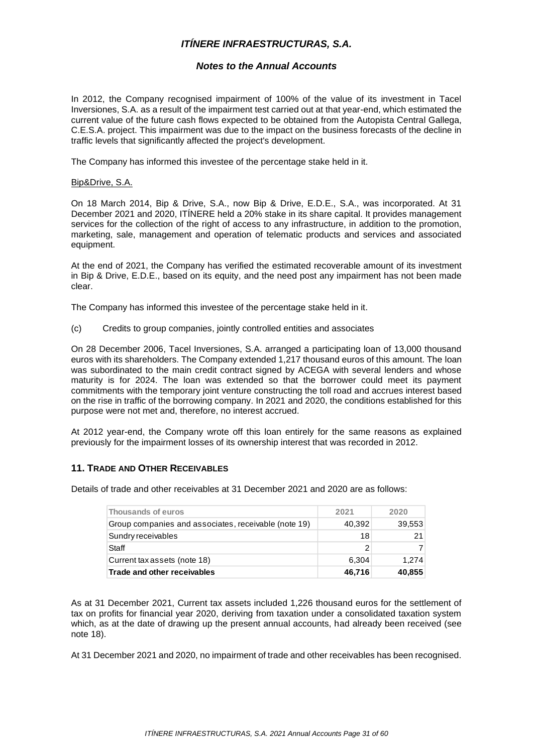### *Notes to the Annual Accounts*

In 2012, the Company recognised impairment of 100% of the value of its investment in Tacel Inversiones, S.A. as a result of the impairment test carried out at that year-end, which estimated the current value of the future cash flows expected to be obtained from the Autopista Central Gallega, C.E.S.A. project. This impairment was due to the impact on the business forecasts of the decline in traffic levels that significantly affected the project's development.

The Company has informed this investee of the percentage stake held in it.

#### Bip&Drive, S.A.

On 18 March 2014, Bip & Drive, S.A., now Bip & Drive, E.D.E., S.A., was incorporated. At 31 December 2021 and 2020, ITÍNERE held a 20% stake in its share capital. It provides management services for the collection of the right of access to any infrastructure, in addition to the promotion, marketing, sale, management and operation of telematic products and services and associated equipment.

At the end of 2021, the Company has verified the estimated recoverable amount of its investment in Bip & Drive, E.D.E., based on its equity, and the need post any impairment has not been made clear.

The Company has informed this investee of the percentage stake held in it.

(c) Credits to group companies, jointly controlled entities and associates

On 28 December 2006, Tacel Inversiones, S.A. arranged a participating loan of 13,000 thousand euros with its shareholders. The Company extended 1,217 thousand euros of this amount. The loan was subordinated to the main credit contract signed by ACEGA with several lenders and whose maturity is for 2024. The loan was extended so that the borrower could meet its payment commitments with the temporary joint venture constructing the toll road and accrues interest based on the rise in traffic of the borrowing company. In 2021 and 2020, the conditions established for this purpose were not met and, therefore, no interest accrued.

At 2012 year-end, the Company wrote off this loan entirely for the same reasons as explained previously for the impairment losses of its ownership interest that was recorded in 2012.

### **11. TRADE AND OTHER RECEIVABLES**

Details of trade and other receivables at 31 December 2021 and 2020 are as follows:

| Thousands of euros                                   | 2021   | 2020            |
|------------------------------------------------------|--------|-----------------|
| Group companies and associates, receivable (note 19) | 40,392 | 39,553          |
| Sundry receivables                                   | 18     | 21 <sub>1</sub> |
| Staff                                                | っ      |                 |
| Current tax assets (note 18)                         | 6.304  | 1.274           |
| Trade and other receivables                          | 46,716 | 40,855          |

As at 31 December 2021, Current tax assets included 1,226 thousand euros for the settlement of tax on profits for financial year 2020, deriving from taxation under a consolidated taxation system which, as at the date of drawing up the present annual accounts, had already been received (see note 18).

At 31 December 2021 and 2020, no impairment of trade and other receivables has been recognised.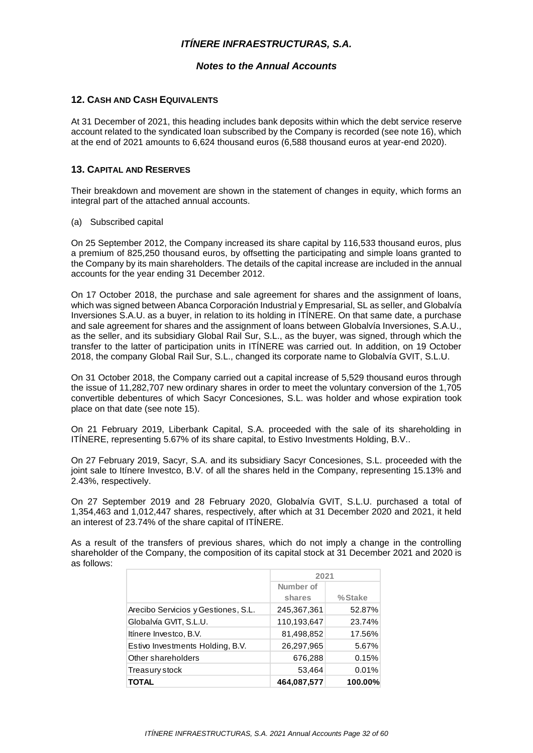### *Notes to the Annual Accounts*

#### **12. CASH AND CASH EQUIVALENTS**

At 31 December of 2021, this heading includes bank deposits within which the debt service reserve account related to the syndicated loan subscribed by the Company is recorded (see note 16), which at the end of 2021 amounts to 6,624 thousand euros (6,588 thousand euros at year-end 2020).

### **13. CAPITAL AND RESERVES**

Their breakdown and movement are shown in the statement of changes in equity, which forms an integral part of the attached annual accounts.

(a) Subscribed capital

On 25 September 2012, the Company increased its share capital by 116,533 thousand euros, plus a premium of 825,250 thousand euros, by offsetting the participating and simple loans granted to the Company by its main shareholders. The details of the capital increase are included in the annual accounts for the year ending 31 December 2012.

On 17 October 2018, the purchase and sale agreement for shares and the assignment of loans, which was signed between Abanca Corporación Industrial y Empresarial, SL as seller, and Globalvía Inversiones S.A.U. as a buyer, in relation to its holding in ITÍNERE. On that same date, a purchase and sale agreement for shares and the assignment of loans between Globalvía Inversiones, S.A.U., as the seller, and its subsidiary Global Rail Sur, S.L., as the buyer, was signed, through which the transfer to the latter of participation units in ITÍNERE was carried out. In addition, on 19 October 2018, the company Global Rail Sur, S.L., changed its corporate name to Globalvía GVIT, S.L.U.

On 31 October 2018, the Company carried out a capital increase of 5,529 thousand euros through the issue of 11,282,707 new ordinary shares in order to meet the voluntary conversion of the 1,705 convertible debentures of which Sacyr Concesiones, S.L. was holder and whose expiration took place on that date (see note 15).

On 21 February 2019, Liberbank Capital, S.A. proceeded with the sale of its shareholding in ITÍNERE, representing 5.67% of its share capital, to Estivo Investments Holding, B.V..

On 27 February 2019, Sacyr, S.A. and its subsidiary Sacyr Concesiones, S.L. proceeded with the joint sale to Itínere Investco, B.V. of all the shares held in the Company, representing 15.13% and 2.43%, respectively.

On 27 September 2019 and 28 February 2020, Globalvía GVIT, S.L.U. purchased a total of 1,354,463 and 1,012,447 shares, respectively, after which at 31 December 2020 and 2021, it held an interest of 23.74% of the share capital of ITÍNERE.

As a result of the transfers of previous shares, which do not imply a change in the controlling shareholder of the Company, the composition of its capital stock at 31 December 2021 and 2020 is as follows:

|                                     | 2021        |         |
|-------------------------------------|-------------|---------|
|                                     | Number of   |         |
|                                     | shares      | %Stake  |
| Arecibo Servicios y Gestiones, S.L. | 245,367,361 | 52.87%  |
| Globalvía GVIT, S.L.U.              | 110,193,647 | 23.74%  |
| Itínere Investco, B.V.              | 81,498,852  | 17.56%  |
| Estivo Investments Holding, B.V.    | 26,297,965  | 5.67%   |
| Other shareholders                  | 676,288     | 0.15%   |
| Treasury stock                      | 53,464      | 0.01%   |
| <b>TOTAL</b>                        | 464,087,577 | 100.00% |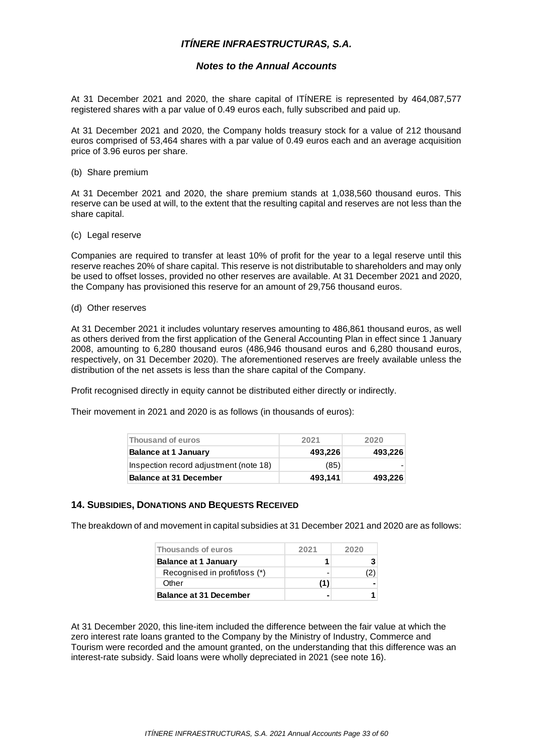### *Notes to the Annual Accounts*

At 31 December 2021 and 2020, the share capital of ITÍNERE is represented by 464,087,577 registered shares with a par value of 0.49 euros each, fully subscribed and paid up.

At 31 December 2021 and 2020, the Company holds treasury stock for a value of 212 thousand euros comprised of 53,464 shares with a par value of 0.49 euros each and an average acquisition price of 3.96 euros per share.

(b) Share premium

At 31 December 2021 and 2020, the share premium stands at 1,038,560 thousand euros. This reserve can be used at will, to the extent that the resulting capital and reserves are not less than the share capital.

(c) Legal reserve

Companies are required to transfer at least 10% of profit for the year to a legal reserve until this reserve reaches 20% of share capital. This reserve is not distributable to shareholders and may only be used to offset losses, provided no other reserves are available. At 31 December 2021 and 2020, the Company has provisioned this reserve for an amount of 29,756 thousand euros.

(d) Other reserves

At 31 December 2021 it includes voluntary reserves amounting to 486,861 thousand euros, as well as others derived from the first application of the General Accounting Plan in effect since 1 January 2008, amounting to 6,280 thousand euros (486,946 thousand euros and 6,280 thousand euros, respectively, on 31 December 2020). The aforementioned reserves are freely available unless the distribution of the net assets is less than the share capital of the Company.

Profit recognised directly in equity cannot be distributed either directly or indirectly.

Their movement in 2021 and 2020 is as follows (in thousands of euros):

| <b>Thousand of euros</b>               | 2021    | 2020    |
|----------------------------------------|---------|---------|
| <b>Balance at 1 January</b>            | 493.226 | 493,226 |
| Inspection record adjustment (note 18) | (85)    |         |
| <b>Balance at 31 December</b>          | 493.141 | 493.226 |

#### **14. SUBSIDIES, DONATIONS AND BEQUESTS RECEIVED**

The breakdown of and movement in capital subsidies at 31 December 2021 and 2020 are as follows:

| Thousands of euros            | 2021 | 2020 |
|-------------------------------|------|------|
| <b>Balance at 1 January</b>   |      |      |
| Recognised in profit/loss (*) |      |      |
| Other                         | (1 ) |      |
| <b>Balance at 31 December</b> |      |      |

At 31 December 2020, this line-item included the difference between the fair value at which the zero interest rate loans granted to the Company by the Ministry of Industry, Commerce and Tourism were recorded and the amount granted, on the understanding that this difference was an interest-rate subsidy. Said loans were wholly depreciated in 2021 (see note 16).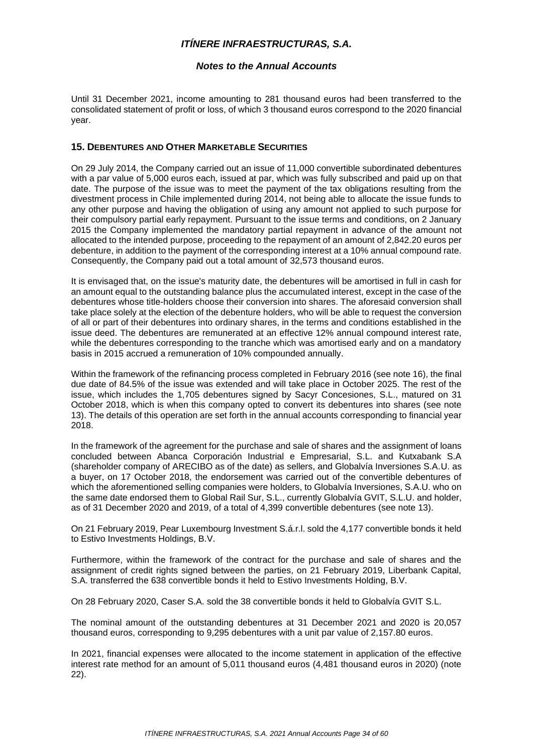## *Notes to the Annual Accounts*

Until 31 December 2021, income amounting to 281 thousand euros had been transferred to the consolidated statement of profit or loss, of which 3 thousand euros correspond to the 2020 financial year.

## **15. DEBENTURES AND OTHER MARKETABLE SECURITIES**

On 29 July 2014, the Company carried out an issue of 11,000 convertible subordinated debentures with a par value of 5,000 euros each, issued at par, which was fully subscribed and paid up on that date. The purpose of the issue was to meet the payment of the tax obligations resulting from the divestment process in Chile implemented during 2014, not being able to allocate the issue funds to any other purpose and having the obligation of using any amount not applied to such purpose for their compulsory partial early repayment. Pursuant to the issue terms and conditions, on 2 January 2015 the Company implemented the mandatory partial repayment in advance of the amount not allocated to the intended purpose, proceeding to the repayment of an amount of 2,842.20 euros per debenture, in addition to the payment of the corresponding interest at a 10% annual compound rate. Consequently, the Company paid out a total amount of 32,573 thousand euros.

It is envisaged that, on the issue's maturity date, the debentures will be amortised in full in cash for an amount equal to the outstanding balance plus the accumulated interest, except in the case of the debentures whose title-holders choose their conversion into shares. The aforesaid conversion shall take place solely at the election of the debenture holders, who will be able to request the conversion of all or part of their debentures into ordinary shares, in the terms and conditions established in the issue deed. The debentures are remunerated at an effective 12% annual compound interest rate, while the debentures corresponding to the tranche which was amortised early and on a mandatory basis in 2015 accrued a remuneration of 10% compounded annually.

Within the framework of the refinancing process completed in February 2016 (see note 16), the final due date of 84.5% of the issue was extended and will take place in October 2025. The rest of the issue, which includes the 1,705 debentures signed by Sacyr Concesiones, S.L., matured on 31 October 2018, which is when this company opted to convert its debentures into shares (see note 13). The details of this operation are set forth in the annual accounts corresponding to financial year 2018.

In the framework of the agreement for the purchase and sale of shares and the assignment of loans concluded between Abanca Corporación Industrial e Empresarial, S.L. and Kutxabank S.A (shareholder company of ARECIBO as of the date) as sellers, and Globalvía Inversiones S.A.U. as a buyer, on 17 October 2018, the endorsement was carried out of the convertible debentures of which the aforementioned selling companies were holders, to Globalvía Inversiones, S.A.U. who on the same date endorsed them to Global Rail Sur, S.L., currently Globalvía GVIT, S.L.U. and holder, as of 31 December 2020 and 2019, of a total of 4,399 convertible debentures (see note 13).

On 21 February 2019, Pear Luxembourg Investment S.á.r.l. sold the 4,177 convertible bonds it held to Estivo Investments Holdings, B.V.

Furthermore, within the framework of the contract for the purchase and sale of shares and the assignment of credit rights signed between the parties, on 21 February 2019, Liberbank Capital, S.A. transferred the 638 convertible bonds it held to Estivo Investments Holding, B.V.

On 28 February 2020, Caser S.A. sold the 38 convertible bonds it held to Globalvía GVIT S.L.

The nominal amount of the outstanding debentures at 31 December 2021 and 2020 is 20,057 thousand euros, corresponding to 9,295 debentures with a unit par value of 2,157.80 euros.

In 2021, financial expenses were allocated to the income statement in application of the effective interest rate method for an amount of 5,011 thousand euros (4,481 thousand euros in 2020) (note 22).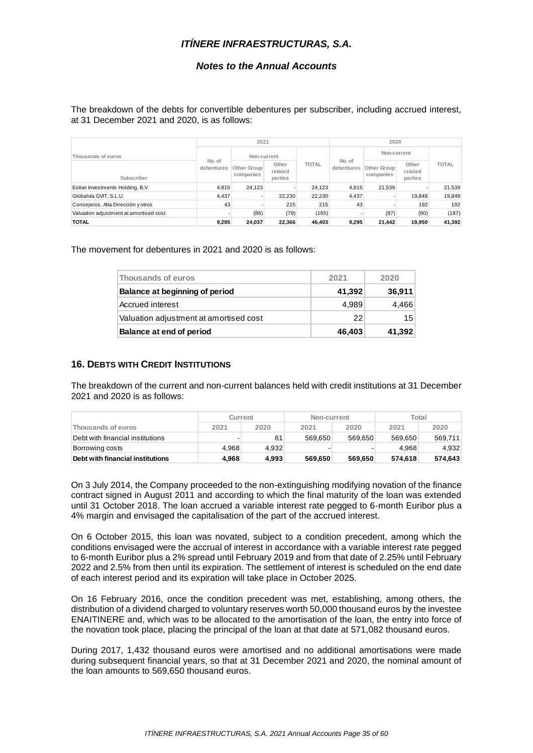### *Notes to the Annual Accounts*

The breakdown of the debts for convertible debentures per subscriber, including accrued interest, at 31 December 2021 and 2020, is as follows:

|                                        |                      | 2021                     |                             |              |                      | 2020                     |                                                                               |              |  |
|----------------------------------------|----------------------|--------------------------|-----------------------------|--------------|----------------------|--------------------------|-------------------------------------------------------------------------------|--------------|--|
| Thousands of euros                     |                      | Non-current              |                             |              |                      |                          |                                                                               |              |  |
| Subscriber                             | No. of<br>debentures | Other Group<br>companies | Other<br>related<br>parties | <b>TOTAL</b> | No. of<br>debentures | Other Group<br>companies | Non-current<br>Other<br>related<br>parties<br>19,848<br>192<br>(90)<br>19,950 | <b>TOTAL</b> |  |
| Estivo Investments Holding, B.V.       | 4.815                | 24,123                   |                             | 24.123       | 4,815                | 21,539                   |                                                                               | 21,539       |  |
| Globalvía GVIT, S.L.U.                 | 4,437                |                          | 22,230                      | 22,230       | 4,437                |                          |                                                                               | 19,848       |  |
| Consejeros, Alta Dirección y otros     | 43                   |                          | 215                         | 215          | 43                   |                          |                                                                               | 192          |  |
| Valuation adjustment at amortised cost |                      | (86)                     | (79)                        | (165)        |                      | (97)                     |                                                                               | (187)        |  |
| <b>TOTAL</b>                           | 9,295                | 24,037                   | 22,366                      | 46,403       | 9,295                | 21,442                   |                                                                               | 41,392       |  |

The movement for debentures in 2021 and 2020 is as follows:

| Thousands of euros                     | 2021   | 2020   |
|----------------------------------------|--------|--------|
| Balance at beginning of period         | 41,392 | 36,911 |
| Accrued interest                       | 4.989  | 4,466  |
| Valuation adjustment at amortised cost | 22     | 15     |
| Balance at end of period               | 46,403 | 41,392 |

### **16. DEBTS WITH CREDIT INSTITUTIONS**

The breakdown of the current and non-current balances held with credit institutions at 31 December 2021 and 2020 is as follows:

|                                  |       | Current |         | Non-current | Total   |         |  |
|----------------------------------|-------|---------|---------|-------------|---------|---------|--|
| Thousands of euros               | 2021  | 2020    | 2021    | 2020        | 2021    | 2020    |  |
| Debt with financial institutions |       | 61      | 569.650 | 569.650     | 569.650 | 569.711 |  |
| Borrowing costs                  | 4.968 | 4.932   |         |             | 4.968   | 4.932   |  |
| Debt with financial institutions | 4.968 | 4.993   | 569,650 | 569.650     | 574.618 | 574.643 |  |

On 3 July 2014, the Company proceeded to the non-extinguishing modifying novation of the finance contract signed in August 2011 and according to which the final maturity of the loan was extended until 31 October 2018. The loan accrued a variable interest rate pegged to 6-month Euribor plus a 4% margin and envisaged the capitalisation of the part of the accrued interest.

On 6 October 2015, this loan was novated, subject to a condition precedent, among which the conditions envisaged were the accrual of interest in accordance with a variable interest rate pegged to 6-month Euribor plus a 2% spread until February 2019 and from that date of 2.25% until February 2022 and 2.5% from then until its expiration. The settlement of interest is scheduled on the end date of each interest period and its expiration will take place in October 2025.

On 16 February 2016, once the condition precedent was met, establishing, among others, the distribution of a dividend charged to voluntary reserves worth 50,000 thousand euros by the investee ENAITINERE and, which was to be allocated to the amortisation of the loan, the entry into force of the novation took place, placing the principal of the loan at that date at 571,082 thousand euros.

During 2017, 1,432 thousand euros were amortised and no additional amortisations were made during subsequent financial years, so that at 31 December 2021 and 2020, the nominal amount of the loan amounts to 569,650 thousand euros.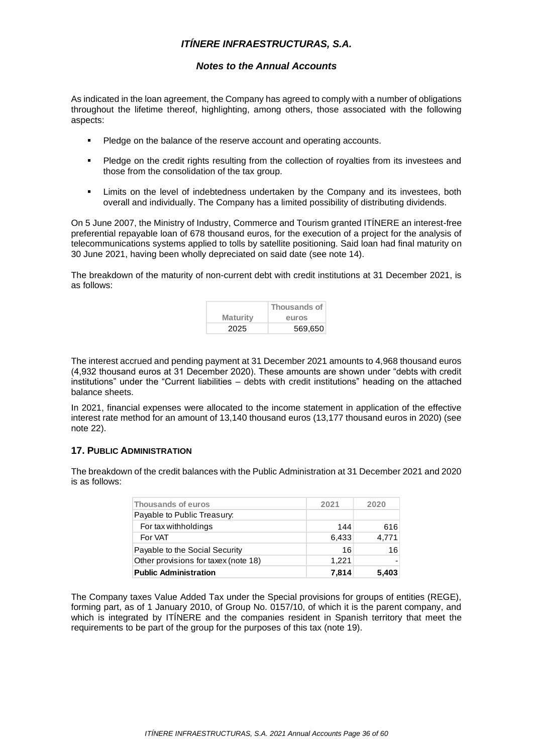### *Notes to the Annual Accounts*

As indicated in the loan agreement, the Company has agreed to comply with a number of obligations throughout the lifetime thereof, highlighting, among others, those associated with the following aspects:

- Pledge on the balance of the reserve account and operating accounts.
- **•** Pledge on the credit rights resulting from the collection of royalties from its investees and those from the consolidation of the tax group.
- **.** Limits on the level of indebtedness undertaken by the Company and its investees, both overall and individually. The Company has a limited possibility of distributing dividends.

On 5 June 2007, the Ministry of Industry, Commerce and Tourism granted ITÍNERE an interest-free preferential repayable loan of 678 thousand euros, for the execution of a project for the analysis of telecommunications systems applied to tolls by satellite positioning. Said loan had final maturity on 30 June 2021, having been wholly depreciated on said date (see note 14).

The breakdown of the maturity of non-current debt with credit institutions at 31 December 2021, is as follows:



The interest accrued and pending payment at 31 December 2021 amounts to 4,968 thousand euros (4,932 thousand euros at 31 December 2020). These amounts are shown under "debts with credit institutions" under the "Current liabilities – debts with credit institutions" heading on the attached balance sheets.

In 2021, financial expenses were allocated to the income statement in application of the effective interest rate method for an amount of 13,140 thousand euros (13,177 thousand euros in 2020) (see note 22).

#### **17. PUBLIC ADMINISTRATION**

The breakdown of the credit balances with the Public Administration at 31 December 2021 and 2020 is as follows:

| Thousands of euros                   | 2021  | 2020  |
|--------------------------------------|-------|-------|
| Payable to Public Treasury:          |       |       |
| For tax withholdings                 | 144   | 616   |
| For VAT                              | 6,433 | 4.771 |
| Payable to the Social Security       | 16    | 16    |
| Other provisions for taxex (note 18) | 1.221 |       |
| <b>Public Administration</b>         | 7.814 | 5.403 |

The Company taxes Value Added Tax under the Special provisions for groups of entities (REGE), forming part, as of 1 January 2010, of Group No. 0157/10, of which it is the parent company, and which is integrated by ITÍNERE and the companies resident in Spanish territory that meet the requirements to be part of the group for the purposes of this tax (note 19).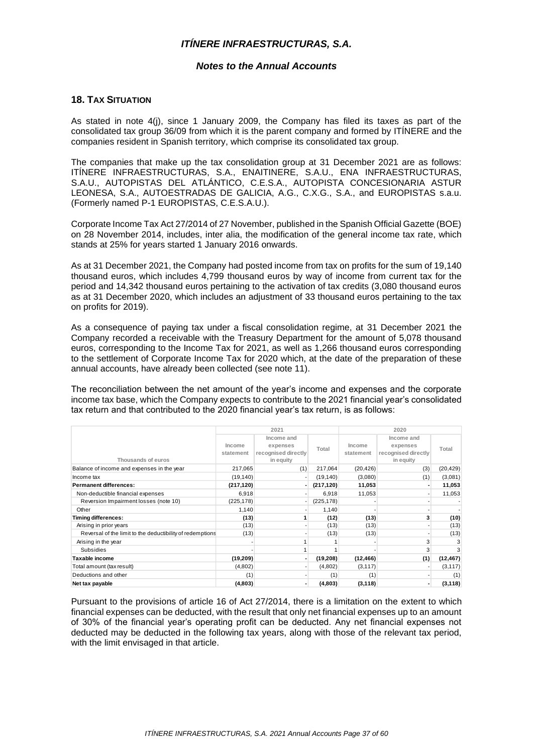### *Notes to the Annual Accounts*

### **18. TAX SITUATION**

As stated in note 4(j), since 1 January 2009, the Company has filed its taxes as part of the consolidated tax group 36/09 from which it is the parent company and formed by ITÍNERE and the companies resident in Spanish territory, which comprise its consolidated tax group.

The companies that make up the tax consolidation group at 31 December 2021 are as follows: ITÍNERE INFRAESTRUCTURAS, S.A., ENAITINERE, S.A.U., ENA INFRAESTRUCTURAS, S.A.U., AUTOPISTAS DEL ATLÁNTICO, C.E.S.A., AUTOPISTA CONCESIONARIA ASTUR LEONESA, S.A., AUTOESTRADAS DE GALICIA, A.G., C.X.G., S.A., and EUROPISTAS s.a.u. (Formerly named P-1 EUROPISTAS, C.E.S.A.U.).

Corporate Income Tax Act 27/2014 of 27 November, published in the Spanish Official Gazette (BOE) on 28 November 2014, includes, inter alia, the modification of the general income tax rate, which stands at 25% for years started 1 January 2016 onwards.

As at 31 December 2021, the Company had posted income from tax on profits for the sum of 19,140 thousand euros, which includes 4,799 thousand euros by way of income from current tax for the period and 14,342 thousand euros pertaining to the activation of tax credits (3,080 thousand euros as at 31 December 2020, which includes an adjustment of 33 thousand euros pertaining to the tax on profits for 2019).

As a consequence of paying tax under a fiscal consolidation regime, at 31 December 2021 the Company recorded a receivable with the Treasury Department for the amount of 5,078 thousand euros, corresponding to the Income Tax for 2021, as well as 1,266 thousand euros corresponding to the settlement of Corporate Income Tax for 2020 which, at the date of the preparation of these annual accounts, have already been collected (see note 11).

The reconciliation between the net amount of the year's income and expenses and the corporate income tax base, which the Company expects to contribute to the 2021 financial year's consolidated tax return and that contributed to the 2020 financial year's tax return, is as follows:

|                                                           | 2021                |                                                            |            |                     | 2020                                                       |           |
|-----------------------------------------------------------|---------------------|------------------------------------------------------------|------------|---------------------|------------------------------------------------------------|-----------|
| Thousands of euros                                        | Income<br>statement | Income and<br>expenses<br>recognised directly<br>in equity | Total      | Income<br>statement | Income and<br>expenses<br>recognised directly<br>in equity | Total     |
| Balance of income and expenses in the year                | 217,065             | (1)                                                        | 217,064    | (20, 426)           | (3)                                                        | (20, 429) |
| Income tax                                                | (19, 140)           |                                                            | (19, 140)  | (3,080)             | (1)                                                        | (3,081)   |
| <b>Permanent differences:</b>                             | (217, 120)          |                                                            | (217, 120) | 11,053              |                                                            | 11,053    |
| Non-deductible financial expenses                         | 6,918               |                                                            | 6,918      | 11,053              |                                                            | 11,053    |
| Reversion Impairment losses (note 10)                     | (225, 178)          |                                                            | (225, 178) |                     |                                                            |           |
| Other                                                     | 1,140               |                                                            | 1,140      |                     |                                                            |           |
| <b>Timing differences:</b>                                | (13)                |                                                            | (12)       | (13)                | 3                                                          | (10)      |
| Arising in prior years                                    | (13)                |                                                            | (13)       | (13)                |                                                            | (13)      |
| Reversal of the limit to the deductibility of redemptions | (13)                |                                                            | (13)       | (13)                |                                                            | (13)      |
| Arising in the year                                       |                     |                                                            |            |                     | 3                                                          | 3         |
| Subsidies                                                 |                     |                                                            |            |                     | 3                                                          | 3         |
| Taxable income                                            | (19, 209)           |                                                            | (19,208)   | (12, 466)           | (1)                                                        | (12, 467) |
| Total amount (tax result)                                 | (4,802)             |                                                            | (4,802)    | (3, 117)            |                                                            | (3, 117)  |
| Deductions and other                                      | (1)                 |                                                            | (1)        | (1)                 |                                                            | (1)       |
| Net tax payable                                           | (4,803)             |                                                            | (4,803)    | (3, 118)            | ٠                                                          | (3, 118)  |

Pursuant to the provisions of article 16 of Act 27/2014, there is a limitation on the extent to which financial expenses can be deducted, with the result that only net financial expenses up to an amount of 30% of the financial year's operating profit can be deducted. Any net financial expenses not deducted may be deducted in the following tax years, along with those of the relevant tax period, with the limit envisaged in that article.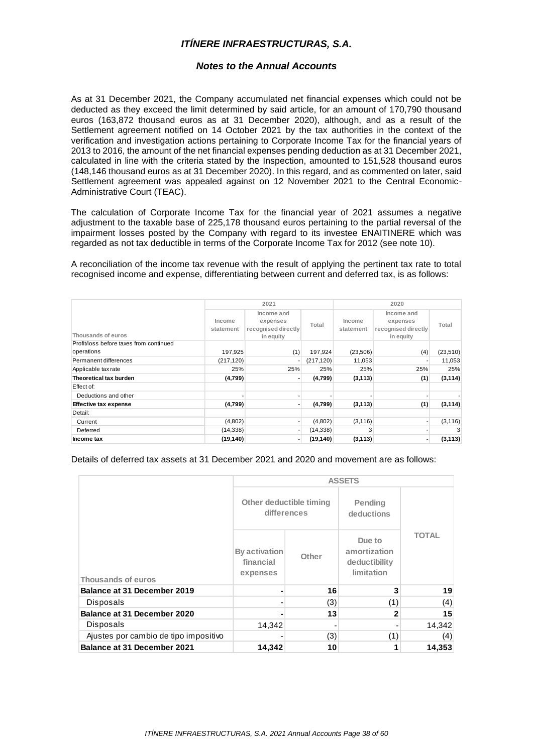### *Notes to the Annual Accounts*

As at 31 December 2021, the Company accumulated net financial expenses which could not be deducted as they exceed the limit determined by said article, for an amount of 170,790 thousand euros (163,872 thousand euros as at 31 December 2020), although, and as a result of the Settlement agreement notified on 14 October 2021 by the tax authorities in the context of the verification and investigation actions pertaining to Corporate Income Tax for the financial years of 2013 to 2016, the amount of the net financial expenses pending deduction as at 31 December 2021, calculated in line with the criteria stated by the Inspection, amounted to 151,528 thousand euros (148,146 thousand euros as at 31 December 2020). In this regard, and as commented on later, said Settlement agreement was appealed against on 12 November 2021 to the Central Economic-Administrative Court (TEAC).

The calculation of Corporate Income Tax for the financial year of 2021 assumes a negative adjustment to the taxable base of 225,178 thousand euros pertaining to the partial reversal of the impairment losses posted by the Company with regard to its investee ENAITINERE which was regarded as not tax deductible in terms of the Corporate Income Tax for 2012 (see note 10).

A reconciliation of the income tax revenue with the result of applying the pertinent tax rate to total recognised income and expense, differentiating between current and deferred tax, is as follows:

|                                         |                     | 2021                                                       |            |                     | 2020                                                       |          |
|-----------------------------------------|---------------------|------------------------------------------------------------|------------|---------------------|------------------------------------------------------------|----------|
| Thousands of euros                      | Income<br>statement | Income and<br>expenses<br>recognised directly<br>in equity | Total      | Income<br>statement | Income and<br>expenses<br>recognised directly<br>in equity | Total    |
| Profit/loss before taxes from continued |                     |                                                            |            |                     |                                                            |          |
| operations                              | 197,925             | (1)                                                        | 197,924    | (23,506)            | (4)                                                        | (23,510) |
| Permanent differences                   | (217, 120)          | ٠                                                          | (217, 120) | 11,053              |                                                            | 11,053   |
| Applicable tax rate                     | 25%                 | 25%                                                        | 25%        | 25%                 | 25%                                                        | 25%      |
| Theoretical tax burden                  | (4,799)             | $\blacksquare$                                             | (4,799)    | (3, 113)            | (1)                                                        | (3, 114) |
| Effect of:                              |                     |                                                            |            |                     |                                                            |          |
| Deductions and other                    |                     |                                                            |            |                     |                                                            |          |
| <b>Effective tax expense</b>            | (4,799)             | $\blacksquare$                                             | (4,799)    | (3, 113)            | (1)                                                        | (3, 114) |
| Detail:                                 |                     |                                                            |            |                     |                                                            |          |
| Current                                 | (4,802)             |                                                            | (4,802)    | (3, 116)            |                                                            | (3, 116) |
| Deferred                                | (14, 338)           | ٠                                                          | (14, 338)  | 3                   |                                                            | 3        |
| Income tax                              | (19, 140)           | $\blacksquare$                                             | (19, 140)  | (3, 113)            | $\overline{\phantom{0}}$                                   | (3, 113) |

Details of deferred tax assets at 31 December 2021 and 2020 and movement are as follows:

|                                       | <b>ASSETS</b>                                 |                                        |                                                       |              |  |
|---------------------------------------|-----------------------------------------------|----------------------------------------|-------------------------------------------------------|--------------|--|
|                                       |                                               | Other deductible timing<br>differences |                                                       |              |  |
| Thousands of euros                    | <b>By activation</b><br>financial<br>expenses | Other                                  | Due to<br>amortization<br>deductibility<br>limitation | <b>TOTAL</b> |  |
| Balance at 31 December 2019           |                                               | 16                                     | 3                                                     | 19           |  |
| <b>Disposals</b>                      |                                               | (3)                                    | (1)                                                   | (4)          |  |
| Balance at 31 December 2020           |                                               | 13                                     | $\mathbf 2$                                           | 15           |  |
| Disposals                             | 14,342                                        |                                        |                                                       | 14,342       |  |
| Ajustes por cambio de tipo impositivo |                                               | (3)                                    | (1)                                                   | (4)          |  |
| Balance at 31 December 2021           | 14,342                                        | 10                                     |                                                       | 14,353       |  |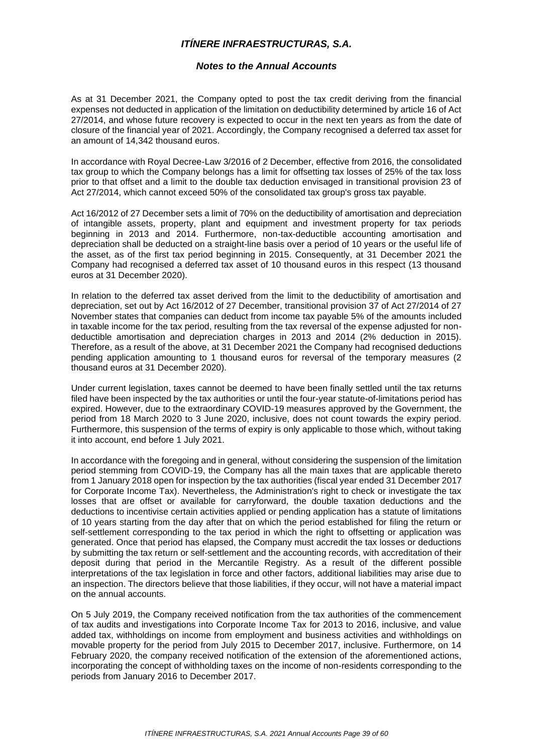### *Notes to the Annual Accounts*

As at 31 December 2021, the Company opted to post the tax credit deriving from the financial expenses not deducted in application of the limitation on deductibility determined by article 16 of Act 27/2014, and whose future recovery is expected to occur in the next ten years as from the date of closure of the financial year of 2021. Accordingly, the Company recognised a deferred tax asset for an amount of 14,342 thousand euros.

In accordance with Royal Decree-Law 3/2016 of 2 December, effective from 2016, the consolidated tax group to which the Company belongs has a limit for offsetting tax losses of 25% of the tax loss prior to that offset and a limit to the double tax deduction envisaged in transitional provision 23 of Act 27/2014, which cannot exceed 50% of the consolidated tax group's gross tax payable.

Act 16/2012 of 27 December sets a limit of 70% on the deductibility of amortisation and depreciation of intangible assets, property, plant and equipment and investment property for tax periods beginning in 2013 and 2014. Furthermore, non-tax-deductible accounting amortisation and depreciation shall be deducted on a straight-line basis over a period of 10 years or the useful life of the asset, as of the first tax period beginning in 2015. Consequently, at 31 December 2021 the Company had recognised a deferred tax asset of 10 thousand euros in this respect (13 thousand euros at 31 December 2020).

In relation to the deferred tax asset derived from the limit to the deductibility of amortisation and depreciation, set out by Act 16/2012 of 27 December, transitional provision 37 of Act 27/2014 of 27 November states that companies can deduct from income tax payable 5% of the amounts included in taxable income for the tax period, resulting from the tax reversal of the expense adjusted for nondeductible amortisation and depreciation charges in 2013 and 2014 (2% deduction in 2015). Therefore, as a result of the above, at 31 December 2021 the Company had recognised deductions pending application amounting to 1 thousand euros for reversal of the temporary measures (2 thousand euros at 31 December 2020).

Under current legislation, taxes cannot be deemed to have been finally settled until the tax returns filed have been inspected by the tax authorities or until the four-year statute-of-limitations period has expired. However, due to the extraordinary COVID-19 measures approved by the Government, the period from 18 March 2020 to 3 June 2020, inclusive, does not count towards the expiry period. Furthermore, this suspension of the terms of expiry is only applicable to those which, without taking it into account, end before 1 July 2021.

In accordance with the foregoing and in general, without considering the suspension of the limitation period stemming from COVID-19, the Company has all the main taxes that are applicable thereto from 1 January 2018 open for inspection by the tax authorities (fiscal year ended 31 December 2017 for Corporate Income Tax). Nevertheless, the Administration's right to check or investigate the tax losses that are offset or available for carryforward, the double taxation deductions and the deductions to incentivise certain activities applied or pending application has a statute of limitations of 10 years starting from the day after that on which the period established for filing the return or self-settlement corresponding to the tax period in which the right to offsetting or application was generated. Once that period has elapsed, the Company must accredit the tax losses or deductions by submitting the tax return or self-settlement and the accounting records, with accreditation of their deposit during that period in the Mercantile Registry. As a result of the different possible interpretations of the tax legislation in force and other factors, additional liabilities may arise due to an inspection. The directors believe that those liabilities, if they occur, will not have a material impact on the annual accounts.

On 5 July 2019, the Company received notification from the tax authorities of the commencement of tax audits and investigations into Corporate Income Tax for 2013 to 2016, inclusive, and value added tax, withholdings on income from employment and business activities and withholdings on movable property for the period from July 2015 to December 2017, inclusive. Furthermore, on 14 February 2020, the company received notification of the extension of the aforementioned actions, incorporating the concept of withholding taxes on the income of non-residents corresponding to the periods from January 2016 to December 2017.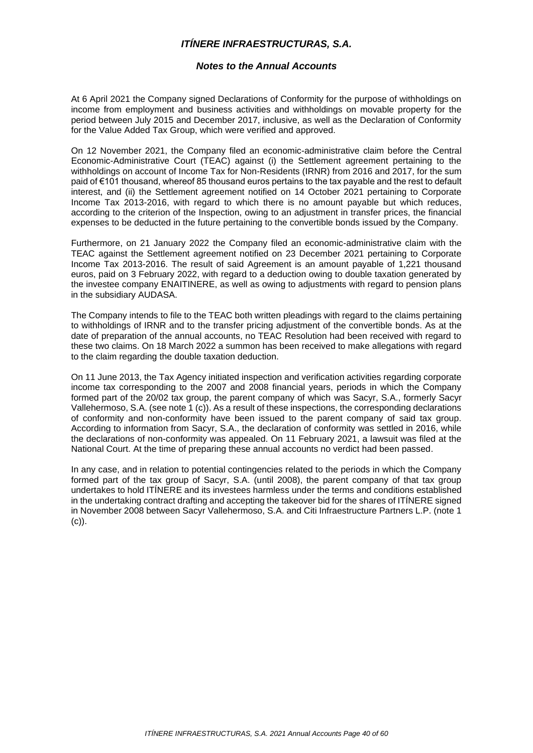### *Notes to the Annual Accounts*

At 6 April 2021 the Company signed Declarations of Conformity for the purpose of withholdings on income from employment and business activities and withholdings on movable property for the period between July 2015 and December 2017, inclusive, as well as the Declaration of Conformity for the Value Added Tax Group, which were verified and approved.

On 12 November 2021, the Company filed an economic-administrative claim before the Central Economic-Administrative Court (TEAC) against (i) the Settlement agreement pertaining to the withholdings on account of Income Tax for Non-Residents (IRNR) from 2016 and 2017, for the sum paid of €101 thousand, whereof 85 thousand euros pertains to the tax payable and the rest to default interest, and (ii) the Settlement agreement notified on 14 October 2021 pertaining to Corporate Income Tax 2013-2016, with regard to which there is no amount payable but which reduces, according to the criterion of the Inspection, owing to an adjustment in transfer prices, the financial expenses to be deducted in the future pertaining to the convertible bonds issued by the Company.

Furthermore, on 21 January 2022 the Company filed an economic-administrative claim with the TEAC against the Settlement agreement notified on 23 December 2021 pertaining to Corporate Income Tax 2013-2016. The result of said Agreement is an amount payable of 1,221 thousand euros, paid on 3 February 2022, with regard to a deduction owing to double taxation generated by the investee company ENAITINERE, as well as owing to adjustments with regard to pension plans in the subsidiary AUDASA.

The Company intends to file to the TEAC both written pleadings with regard to the claims pertaining to withholdings of IRNR and to the transfer pricing adjustment of the convertible bonds. As at the date of preparation of the annual accounts, no TEAC Resolution had been received with regard to these two claims. On 18 March 2022 a summon has been received to make allegations with regard to the claim regarding the double taxation deduction.

On 11 June 2013, the Tax Agency initiated inspection and verification activities regarding corporate income tax corresponding to the 2007 and 2008 financial years, periods in which the Company formed part of the 20/02 tax group, the parent company of which was Sacyr, S.A., formerly Sacyr Vallehermoso, S.A. (see note 1 (c)). As a result of these inspections, the corresponding declarations of conformity and non-conformity have been issued to the parent company of said tax group. According to information from Sacyr, S.A., the declaration of conformity was settled in 2016, while the declarations of non-conformity was appealed. On 11 February 2021, a lawsuit was filed at the National Court. At the time of preparing these annual accounts no verdict had been passed.

In any case, and in relation to potential contingencies related to the periods in which the Company formed part of the tax group of Sacyr, S.A. (until 2008), the parent company of that tax group undertakes to hold ITÍNERE and its investees harmless under the terms and conditions established in the undertaking contract drafting and accepting the takeover bid for the shares of ITÍNERE signed in November 2008 between Sacyr Vallehermoso, S.A. and Citi Infraestructure Partners L.P. (note 1 (c)).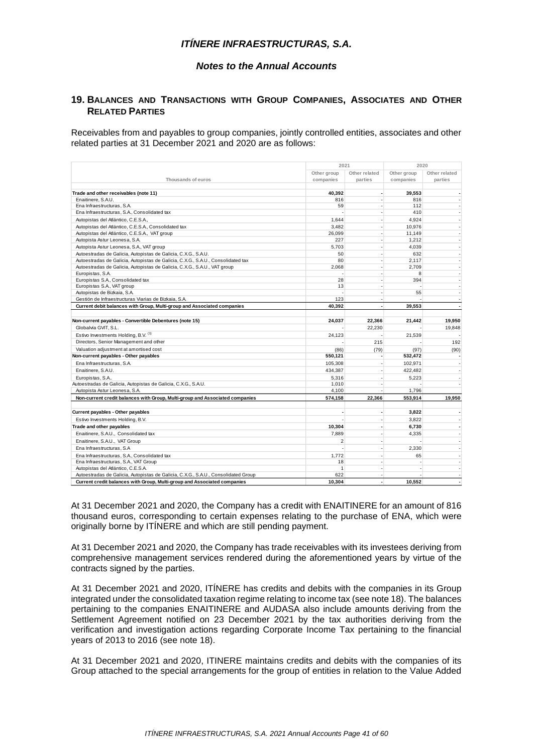### *Notes to the Annual Accounts*

### **19. BALANCES AND TRANSACTIONS WITH GROUP COMPANIES, ASSOCIATES AND OTHER RELATED PARTIES**

Receivables from and payables to group companies, jointly controlled entities, associates and other related parties at 31 December 2021 and 2020 are as follows:

|                                                                                    | 2021           |               | 2020        |                |
|------------------------------------------------------------------------------------|----------------|---------------|-------------|----------------|
|                                                                                    | Other group    | Other related | Other group | Other related  |
| Thousands of euros                                                                 | companies      | parties       | companies   | parties        |
|                                                                                    |                |               |             |                |
| Trade and other receivables (note 11)                                              | 40,392         |               | 39,553      |                |
| Enaitinere, S.A.U.                                                                 | 816            |               | 816         |                |
| Ena Infraestructuras, S.A.                                                         | 59             |               | 112         |                |
| Ena Infraestructuras, S.A., Consolidated tax                                       |                |               | 410         |                |
| Autopistas del Atlántico, C.E.S.A.,                                                | 1,644          |               | 4,924       |                |
| Autopistas del Atlántico, C.E.S.A., Consolidated tax                               | 3,482          |               | 10.976      |                |
| Autopistas del Atlántico, C.E.S.A., VAT group                                      | 26,099         |               | 11.149      |                |
| Autopista Astur Leonesa, S.A.                                                      | 227            |               | 1,212       |                |
| Autopista Astur Leonesa, S.A., VAT group                                           | 5,703          |               | 4,039       | ×              |
| Autoestradas de Galicia, Autopistas de Galicia, C.X.G., S.A.U.                     | 50             |               | 632         |                |
| Autoestradas de Galicia, Autopistas de Galicia, C.X.G., S.A.U., Consolidated tax   | 80             |               | 2,117       |                |
| Autoestradas de Galicia, Autopistas de Galicia, C.X.G., S.A.U., VAT group          | 2,068          |               | 2,709       |                |
| Europistas, S.A.                                                                   |                |               | 8           |                |
| Europistas S.A., Consolidated tax                                                  | 28             |               | 394         |                |
| Europistas S.A., VAT group                                                         | 13             |               |             |                |
| Autopistas de Bizkaia, S.A.                                                        |                |               | 55          |                |
| Gestión de Infraestructuras Viarias de Bizkaia, S.A.                               | 123            |               |             |                |
| Current debit balances with Group, Multi-group and Associated companies            | 40,392         |               | 39,553      | $\blacksquare$ |
|                                                                                    |                |               |             |                |
| Non-current payables - Convertible Debentures (note 15)                            | 24,037         | 22,366        | 21,442      | 19,950         |
| Globalvía GVIT, S.L.                                                               |                | 22,230        |             | 19,848         |
| Estivo Investments Holding, B.V. (1)                                               | 24,123         |               | 21,539      |                |
| Directors, Senior Management and other                                             |                | 215           |             | 192            |
| Valuation adjustment at amortised cost                                             | (86)           | (79)          | (97)        | (90)           |
| Non-current payables - Other payables                                              | 550,121        |               | 532,472     |                |
| Ena Infraestructuras, S.A.                                                         | 105,308        |               | 102.971     |                |
| Enaitinere, S.A.U.                                                                 | 434,387        |               | 422,482     |                |
| Europistas, S.A.                                                                   | 5.316          |               | 5.223       | $\sim$         |
| Autoestradas de Galicia, Autopistas de Galicia, C.X.G., S.A.U.                     | 1,010          |               |             | ×.             |
| Autopista Astur Leonesa, S.A.                                                      | 4,100          |               | 1,796       |                |
| Non-current credit balances with Group, Multi-group and Associated companies       | 574.158        | 22.366        | 553,914     | 19.950         |
|                                                                                    |                |               |             |                |
| Current payables - Other payables                                                  |                |               | 3,822       |                |
|                                                                                    |                |               |             |                |
| Estivo Investments Holding, B.V.                                                   |                |               | 3.822       |                |
| Trade and other payables                                                           | 10,304         |               | 6,730       |                |
| Enaitinere, S.A.U., Consolidated tax                                               | 7,889          |               | 4,335       | ×              |
| Enaitinere, S.A.U., VAT Group                                                      | $\overline{2}$ |               |             |                |
| Ena Infraestructuras, S.A                                                          |                |               | 2.330       |                |
| Ena Infraestructuras, S.A., Consolidated tax                                       | 1,772          |               | 65          |                |
| Ena Infraestructuras, S.A., VAT Group                                              | 18             |               |             | ×              |
| Autopistas del Atlántico, C.E.S.A.                                                 | 1              |               |             | ×              |
| Autoestradas de Galicia, Autopistas de Galicia, C.X.G., S.A.U., Consolidated Group | 622            |               |             | i.             |
| Current credit balances with Group, Multi-group and Associated companies           | 10.304         | ٠             | 10.552      |                |

At 31 December 2021 and 2020, the Company has a credit with ENAITINERE for an amount of 816 thousand euros, corresponding to certain expenses relating to the purchase of ENA, which were originally borne by ITÍNERE and which are still pending payment.

At 31 December 2021 and 2020, the Company has trade receivables with its investees deriving from comprehensive management services rendered during the aforementioned years by virtue of the contracts signed by the parties.

At 31 December 2021 and 2020, ITÍNERE has credits and debits with the companies in its Group integrated under the consolidated taxation regime relating to income tax (see note 18). The balances pertaining to the companies ENAITINERE and AUDASA also include amounts deriving from the Settlement Agreement notified on 23 December 2021 by the tax authorities deriving from the verification and investigation actions regarding Corporate Income Tax pertaining to the financial years of 2013 to 2016 (see note 18).

At 31 December 2021 and 2020, ITINERE maintains credits and debits with the companies of its Group attached to the special arrangements for the group of entities in relation to the Value Added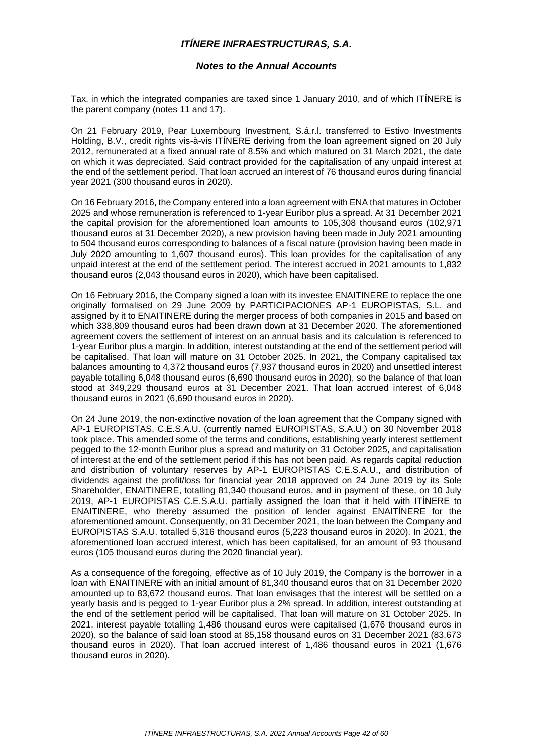### *Notes to the Annual Accounts*

Tax, in which the integrated companies are taxed since 1 January 2010, and of which ITÍNERE is the parent company (notes 11 and 17).

On 21 February 2019, Pear Luxembourg Investment, S.á.r.l. transferred to Estivo Investments Holding, B.V., credit rights vis-à-vis ITÍNERE deriving from the loan agreement signed on 20 July 2012, remunerated at a fixed annual rate of 8.5% and which matured on 31 March 2021, the date on which it was depreciated. Said contract provided for the capitalisation of any unpaid interest at the end of the settlement period. That loan accrued an interest of 76 thousand euros during financial year 2021 (300 thousand euros in 2020).

On 16 February 2016, the Company entered into a loan agreement with ENA that matures in October 2025 and whose remuneration is referenced to 1-year Euribor plus a spread. At 31 December 2021 the capital provision for the aforementioned loan amounts to 105,308 thousand euros (102,971 thousand euros at 31 December 2020), a new provision having been made in July 2021 amounting to 504 thousand euros corresponding to balances of a fiscal nature (provision having been made in July 2020 amounting to 1,607 thousand euros). This loan provides for the capitalisation of any unpaid interest at the end of the settlement period. The interest accrued in 2021 amounts to 1,832 thousand euros (2,043 thousand euros in 2020), which have been capitalised.

On 16 February 2016, the Company signed a loan with its investee ENAITINERE to replace the one originally formalised on 29 June 2009 by PARTICIPACIONES AP-1 EUROPISTAS, S.L. and assigned by it to ENAITINERE during the merger process of both companies in 2015 and based on which 338,809 thousand euros had been drawn down at 31 December 2020. The aforementioned agreement covers the settlement of interest on an annual basis and its calculation is referenced to 1-year Euribor plus a margin. In addition, interest outstanding at the end of the settlement period will be capitalised. That loan will mature on 31 October 2025. In 2021, the Company capitalised tax balances amounting to 4,372 thousand euros (7,937 thousand euros in 2020) and unsettled interest payable totalling 6,048 thousand euros (6,690 thousand euros in 2020), so the balance of that loan stood at 349,229 thousand euros at 31 December 2021. That loan accrued interest of 6,048 thousand euros in 2021 (6,690 thousand euros in 2020).

On 24 June 2019, the non-extinctive novation of the loan agreement that the Company signed with AP-1 EUROPISTAS, C.E.S.A.U. (currently named EUROPISTAS, S.A.U.) on 30 November 2018 took place. This amended some of the terms and conditions, establishing yearly interest settlement pegged to the 12-month Euribor plus a spread and maturity on 31 October 2025, and capitalisation of interest at the end of the settlement period if this has not been paid. As regards capital reduction and distribution of voluntary reserves by AP-1 EUROPISTAS C.E.S.A.U., and distribution of dividends against the profit/loss for financial year 2018 approved on 24 June 2019 by its Sole Shareholder, ENAITINERE, totalling 81,340 thousand euros, and in payment of these, on 10 July 2019, AP-1 EUROPISTAS C.E.S.A.U. partially assigned the loan that it held with ITÍNERE to ENAITINERE, who thereby assumed the position of lender against ENAITÍNERE for the aforementioned amount. Consequently, on 31 December 2021, the loan between the Company and EUROPISTAS S.A.U. totalled 5,316 thousand euros (5,223 thousand euros in 2020). In 2021, the aforementioned loan accrued interest, which has been capitalised, for an amount of 93 thousand euros (105 thousand euros during the 2020 financial year).

As a consequence of the foregoing, effective as of 10 July 2019, the Company is the borrower in a loan with ENAITINERE with an initial amount of 81,340 thousand euros that on 31 December 2020 amounted up to 83,672 thousand euros. That loan envisages that the interest will be settled on a yearly basis and is pegged to 1-year Euribor plus a 2% spread. In addition, interest outstanding at the end of the settlement period will be capitalised. That loan will mature on 31 October 2025. In 2021, interest payable totalling 1,486 thousand euros were capitalised (1,676 thousand euros in 2020), so the balance of said loan stood at 85,158 thousand euros on 31 December 2021 (83,673 thousand euros in 2020). That loan accrued interest of 1,486 thousand euros in 2021 (1,676 thousand euros in 2020).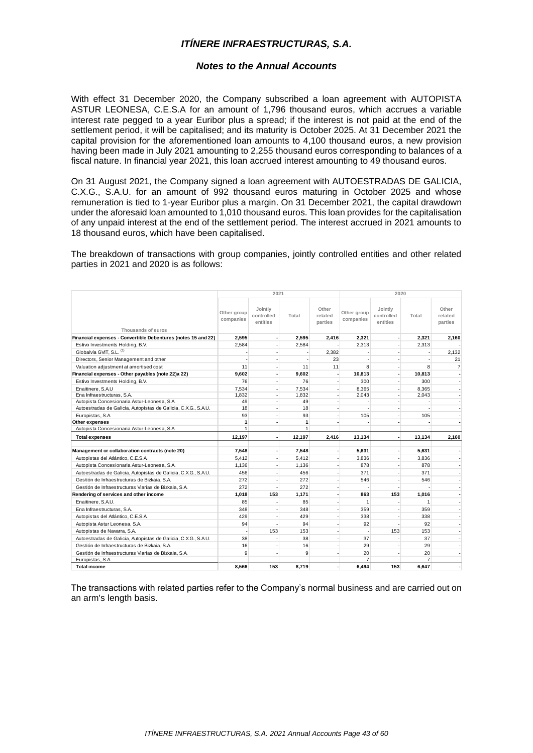### *Notes to the Annual Accounts*

With effect 31 December 2020, the Company subscribed a loan agreement with AUTOPISTA ASTUR LEONESA, C.E.S.A for an amount of 1,796 thousand euros, which accrues a variable interest rate pegged to a year Euribor plus a spread; if the interest is not paid at the end of the settlement period, it will be capitalised; and its maturity is October 2025. At 31 December 2021 the capital provision for the aforementioned loan amounts to 4,100 thousand euros, a new provision having been made in July 2021 amounting to 2,255 thousand euros corresponding to balances of a fiscal nature. In financial year 2021, this loan accrued interest amounting to 49 thousand euros.

On 31 August 2021, the Company signed a loan agreement with AUTOESTRADAS DE GALICIA, C.X.G., S.A.U. for an amount of 992 thousand euros maturing in October 2025 and whose remuneration is tied to 1-year Euribor plus a margin. On 31 December 2021, the capital drawdown under the aforesaid loan amounted to 1,010 thousand euros. This loan provides for the capitalisation of any unpaid interest at the end of the settlement period. The interest accrued in 2021 amounts to 18 thousand euros, which have been capitalised.

The breakdown of transactions with group companies, jointly controlled entities and other related parties in 2021 and 2020 is as follows:

|                                                                |                          | 2021                              |              |                             | 2020                     |                                   |                |                             |
|----------------------------------------------------------------|--------------------------|-----------------------------------|--------------|-----------------------------|--------------------------|-----------------------------------|----------------|-----------------------------|
| Thousands of euros                                             | Other group<br>companies | Jointly<br>controlled<br>entities | Total        | Other<br>related<br>parties | Other group<br>companies | Jointly<br>controlled<br>entities | Total          | Other<br>related<br>parties |
| Financial expenses - Convertible Debentures (notes 15 and 22)  | 2,595                    |                                   | 2,595        | 2,416                       | 2,321                    |                                   | 2,321          | 2,160                       |
| Estivo Investments Holding, B.V.                               | 2,584                    |                                   | 2,584        |                             | 2,313                    |                                   | 2,313          |                             |
| Globalvía GVIT, S.L. (1)                                       |                          |                                   |              | 2.382                       |                          |                                   |                | 2.132                       |
| Directors, Senior Management and other                         |                          |                                   |              | 23                          |                          |                                   |                | 21                          |
| Valuation adjustment at amortised cost                         | 11                       |                                   | 11           | 11                          | 8                        |                                   | 8              | $\overline{7}$              |
| Financial expenses - Other payables (note 22)a 22)             | 9,602                    |                                   | 9,602        |                             | 10,813                   |                                   | 10,813         |                             |
| Estivo Investments Holding, B.V.                               | 76                       |                                   | 76           |                             | 300                      |                                   | 300            |                             |
| Enaitinere, S.A.U                                              | 7,534                    |                                   | 7,534        |                             | 8.365                    |                                   | 8.365          |                             |
| Ena Infraestructuras, S.A.                                     | 1,832                    |                                   | 1,832        |                             | 2,043                    |                                   | 2,043          |                             |
| Autopista Concesionaria Astur-Leonesa, S.A.                    | 49                       |                                   | 49           |                             |                          |                                   |                |                             |
| Autoestradas de Galicia, Autopistas de Galicia, C.X.G., S.A.U. | 18                       |                                   | 18           |                             |                          |                                   |                |                             |
| Europistas, S.A.                                               | 93                       |                                   | 93           |                             | 105                      |                                   | 105            |                             |
| Other expenses                                                 | $\mathbf{1}$             |                                   | $\mathbf{1}$ |                             |                          |                                   |                |                             |
| Autopista Concesionaria Astur-Leonesa, S.A.                    | $\mathbf{1}$             |                                   | $\mathbf{1}$ |                             |                          |                                   |                |                             |
| <b>Total expenses</b>                                          | 12,197                   |                                   | 12,197       | 2,416                       | 13,134                   |                                   | 13,134         | 2,160                       |
| Management or collaboration contracts (note 20)                | 7,548                    |                                   | 7.548        |                             | 5.631                    |                                   | 5,631          |                             |
| Autopistas del Atlántico, C.E.S.A.                             | 5,412                    |                                   | 5,412        |                             | 3,836                    |                                   | 3,836          |                             |
| Autopista Concesionaria Astur-Leonesa, S.A.                    | 1.136                    |                                   | 1,136        |                             | 878                      |                                   | 878            |                             |
| Autoestradas de Galicia, Autopistas de Galicia, C.X.G., S.A.U. | 456                      |                                   | 456          |                             | 371                      |                                   | 371            |                             |
| Gestión de Infraestructuras de Bizkaia, S.A.                   | 272                      |                                   | 272          |                             | 546                      |                                   | 546            |                             |
| Gestión de Infraestructuras Viarias de Bizkaia, S.A.           | 272                      |                                   | 272          |                             |                          |                                   |                |                             |
| Rendering of services and other income                         | 1,018                    | 153                               | 1,171        |                             | 863                      | 153                               | 1,016          |                             |
| Enaitinere, S.A.U.                                             | 85                       |                                   | 85           |                             | $\mathbf{1}$             |                                   | 1              |                             |
| Ena Infraestructuras, S.A.                                     | 348                      |                                   | 348          |                             | 359                      |                                   | 359            |                             |
| Autopistas del Atlántico, C.E.S.A.                             | 429                      |                                   | 429          |                             | 338                      |                                   | 338            |                             |
| Autopista Astur Leonesa, S.A.                                  | 94                       |                                   | 94           |                             | 92                       |                                   | 92             |                             |
| Autopistas de Navarra, S.A.                                    |                          | 153                               | 153          |                             |                          | 153                               | 153            |                             |
| Autoestradas de Galicia, Autopistas de Galicia, C.X.G., S.A.U. | 38                       |                                   | 38           |                             | 37                       |                                   | 37             |                             |
| Gestión de Infraestructuras de Bizkaia, S.A.                   | 16                       |                                   | 16           |                             | 29                       |                                   | 29             |                             |
| Gestión de Infraestructuras Viarias de Bizkaia, S.A.           | 9                        |                                   | 9            |                             | 20                       |                                   | 20             |                             |
| Europistas, S.A.                                               |                          |                                   |              |                             | $\overline{7}$           |                                   | $\overline{7}$ |                             |
| <b>Total income</b>                                            | 8,566                    | 153                               | 8,719        |                             | 6,494                    | 153                               | 6.647          |                             |

The transactions with related parties refer to the Company's normal business and are carried out on an arm's length basis.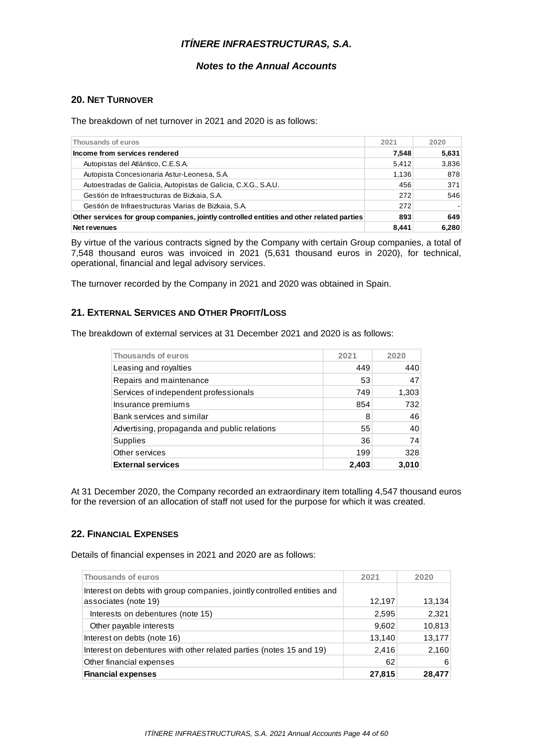# *Notes to the Annual Accounts*

## **20. NET TURNOVER**

The breakdown of net turnover in 2021 and 2020 is as follows:

| Thousands of euros                                                                        | 2021  | 2020  |
|-------------------------------------------------------------------------------------------|-------|-------|
| Income from services rendered                                                             | 7,548 | 5,631 |
| Autopistas del Atlántico, C.E.S.A.                                                        | 5,412 | 3,836 |
| Autopista Concesionaria Astur-Leonesa, S.A.                                               | 1.136 | 878   |
| Autoestradas de Galicia, Autopistas de Galicia, C.X.G., S.A.U.                            | 456   | 371   |
| Gestión de Infraestructuras de Bizkaia, S.A.                                              | 272   | 546   |
| Gestión de Infraestructuras Viarias de Bizkaia, S.A.                                      | 272   |       |
| Other services for group companies, jointly controlled entities and other related parties | 893   | 649   |
| Net revenues                                                                              | 8.441 | 6,280 |

By virtue of the various contracts signed by the Company with certain Group companies, a total of 7,548 thousand euros was invoiced in 2021 (5,631 thousand euros in 2020), for technical, operational, financial and legal advisory services.

The turnover recorded by the Company in 2021 and 2020 was obtained in Spain.

# **21. EXTERNAL SERVICES AND OTHER PROFIT/LOSS**

The breakdown of external services at 31 December 2021 and 2020 is as follows:

| <b>Thousands of euros</b>                    | 2021  | 2020  |
|----------------------------------------------|-------|-------|
| Leasing and royalties                        | 449   | 440   |
| Repairs and maintenance                      | 53    | 47    |
| Services of independent professionals        | 749   | 1,303 |
| Insurance premiums                           | 854   | 732   |
| Bank services and similar                    | 8     | 46    |
| Advertising, propaganda and public relations | 55    | 40    |
| Supplies                                     | 36    | 74    |
| Other services                               | 199   | 328   |
| <b>External services</b>                     | 2.403 | 3.010 |

At 31 December 2020, the Company recorded an extraordinary item totalling 4,547 thousand euros for the reversion of an allocation of staff not used for the purpose for which it was created.

# **22. FINANCIAL EXPENSES**

Details of financial expenses in 2021 and 2020 are as follows:

| Thousands of euros                                                                              | 2021   | 2020   |
|-------------------------------------------------------------------------------------------------|--------|--------|
| Interest on debts with group companies, jointly controlled entities and<br>associates (note 19) | 12,197 | 13,134 |
| Interests on debentures (note 15)                                                               | 2,595  | 2,321  |
| Other payable interests                                                                         | 9,602  | 10,813 |
| Interest on debts (note 16)                                                                     | 13,140 | 13,177 |
| Interest on debentures with other related parties (notes 15 and 19)                             | 2,416  | 2,160  |
| Other financial expenses                                                                        | 62     | 6      |
| <b>Financial expenses</b>                                                                       | 27,815 | 28,477 |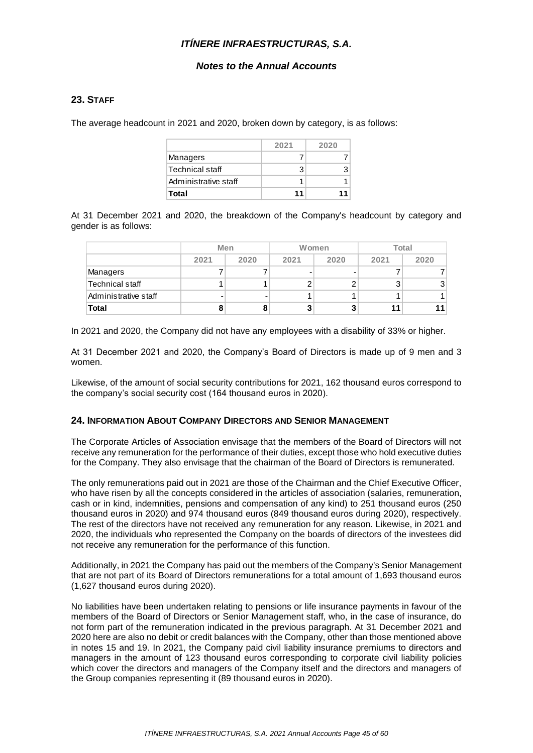### *Notes to the Annual Accounts*

### **23. STAFF**

The average headcount in 2021 and 2020, broken down by category, is as follows:

|                      | 2021 | 2020 |
|----------------------|------|------|
| Managers             |      |      |
| ∣Technical staff     | 3    |      |
| Administrative staff |      |      |
| Total                |      |      |

At 31 December 2021 and 2020, the breakdown of the Company's headcount by category and gender is as follows:

|                      | Men  |      | Women |      | Total |      |
|----------------------|------|------|-------|------|-------|------|
|                      | 2021 | 2020 | 2021  | 2020 | 2021  | 2020 |
| Managers             |      |      | ۰     |      |       |      |
| Technical staff      |      |      | 2     |      | c     | 31   |
| Administrative staff | -    | -    |       |      |       |      |
| <b>Total</b>         |      |      | 3     |      |       |      |

In 2021 and 2020, the Company did not have any employees with a disability of 33% or higher.

At 31 December 2021 and 2020, the Company's Board of Directors is made up of 9 men and 3 women.

Likewise, of the amount of social security contributions for 2021, 162 thousand euros correspond to the company's social security cost (164 thousand euros in 2020).

### **24. INFORMATION ABOUT COMPANY DIRECTORS AND SENIOR MANAGEMENT**

The Corporate Articles of Association envisage that the members of the Board of Directors will not receive any remuneration for the performance of their duties, except those who hold executive duties for the Company. They also envisage that the chairman of the Board of Directors is remunerated.

The only remunerations paid out in 2021 are those of the Chairman and the Chief Executive Officer, who have risen by all the concepts considered in the articles of association (salaries, remuneration, cash or in kind, indemnities, pensions and compensation of any kind) to 251 thousand euros (250 thousand euros in 2020) and 974 thousand euros (849 thousand euros during 2020), respectively. The rest of the directors have not received any remuneration for any reason. Likewise, in 2021 and 2020, the individuals who represented the Company on the boards of directors of the investees did not receive any remuneration for the performance of this function.

Additionally, in 2021 the Company has paid out the members of the Company's Senior Management that are not part of its Board of Directors remunerations for a total amount of 1,693 thousand euros (1,627 thousand euros during 2020).

No liabilities have been undertaken relating to pensions or life insurance payments in favour of the members of the Board of Directors or Senior Management staff, who, in the case of insurance, do not form part of the remuneration indicated in the previous paragraph. At 31 December 2021 and 2020 here are also no debit or credit balances with the Company, other than those mentioned above in notes 15 and 19. In 2021, the Company paid civil liability insurance premiums to directors and managers in the amount of 123 thousand euros corresponding to corporate civil liability policies which cover the directors and managers of the Company itself and the directors and managers of the Group companies representing it (89 thousand euros in 2020).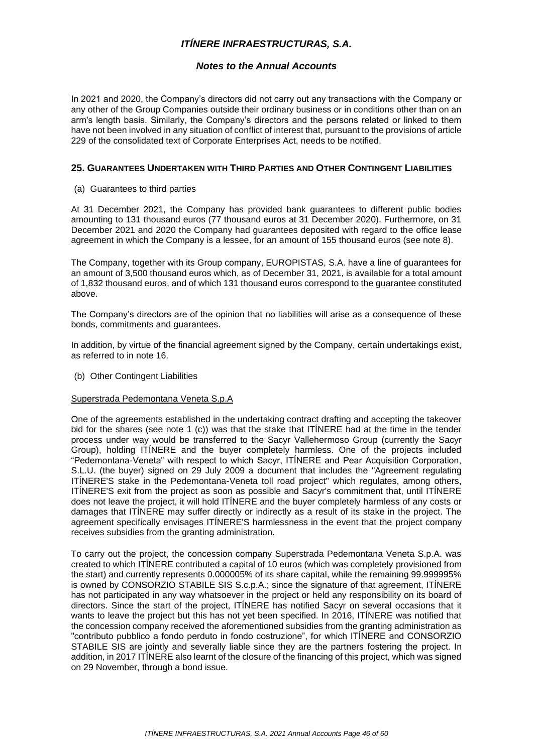### *Notes to the Annual Accounts*

In 2021 and 2020, the Company's directors did not carry out any transactions with the Company or any other of the Group Companies outside their ordinary business or in conditions other than on an arm's length basis. Similarly, the Company's directors and the persons related or linked to them have not been involved in any situation of conflict of interest that, pursuant to the provisions of article 229 of the consolidated text of Corporate Enterprises Act, needs to be notified.

#### **25. GUARANTEES UNDERTAKEN WITH THIRD PARTIES AND OTHER CONTINGENT LIABILITIES**

(a) Guarantees to third parties

At 31 December 2021, the Company has provided bank guarantees to different public bodies amounting to 131 thousand euros (77 thousand euros at 31 December 2020). Furthermore, on 31 December 2021 and 2020 the Company had guarantees deposited with regard to the office lease agreement in which the Company is a lessee, for an amount of 155 thousand euros (see note 8).

The Company, together with its Group company, EUROPISTAS, S.A. have a line of guarantees for an amount of 3,500 thousand euros which, as of December 31, 2021, is available for a total amount of 1,832 thousand euros, and of which 131 thousand euros correspond to the guarantee constituted above.

The Company's directors are of the opinion that no liabilities will arise as a consequence of these bonds, commitments and guarantees.

In addition, by virtue of the financial agreement signed by the Company, certain undertakings exist, as referred to in note 16.

(b) Other Contingent Liabilities

#### Superstrada Pedemontana Veneta S.p.A

One of the agreements established in the undertaking contract drafting and accepting the takeover bid for the shares (see note 1 (c)) was that the stake that ITÍNERE had at the time in the tender process under way would be transferred to the Sacyr Vallehermoso Group (currently the Sacyr Group), holding ITÍNERE and the buyer completely harmless. One of the projects included "Pedemontana-Veneta" with respect to which Sacyr, ITÍNERE and Pear Acquisition Corporation, S.L.U. (the buyer) signed on 29 July 2009 a document that includes the "Agreement regulating ITÍNERE'S stake in the Pedemontana-Veneta toll road project" which regulates, among others, ITÍNERE'S exit from the project as soon as possible and Sacyr's commitment that, until ITÍNERE does not leave the project, it will hold ITÍNERE and the buyer completely harmless of any costs or damages that ITÍNERE may suffer directly or indirectly as a result of its stake in the project. The agreement specifically envisages ITÍNERE'S harmlessness in the event that the project company receives subsidies from the granting administration.

To carry out the project, the concession company Superstrada Pedemontana Veneta S.p.A. was created to which ITÍNERE contributed a capital of 10 euros (which was completely provisioned from the start) and currently represents 0.000005% of its share capital, while the remaining 99.999995% is owned by CONSORZIO STABILE SIS S.c.p.A.; since the signature of that agreement, ITÍNERE has not participated in any way whatsoever in the project or held any responsibility on its board of directors. Since the start of the project, ITÍNERE has notified Sacyr on several occasions that it wants to leave the project but this has not yet been specified. In 2016, ITÍNERE was notified that the concession company received the aforementioned subsidies from the granting administration as "contributo pubblico a fondo perduto in fondo costruzione", for which ITÍNERE and CONSORZIO STABILE SIS are jointly and severally liable since they are the partners fostering the project. In addition, in 2017 ITÍNERE also learnt of the closure of the financing of this project, which was signed on 29 November, through a bond issue.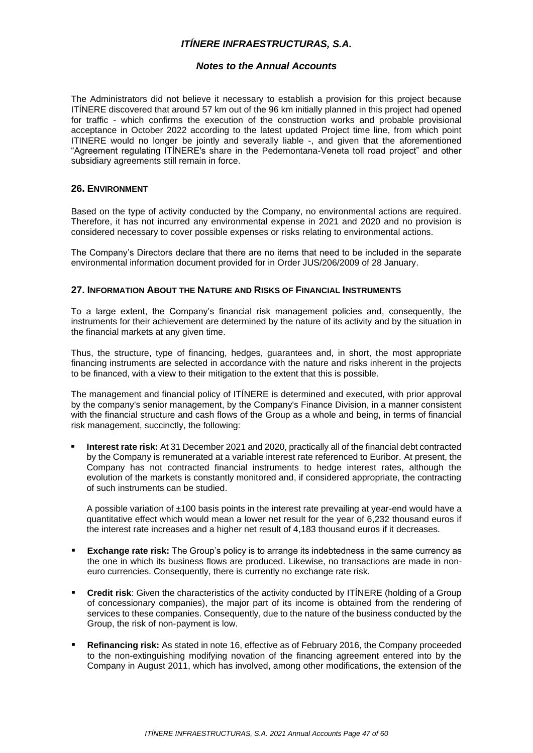### *Notes to the Annual Accounts*

The Administrators did not believe it necessary to establish a provision for this project because ITÍNERE discovered that around 57 km out of the 96 km initially planned in this project had opened for traffic - which confirms the execution of the construction works and probable provisional acceptance in October 2022 according to the latest updated Project time line, from which point ITINERE would no longer be jointly and severally liable -, and given that the aforementioned "Agreement regulating ITÍNERE's share in the Pedemontana-Veneta toll road project" and other subsidiary agreements still remain in force.

#### **26. ENVIRONMENT**

Based on the type of activity conducted by the Company, no environmental actions are required. Therefore, it has not incurred any environmental expense in 2021 and 2020 and no provision is considered necessary to cover possible expenses or risks relating to environmental actions.

The Company's Directors declare that there are no items that need to be included in the separate environmental information document provided for in Order JUS/206/2009 of 28 January.

# **27. INFORMATION ABOUT THE NATURE AND RISKS OF FINANCIAL INSTRUMENTS**

To a large extent, the Company's financial risk management policies and, consequently, the instruments for their achievement are determined by the nature of its activity and by the situation in the financial markets at any given time.

Thus, the structure, type of financing, hedges, guarantees and, in short, the most appropriate financing instruments are selected in accordance with the nature and risks inherent in the projects to be financed, with a view to their mitigation to the extent that this is possible.

The management and financial policy of ITÍNERE is determined and executed, with prior approval by the company's senior management, by the Company's Finance Division, in a manner consistent with the financial structure and cash flows of the Group as a whole and being, in terms of financial risk management, succinctly, the following:

**Interest rate risk:** At 31 December 2021 and 2020, practically all of the financial debt contracted by the Company is remunerated at a variable interest rate referenced to Euribor. At present, the Company has not contracted financial instruments to hedge interest rates, although the evolution of the markets is constantly monitored and, if considered appropriate, the contracting of such instruments can be studied.

A possible variation of ±100 basis points in the interest rate prevailing at year-end would have a quantitative effect which would mean a lower net result for the year of 6,232 thousand euros if the interest rate increases and a higher net result of 4,183 thousand euros if it decreases.

- **Exchange rate risk:** The Group's policy is to arrange its indebtedness in the same currency as the one in which its business flows are produced. Likewise, no transactions are made in noneuro currencies. Consequently, there is currently no exchange rate risk.
- **Credit risk:** Given the characteristics of the activity conducted by ITINERE (holding of a Group of concessionary companies), the major part of its income is obtained from the rendering of services to these companies. Consequently, due to the nature of the business conducted by the Group, the risk of non-payment is low.
- **Refinancing risk:** As stated in note 16, effective as of February 2016, the Company proceeded to the non-extinguishing modifying novation of the financing agreement entered into by the Company in August 2011, which has involved, among other modifications, the extension of the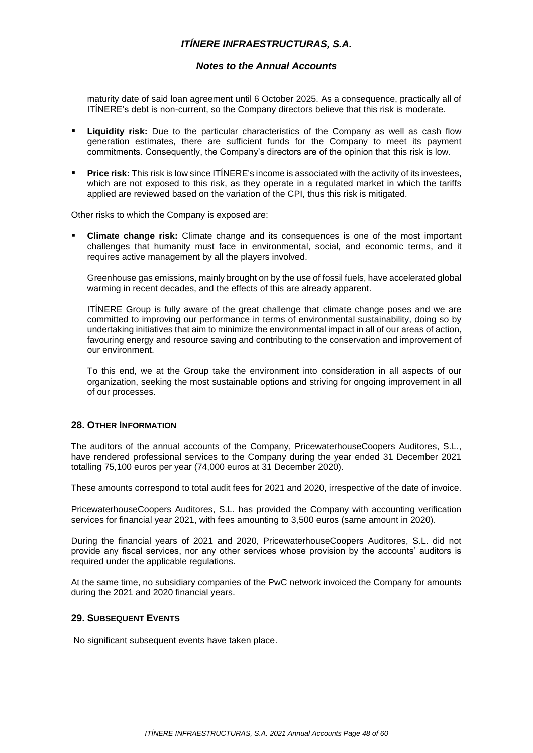### *Notes to the Annual Accounts*

maturity date of said loan agreement until 6 October 2025. As a consequence, practically all of ITÍNERE's debt is non-current, so the Company directors believe that this risk is moderate.

- **Liquidity risk:** Due to the particular characteristics of the Company as well as cash flow generation estimates, there are sufficient funds for the Company to meet its payment commitments. Consequently, the Company's directors are of the opinion that this risk is low.
- **Price risk:** This risk is low since ITINERE's income is associated with the activity of its investees, which are not exposed to this risk, as they operate in a regulated market in which the tariffs applied are reviewed based on the variation of the CPI, thus this risk is mitigated.

Other risks to which the Company is exposed are:

**Climate change risk:** Climate change and its consequences is one of the most important challenges that humanity must face in environmental, social, and economic terms, and it requires active management by all the players involved.

Greenhouse gas emissions, mainly brought on by the use of fossil fuels, have accelerated global warming in recent decades, and the effects of this are already apparent.

ITÍNERE Group is fully aware of the great challenge that climate change poses and we are committed to improving our performance in terms of environmental sustainability, doing so by undertaking initiatives that aim to minimize the environmental impact in all of our areas of action, favouring energy and resource saving and contributing to the conservation and improvement of our environment.

To this end, we at the Group take the environment into consideration in all aspects of our organization, seeking the most sustainable options and striving for ongoing improvement in all of our processes.

#### **28. OTHER INFORMATION**

The auditors of the annual accounts of the Company, PricewaterhouseCoopers Auditores, S.L., have rendered professional services to the Company during the year ended 31 December 2021 totalling 75,100 euros per year (74,000 euros at 31 December 2020).

These amounts correspond to total audit fees for 2021 and 2020, irrespective of the date of invoice.

PricewaterhouseCoopers Auditores, S.L. has provided the Company with accounting verification services for financial year 2021, with fees amounting to 3,500 euros (same amount in 2020).

During the financial years of 2021 and 2020, PricewaterhouseCoopers Auditores, S.L. did not provide any fiscal services, nor any other services whose provision by the accounts' auditors is required under the applicable regulations.

At the same time, no subsidiary companies of the PwC network invoiced the Company for amounts during the 2021 and 2020 financial years.

### **29. SUBSEQUENT EVENTS**

No significant subsequent events have taken place.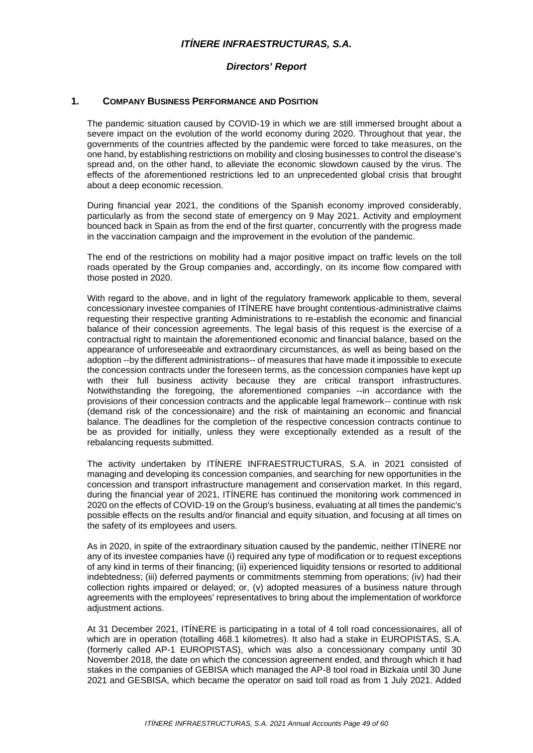## *Directors' Report*

### **1. COMPANY BUSINESS PERFORMANCE AND POSITION**

The pandemic situation caused by COVID-19 in which we are still immersed brought about a severe impact on the evolution of the world economy during 2020. Throughout that year, the governments of the countries affected by the pandemic were forced to take measures, on the one hand, by establishing restrictions on mobility and closing businesses to control the disease's spread and, on the other hand, to alleviate the economic slowdown caused by the virus. The effects of the aforementioned restrictions led to an unprecedented global crisis that brought about a deep economic recession.

During financial year 2021, the conditions of the Spanish economy improved considerably, particularly as from the second state of emergency on 9 May 2021. Activity and employment bounced back in Spain as from the end of the first quarter, concurrently with the progress made in the vaccination campaign and the improvement in the evolution of the pandemic.

The end of the restrictions on mobility had a major positive impact on traffic levels on the toll roads operated by the Group companies and, accordingly, on its income flow compared with those posted in 2020.

With regard to the above, and in light of the regulatory framework applicable to them, several concessionary investee companies of ITÍNERE have brought contentious-administrative claims requesting their respective granting Administrations to re-establish the economic and financial balance of their concession agreements. The legal basis of this request is the exercise of a contractual right to maintain the aforementioned economic and financial balance, based on the appearance of unforeseeable and extraordinary circumstances, as well as being based on the adoption --by the different administrations-- of measures that have made it impossible to execute the concession contracts under the foreseen terms, as the concession companies have kept up with their full business activity because they are critical transport infrastructures. Notwithstanding the foregoing, the aforementioned companies --in accordance with the provisions of their concession contracts and the applicable legal framework-- continue with risk (demand risk of the concessionaire) and the risk of maintaining an economic and financial balance. The deadlines for the completion of the respective concession contracts continue to be as provided for initially, unless they were exceptionally extended as a result of the rebalancing requests submitted.

The activity undertaken by ITÍNERE INFRAESTRUCTURAS, S.A. in 2021 consisted of managing and developing its concession companies, and searching for new opportunities in the concession and transport infrastructure management and conservation market. In this regard, during the financial year of 2021, ITÍNERE has continued the monitoring work commenced in 2020 on the effects of COVID-19 on the Group's business, evaluating at all times the pandemic's possible effects on the results and/or financial and equity situation, and focusing at all times on the safety of its employees and users.

As in 2020, in spite of the extraordinary situation caused by the pandemic, neither ITÍNERE nor any of its investee companies have (i) required any type of modification or to request exceptions of any kind in terms of their financing; (ii) experienced liquidity tensions or resorted to additional indebtedness; (iii) deferred payments or commitments stemming from operations; (iv) had their collection rights impaired or delayed; or, (v) adopted measures of a business nature through agreements with the employees' representatives to bring about the implementation of workforce adjustment actions.

At 31 December 2021, ITÍNERE is participating in a total of 4 toll road concessionaires, all of which are in operation (totalling 468.1 kilometres). It also had a stake in EUROPISTAS, S.A. (formerly called AP-1 EUROPISTAS), which was also a concessionary company until 30 November 2018, the date on which the concession agreement ended, and through which it had stakes in the companies of GEBISA which managed the AP-8 tool road in Bizkaia until 30 June 2021 and GESBISA, which became the operator on said toll road as from 1 July 2021. Added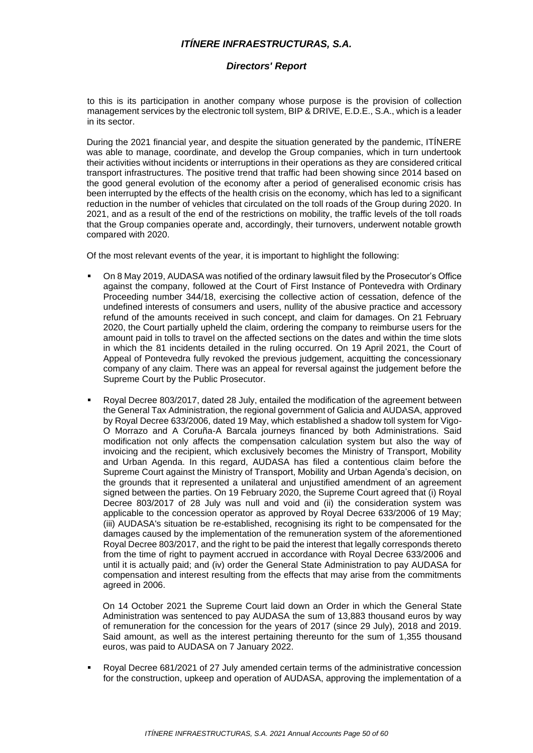## *Directors' Report*

to this is its participation in another company whose purpose is the provision of collection management services by the electronic toll system, BIP & DRIVE, E.D.E., S.A., which is a leader in its sector.

During the 2021 financial year, and despite the situation generated by the pandemic, ITÍNERE was able to manage, coordinate, and develop the Group companies, which in turn undertook their activities without incidents or interruptions in their operations as they are considered critical transport infrastructures. The positive trend that traffic had been showing since 2014 based on the good general evolution of the economy after a period of generalised economic crisis has been interrupted by the effects of the health crisis on the economy, which has led to a significant reduction in the number of vehicles that circulated on the toll roads of the Group during 2020. In 2021, and as a result of the end of the restrictions on mobility, the traffic levels of the toll roads that the Group companies operate and, accordingly, their turnovers, underwent notable growth compared with 2020.

Of the most relevant events of the year, it is important to highlight the following:

- On 8 May 2019, AUDASA was notified of the ordinary lawsuit filed by the Prosecutor's Office against the company, followed at the Court of First Instance of Pontevedra with Ordinary Proceeding number 344/18, exercising the collective action of cessation, defence of the undefined interests of consumers and users, nullity of the abusive practice and accessory refund of the amounts received in such concept, and claim for damages. On 21 February 2020, the Court partially upheld the claim, ordering the company to reimburse users for the amount paid in tolls to travel on the affected sections on the dates and within the time slots in which the 81 incidents detailed in the ruling occurred. On 19 April 2021, the Court of Appeal of Pontevedra fully revoked the previous judgement, acquitting the concessionary company of any claim. There was an appeal for reversal against the judgement before the Supreme Court by the Public Prosecutor.
- Royal Decree 803/2017, dated 28 July, entailed the modification of the agreement between the General Tax Administration, the regional government of Galicia and AUDASA, approved by Royal Decree 633/2006, dated 19 May, which established a shadow toll system for Vigo-O Morrazo and A Coruña-A Barcala journeys financed by both Administrations. Said modification not only affects the compensation calculation system but also the way of invoicing and the recipient, which exclusively becomes the Ministry of Transport, Mobility and Urban Agenda. In this regard, AUDASA has filed a contentious claim before the Supreme Court against the Ministry of Transport, Mobility and Urban Agenda's decision, on the grounds that it represented a unilateral and unjustified amendment of an agreement signed between the parties. On 19 February 2020, the Supreme Court agreed that (i) Royal Decree 803/2017 of 28 July was null and void and (ii) the consideration system was applicable to the concession operator as approved by Royal Decree 633/2006 of 19 May; (iii) AUDASA's situation be re-established, recognising its right to be compensated for the damages caused by the implementation of the remuneration system of the aforementioned Royal Decree 803/2017, and the right to be paid the interest that legally corresponds thereto from the time of right to payment accrued in accordance with Royal Decree 633/2006 and until it is actually paid; and (iv) order the General State Administration to pay AUDASA for compensation and interest resulting from the effects that may arise from the commitments agreed in 2006.

On 14 October 2021 the Supreme Court laid down an Order in which the General State Administration was sentenced to pay AUDASA the sum of 13,883 thousand euros by way of remuneration for the concession for the years of 2017 (since 29 July), 2018 and 2019. Said amount, as well as the interest pertaining thereunto for the sum of 1,355 thousand euros, was paid to AUDASA on 7 January 2022.

Royal Decree 681/2021 of 27 July amended certain terms of the administrative concession for the construction, upkeep and operation of AUDASA, approving the implementation of a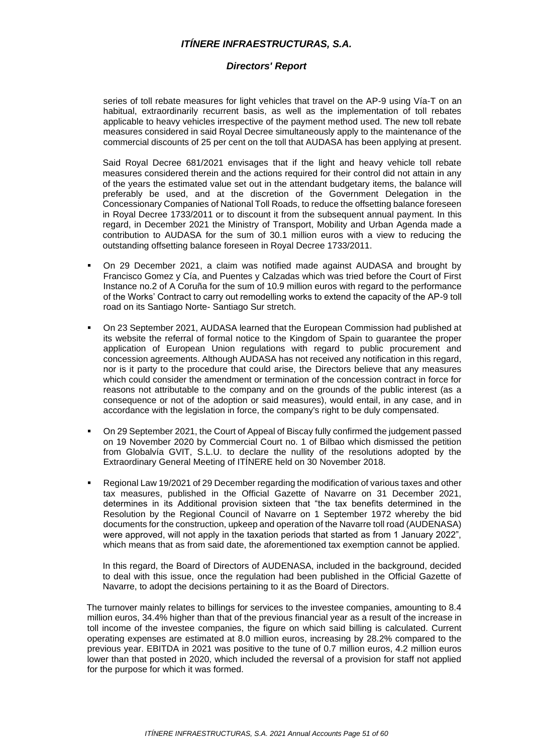### *Directors' Report*

series of toll rebate measures for light vehicles that travel on the AP-9 using Vía-T on an habitual, extraordinarily recurrent basis, as well as the implementation of toll rebates applicable to heavy vehicles irrespective of the payment method used. The new toll rebate measures considered in said Royal Decree simultaneously apply to the maintenance of the commercial discounts of 25 per cent on the toll that AUDASA has been applying at present.

Said Royal Decree 681/2021 envisages that if the light and heavy vehicle toll rebate measures considered therein and the actions required for their control did not attain in any of the years the estimated value set out in the attendant budgetary items, the balance will preferably be used, and at the discretion of the Government Delegation in the Concessionary Companies of National Toll Roads, to reduce the offsetting balance foreseen in Royal Decree 1733/2011 or to discount it from the subsequent annual payment. In this regard, in December 2021 the Ministry of Transport, Mobility and Urban Agenda made a contribution to AUDASA for the sum of 30.1 million euros with a view to reducing the outstanding offsetting balance foreseen in Royal Decree 1733/2011.

- On 29 December 2021, a claim was notified made against AUDASA and brought by Francisco Gomez y Cía, and Puentes y Calzadas which was tried before the Court of First Instance no.2 of A Coruña for the sum of 10.9 million euros with regard to the performance of the Works' Contract to carry out remodelling works to extend the capacity of the AP-9 toll road on its Santiago Norte- Santiago Sur stretch.
- On 23 September 2021, AUDASA learned that the European Commission had published at its website the referral of formal notice to the Kingdom of Spain to guarantee the proper application of European Union regulations with regard to public procurement and concession agreements. Although AUDASA has not received any notification in this regard, nor is it party to the procedure that could arise, the Directors believe that any measures which could consider the amendment or termination of the concession contract in force for reasons not attributable to the company and on the grounds of the public interest (as a consequence or not of the adoption or said measures), would entail, in any case, and in accordance with the legislation in force, the company's right to be duly compensated.
- On 29 September 2021, the Court of Appeal of Biscay fully confirmed the judgement passed on 19 November 2020 by Commercial Court no. 1 of Bilbao which dismissed the petition from Globalvía GVIT, S.L.U. to declare the nullity of the resolutions adopted by the Extraordinary General Meeting of ITÍNERE held on 30 November 2018.
- Regional Law 19/2021 of 29 December regarding the modification of various taxes and other tax measures, published in the Official Gazette of Navarre on 31 December 2021, determines in its Additional provision sixteen that "the tax benefits determined in the Resolution by the Regional Council of Navarre on 1 September 1972 whereby the bid documents for the construction, upkeep and operation of the Navarre toll road (AUDENASA) were approved, will not apply in the taxation periods that started as from 1 January 2022". which means that as from said date, the aforementioned tax exemption cannot be applied.

In this regard, the Board of Directors of AUDENASA, included in the background, decided to deal with this issue, once the regulation had been published in the Official Gazette of Navarre, to adopt the decisions pertaining to it as the Board of Directors.

The turnover mainly relates to billings for services to the investee companies, amounting to 8.4 million euros, 34.4% higher than that of the previous financial year as a result of the increase in toll income of the investee companies, the figure on which said billing is calculated. Current operating expenses are estimated at 8.0 million euros, increasing by 28.2% compared to the previous year. EBITDA in 2021 was positive to the tune of 0.7 million euros, 4.2 million euros lower than that posted in 2020, which included the reversal of a provision for staff not applied for the purpose for which it was formed.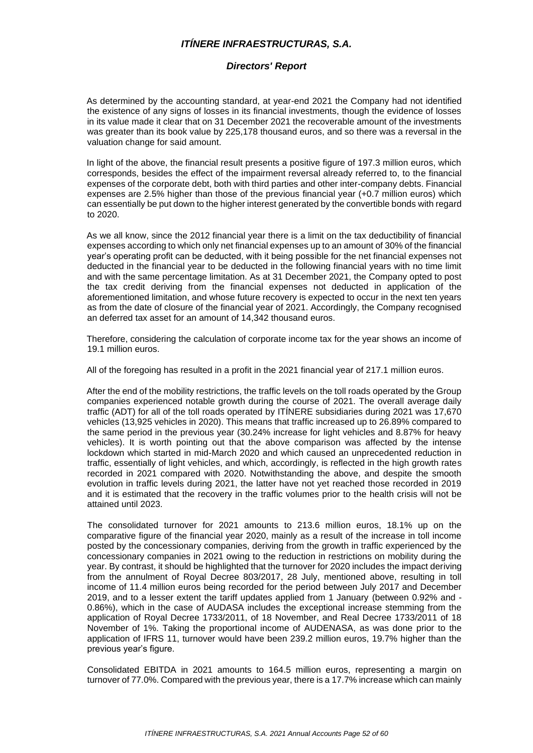## *Directors' Report*

As determined by the accounting standard, at year-end 2021 the Company had not identified the existence of any signs of losses in its financial investments, though the evidence of losses in its value made it clear that on 31 December 2021 the recoverable amount of the investments was greater than its book value by 225,178 thousand euros, and so there was a reversal in the valuation change for said amount.

In light of the above, the financial result presents a positive figure of 197.3 million euros, which corresponds, besides the effect of the impairment reversal already referred to, to the financial expenses of the corporate debt, both with third parties and other inter-company debts. Financial expenses are 2.5% higher than those of the previous financial year (+0.7 million euros) which can essentially be put down to the higher interest generated by the convertible bonds with regard to 2020.

As we all know, since the 2012 financial year there is a limit on the tax deductibility of financial expenses according to which only net financial expenses up to an amount of 30% of the financial year's operating profit can be deducted, with it being possible for the net financial expenses not deducted in the financial year to be deducted in the following financial years with no time limit and with the same percentage limitation. As at 31 December 2021, the Company opted to post the tax credit deriving from the financial expenses not deducted in application of the aforementioned limitation, and whose future recovery is expected to occur in the next ten years as from the date of closure of the financial year of 2021. Accordingly, the Company recognised an deferred tax asset for an amount of 14,342 thousand euros.

Therefore, considering the calculation of corporate income tax for the year shows an income of 19.1 million euros.

All of the foregoing has resulted in a profit in the 2021 financial year of 217.1 million euros.

After the end of the mobility restrictions, the traffic levels on the toll roads operated by the Group companies experienced notable growth during the course of 2021. The overall average daily traffic (ADT) for all of the toll roads operated by ITÍNERE subsidiaries during 2021 was 17,670 vehicles (13,925 vehicles in 2020). This means that traffic increased up to 26.89% compared to the same period in the previous year (30.24% increase for light vehicles and 8.87% for heavy vehicles). It is worth pointing out that the above comparison was affected by the intense lockdown which started in mid-March 2020 and which caused an unprecedented reduction in traffic, essentially of light vehicles, and which, accordingly, is reflected in the high growth rates recorded in 2021 compared with 2020. Notwithstanding the above, and despite the smooth evolution in traffic levels during 2021, the latter have not yet reached those recorded in 2019 and it is estimated that the recovery in the traffic volumes prior to the health crisis will not be attained until 2023.

The consolidated turnover for 2021 amounts to 213.6 million euros, 18.1% up on the comparative figure of the financial year 2020, mainly as a result of the increase in toll income posted by the concessionary companies, deriving from the growth in traffic experienced by the concessionary companies in 2021 owing to the reduction in restrictions on mobility during the year. By contrast, it should be highlighted that the turnover for 2020 includes the impact deriving from the annulment of Royal Decree 803/2017, 28 July, mentioned above, resulting in toll income of 11.4 million euros being recorded for the period between July 2017 and December 2019, and to a lesser extent the tariff updates applied from 1 January (between 0.92% and - 0.86%), which in the case of AUDASA includes the exceptional increase stemming from the application of Royal Decree 1733/2011, of 18 November, and Real Decree 1733/2011 of 18 November of 1%. Taking the proportional income of AUDENASA, as was done prior to the application of IFRS 11, turnover would have been 239.2 million euros, 19.7% higher than the previous year's figure.

Consolidated EBITDA in 2021 amounts to 164.5 million euros, representing a margin on turnover of 77.0%. Compared with the previous year, there is a 17.7% increase which can mainly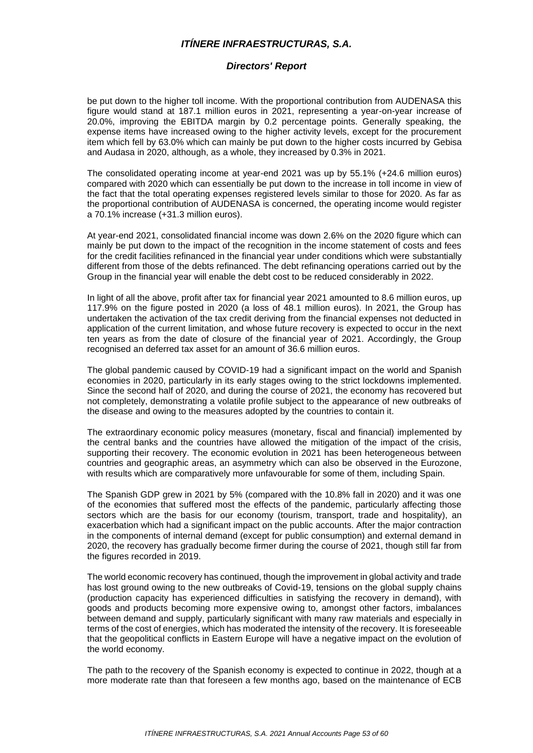### *Directors' Report*

be put down to the higher toll income. With the proportional contribution from AUDENASA this figure would stand at 187.1 million euros in 2021, representing a year-on-year increase of 20.0%, improving the EBITDA margin by 0.2 percentage points. Generally speaking, the expense items have increased owing to the higher activity levels, except for the procurement item which fell by 63.0% which can mainly be put down to the higher costs incurred by Gebisa and Audasa in 2020, although, as a whole, they increased by 0.3% in 2021.

The consolidated operating income at year-end 2021 was up by 55.1% (+24.6 million euros) compared with 2020 which can essentially be put down to the increase in toll income in view of the fact that the total operating expenses registered levels similar to those for 2020. As far as the proportional contribution of AUDENASA is concerned, the operating income would register a 70.1% increase (+31.3 million euros).

At year-end 2021, consolidated financial income was down 2.6% on the 2020 figure which can mainly be put down to the impact of the recognition in the income statement of costs and fees for the credit facilities refinanced in the financial year under conditions which were substantially different from those of the debts refinanced. The debt refinancing operations carried out by the Group in the financial year will enable the debt cost to be reduced considerably in 2022.

In light of all the above, profit after tax for financial year 2021 amounted to 8.6 million euros, up 117.9% on the figure posted in 2020 (a loss of 48.1 million euros). In 2021, the Group has undertaken the activation of the tax credit deriving from the financial expenses not deducted in application of the current limitation, and whose future recovery is expected to occur in the next ten years as from the date of closure of the financial year of 2021. Accordingly, the Group recognised an deferred tax asset for an amount of 36.6 million euros.

The global pandemic caused by COVID-19 had a significant impact on the world and Spanish economies in 2020, particularly in its early stages owing to the strict lockdowns implemented. Since the second half of 2020, and during the course of 2021, the economy has recovered but not completely, demonstrating a volatile profile subject to the appearance of new outbreaks of the disease and owing to the measures adopted by the countries to contain it.

The extraordinary economic policy measures (monetary, fiscal and financial) implemented by the central banks and the countries have allowed the mitigation of the impact of the crisis, supporting their recovery. The economic evolution in 2021 has been heterogeneous between countries and geographic areas, an asymmetry which can also be observed in the Eurozone, with results which are comparatively more unfavourable for some of them, including Spain.

The Spanish GDP grew in 2021 by 5% (compared with the 10.8% fall in 2020) and it was one of the economies that suffered most the effects of the pandemic, particularly affecting those sectors which are the basis for our economy (tourism, transport, trade and hospitality), an exacerbation which had a significant impact on the public accounts. After the major contraction in the components of internal demand (except for public consumption) and external demand in 2020, the recovery has gradually become firmer during the course of 2021, though still far from the figures recorded in 2019.

The world economic recovery has continued, though the improvement in global activity and trade has lost ground owing to the new outbreaks of Covid-19, tensions on the global supply chains (production capacity has experienced difficulties in satisfying the recovery in demand), with goods and products becoming more expensive owing to, amongst other factors, imbalances between demand and supply, particularly significant with many raw materials and especially in terms of the cost of energies, which has moderated the intensity of the recovery. It is foreseeable that the geopolitical conflicts in Eastern Europe will have a negative impact on the evolution of the world economy.

The path to the recovery of the Spanish economy is expected to continue in 2022, though at a more moderate rate than that foreseen a few months ago, based on the maintenance of ECB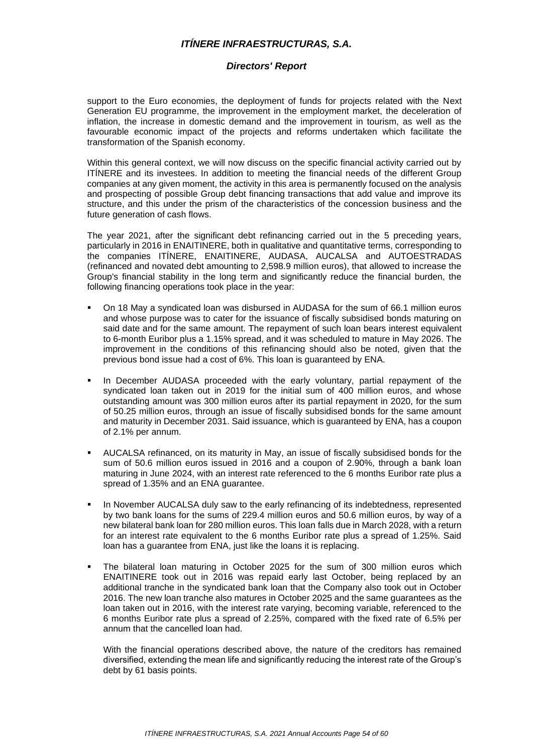### *Directors' Report*

support to the Euro economies, the deployment of funds for projects related with the Next Generation EU programme, the improvement in the employment market, the deceleration of inflation, the increase in domestic demand and the improvement in tourism, as well as the favourable economic impact of the projects and reforms undertaken which facilitate the transformation of the Spanish economy.

Within this general context, we will now discuss on the specific financial activity carried out by ITÍNERE and its investees. In addition to meeting the financial needs of the different Group companies at any given moment, the activity in this area is permanently focused on the analysis and prospecting of possible Group debt financing transactions that add value and improve its structure, and this under the prism of the characteristics of the concession business and the future generation of cash flows.

The year 2021, after the significant debt refinancing carried out in the 5 preceding years, particularly in 2016 in ENAITINERE, both in qualitative and quantitative terms, corresponding to the companies ITÍNERE, ENAITINERE, AUDASA, AUCALSA and AUTOESTRADAS (refinanced and novated debt amounting to 2,598.9 million euros), that allowed to increase the Group's financial stability in the long term and significantly reduce the financial burden, the following financing operations took place in the year:

- **•** On 18 May a syndicated loan was disbursed in AUDASA for the sum of 66.1 million euros and whose purpose was to cater for the issuance of fiscally subsidised bonds maturing on said date and for the same amount. The repayment of such loan bears interest equivalent to 6-month Euribor plus a 1.15% spread, and it was scheduled to mature in May 2026. The improvement in the conditions of this refinancing should also be noted, given that the previous bond issue had a cost of 6%. This loan is guaranteed by ENA.
- In December AUDASA proceeded with the early voluntary, partial repayment of the syndicated loan taken out in 2019 for the initial sum of 400 million euros, and whose outstanding amount was 300 million euros after its partial repayment in 2020, for the sum of 50.25 million euros, through an issue of fiscally subsidised bonds for the same amount and maturity in December 2031. Said issuance, which is guaranteed by ENA, has a coupon of 2.1% per annum.
- AUCALSA refinanced, on its maturity in May, an issue of fiscally subsidised bonds for the sum of 50.6 million euros issued in 2016 and a coupon of 2.90%, through a bank loan maturing in June 2024, with an interest rate referenced to the 6 months Euribor rate plus a spread of 1.35% and an ENA guarantee.
- In November AUCALSA duly saw to the early refinancing of its indebtedness, represented by two bank loans for the sums of 229.4 million euros and 50.6 million euros, by way of a new bilateral bank loan for 280 million euros. This loan falls due in March 2028, with a return for an interest rate equivalent to the 6 months Euribor rate plus a spread of 1.25%. Said loan has a guarantee from ENA, just like the loans it is replacing.
- The bilateral loan maturing in October 2025 for the sum of 300 million euros which ENAITINERE took out in 2016 was repaid early last October, being replaced by an additional tranche in the syndicated bank loan that the Company also took out in October 2016. The new loan tranche also matures in October 2025 and the same guarantees as the loan taken out in 2016, with the interest rate varying, becoming variable, referenced to the 6 months Euribor rate plus a spread of 2.25%, compared with the fixed rate of 6.5% per annum that the cancelled loan had.

With the financial operations described above, the nature of the creditors has remained diversified, extending the mean life and significantly reducing the interest rate of the Group's debt by 61 basis points.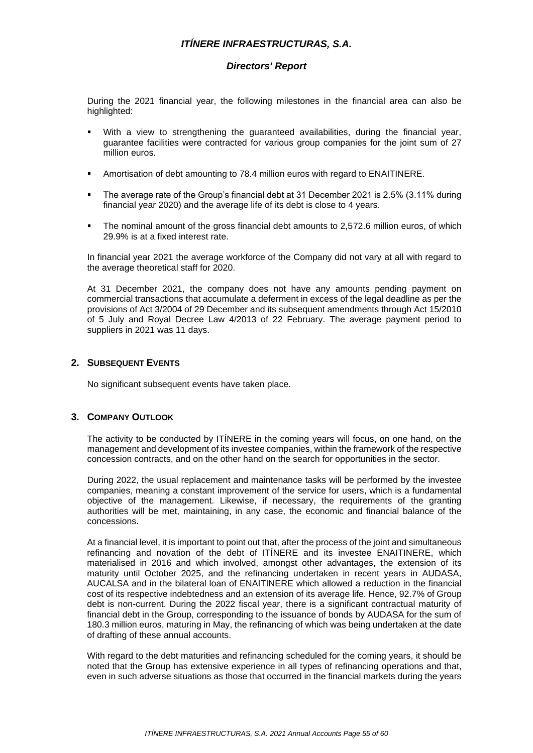# *Directors' Report*

During the 2021 financial year, the following milestones in the financial area can also be highlighted:

- With a view to strengthening the guaranteed availabilities, during the financial year, guarantee facilities were contracted for various group companies for the joint sum of 27 million euros.
- Amortisation of debt amounting to 78.4 million euros with regard to ENAITINERE.
- The average rate of the Group's financial debt at 31 December 2021 is 2.5% (3.11% during financial year 2020) and the average life of its debt is close to 4 years.
- **•** The nominal amount of the gross financial debt amounts to 2,572.6 million euros, of which 29.9% is at a fixed interest rate.

In financial year 2021 the average workforce of the Company did not vary at all with regard to the average theoretical staff for 2020.

At 31 December 2021, the company does not have any amounts pending payment on commercial transactions that accumulate a deferment in excess of the legal deadline as per the provisions of Act 3/2004 of 29 December and its subsequent amendments through Act 15/2010 of 5 July and Royal Decree Law 4/2013 of 22 February. The average payment period to suppliers in 2021 was 11 days.

## **2. SUBSEQUENT EVENTS**

No significant subsequent events have taken place.

## **3. COMPANY OUTLOOK**

The activity to be conducted by ITÍNERE in the coming years will focus, on one hand, on the management and development of its investee companies, within the framework of the respective concession contracts, and on the other hand on the search for opportunities in the sector.

During 2022, the usual replacement and maintenance tasks will be performed by the investee companies, meaning a constant improvement of the service for users, which is a fundamental objective of the management. Likewise, if necessary, the requirements of the granting authorities will be met, maintaining, in any case, the economic and financial balance of the concessions.

At a financial level, it is important to point out that, after the process of the joint and simultaneous refinancing and novation of the debt of ITÍNERE and its investee ENAITINERE, which materialised in 2016 and which involved, amongst other advantages, the extension of its maturity until October 2025, and the refinancing undertaken in recent years in AUDASA, AUCALSA and in the bilateral loan of ENAITINERE which allowed a reduction in the financial cost of its respective indebtedness and an extension of its average life. Hence, 92.7% of Group debt is non-current. During the 2022 fiscal year, there is a significant contractual maturity of financial debt in the Group, corresponding to the issuance of bonds by AUDASA for the sum of 180.3 million euros, maturing in May, the refinancing of which was being undertaken at the date of drafting of these annual accounts.

With regard to the debt maturities and refinancing scheduled for the coming years, it should be noted that the Group has extensive experience in all types of refinancing operations and that, even in such adverse situations as those that occurred in the financial markets during the years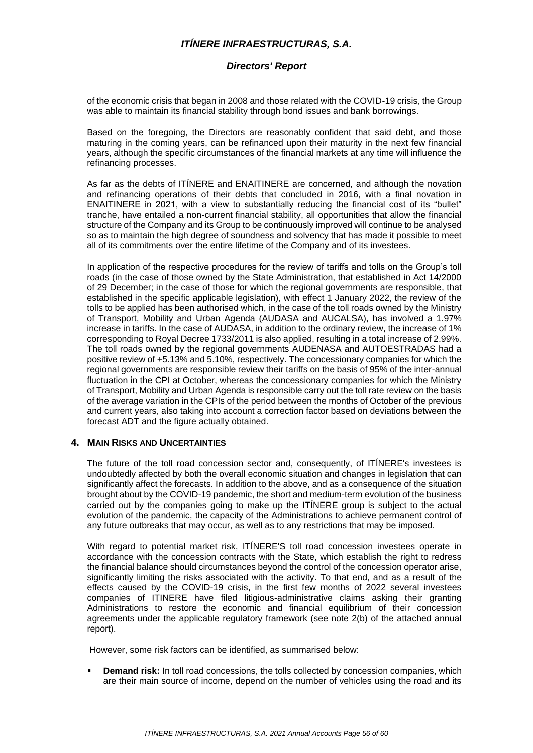# *Directors' Report*

of the economic crisis that began in 2008 and those related with the COVID-19 crisis, the Group was able to maintain its financial stability through bond issues and bank borrowings.

Based on the foregoing, the Directors are reasonably confident that said debt, and those maturing in the coming years, can be refinanced upon their maturity in the next few financial years, although the specific circumstances of the financial markets at any time will influence the refinancing processes.

As far as the debts of ITÍNERE and ENAITINERE are concerned, and although the novation and refinancing operations of their debts that concluded in 2016, with a final novation in ENAITINERE in 2021, with a view to substantially reducing the financial cost of its "bullet" tranche, have entailed a non-current financial stability, all opportunities that allow the financial structure of the Company and its Group to be continuously improved will continue to be analysed so as to maintain the high degree of soundness and solvency that has made it possible to meet all of its commitments over the entire lifetime of the Company and of its investees.

In application of the respective procedures for the review of tariffs and tolls on the Group's toll roads (in the case of those owned by the State Administration, that established in Act 14/2000 of 29 December; in the case of those for which the regional governments are responsible, that established in the specific applicable legislation), with effect 1 January 2022, the review of the tolls to be applied has been authorised which, in the case of the toll roads owned by the Ministry of Transport, Mobility and Urban Agenda (AUDASA and AUCALSA), has involved a 1.97% increase in tariffs. In the case of AUDASA, in addition to the ordinary review, the increase of 1% corresponding to Royal Decree 1733/2011 is also applied, resulting in a total increase of 2.99%. The toll roads owned by the regional governments AUDENASA and AUTOESTRADAS had a positive review of +5.13% and 5.10%, respectively. The concessionary companies for which the regional governments are responsible review their tariffs on the basis of 95% of the inter-annual fluctuation in the CPI at October, whereas the concessionary companies for which the Ministry of Transport, Mobility and Urban Agenda is responsible carry out the toll rate review on the basis of the average variation in the CPIs of the period between the months of October of the previous and current years, also taking into account a correction factor based on deviations between the forecast ADT and the figure actually obtained.

## **4. MAIN RISKS AND UNCERTAINTIES**

The future of the toll road concession sector and, consequently, of ITÍNERE's investees is undoubtedly affected by both the overall economic situation and changes in legislation that can significantly affect the forecasts. In addition to the above, and as a consequence of the situation brought about by the COVID-19 pandemic, the short and medium-term evolution of the business carried out by the companies going to make up the ITÍNERE group is subject to the actual evolution of the pandemic, the capacity of the Administrations to achieve permanent control of any future outbreaks that may occur, as well as to any restrictions that may be imposed.

With regard to potential market risk, ITÍNERE'S toll road concession investees operate in accordance with the concession contracts with the State, which establish the right to redress the financial balance should circumstances beyond the control of the concession operator arise, significantly limiting the risks associated with the activity. To that end, and as a result of the effects caused by the COVID-19 crisis, in the first few months of 2022 several investees companies of ITINERE have filed litigious-administrative claims asking their granting Administrations to restore the economic and financial equilibrium of their concession agreements under the applicable regulatory framework (see note 2(b) of the attached annual report).

However, some risk factors can be identified, as summarised below:

**Demand risk:** In toll road concessions, the tolls collected by concession companies, which are their main source of income, depend on the number of vehicles using the road and its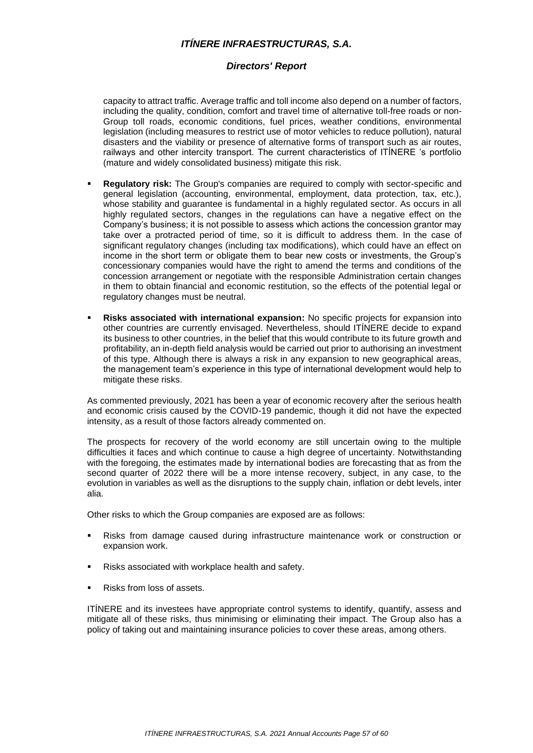# *Directors' Report*

capacity to attract traffic. Average traffic and toll income also depend on a number of factors, including the quality, condition, comfort and travel time of alternative toll-free roads or non-Group toll roads, economic conditions, fuel prices, weather conditions, environmental legislation (including measures to restrict use of motor vehicles to reduce pollution), natural disasters and the viability or presence of alternative forms of transport such as air routes, railways and other intercity transport. The current characteristics of ITÍNERE 's portfolio (mature and widely consolidated business) mitigate this risk.

- **Regulatory risk:** The Group's companies are required to comply with sector-specific and general legislation (accounting, environmental, employment, data protection, tax, etc.), whose stability and guarantee is fundamental in a highly regulated sector. As occurs in all highly regulated sectors, changes in the regulations can have a negative effect on the Company's business; it is not possible to assess which actions the concession grantor may take over a protracted period of time, so it is difficult to address them. In the case of significant regulatory changes (including tax modifications), which could have an effect on income in the short term or obligate them to bear new costs or investments, the Group's concessionary companies would have the right to amend the terms and conditions of the concession arrangement or negotiate with the responsible Administration certain changes in them to obtain financial and economic restitution, so the effects of the potential legal or regulatory changes must be neutral.
- **EXEL Risks associated with international expansion:** No specific projects for expansion into other countries are currently envisaged. Nevertheless, should ITÍNERE decide to expand its business to other countries, in the belief that this would contribute to its future growth and profitability, an in-depth field analysis would be carried out prior to authorising an investment of this type. Although there is always a risk in any expansion to new geographical areas, the management team's experience in this type of international development would help to mitigate these risks.

As commented previously, 2021 has been a year of economic recovery after the serious health and economic crisis caused by the COVID-19 pandemic, though it did not have the expected intensity, as a result of those factors already commented on.

The prospects for recovery of the world economy are still uncertain owing to the multiple difficulties it faces and which continue to cause a high degree of uncertainty. Notwithstanding with the foregoing, the estimates made by international bodies are forecasting that as from the second quarter of 2022 there will be a more intense recovery, subject, in any case, to the evolution in variables as well as the disruptions to the supply chain, inflation or debt levels, inter alia.

Other risks to which the Group companies are exposed are as follows:

- Risks from damage caused during infrastructure maintenance work or construction or expansion work.
- Risks associated with workplace health and safety.
- Risks from loss of assets.

ITÍNERE and its investees have appropriate control systems to identify, quantify, assess and mitigate all of these risks, thus minimising or eliminating their impact. The Group also has a policy of taking out and maintaining insurance policies to cover these areas, among others.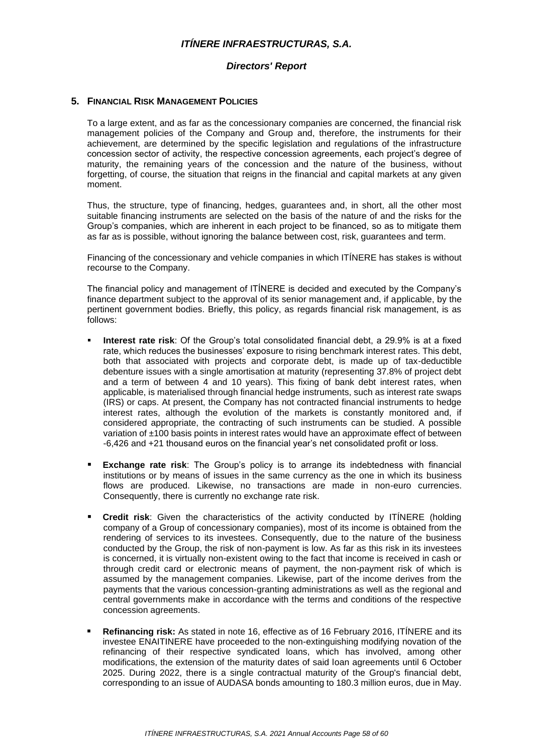### *Directors' Report*

# **5. FINANCIAL RISK MANAGEMENT POLICIES**

To a large extent, and as far as the concessionary companies are concerned, the financial risk management policies of the Company and Group and, therefore, the instruments for their achievement, are determined by the specific legislation and regulations of the infrastructure concession sector of activity, the respective concession agreements, each project's degree of maturity, the remaining years of the concession and the nature of the business, without forgetting, of course, the situation that reigns in the financial and capital markets at any given moment.

Thus, the structure, type of financing, hedges, guarantees and, in short, all the other most suitable financing instruments are selected on the basis of the nature of and the risks for the Group's companies, which are inherent in each project to be financed, so as to mitigate them as far as is possible, without ignoring the balance between cost, risk, guarantees and term.

Financing of the concessionary and vehicle companies in which ITÍNERE has stakes is without recourse to the Company.

The financial policy and management of ITÍNERE is decided and executed by the Company's finance department subject to the approval of its senior management and, if applicable, by the pertinent government bodies. Briefly, this policy, as regards financial risk management, is as follows:

- **Interest rate risk:** Of the Group's total consolidated financial debt, a 29.9% is at a fixed rate, which reduces the businesses' exposure to rising benchmark interest rates. This debt, both that associated with projects and corporate debt, is made up of tax-deductible debenture issues with a single amortisation at maturity (representing 37.8% of project debt and a term of between 4 and 10 years). This fixing of bank debt interest rates, when applicable, is materialised through financial hedge instruments, such as interest rate swaps (IRS) or caps. At present, the Company has not contracted financial instruments to hedge interest rates, although the evolution of the markets is constantly monitored and, if considered appropriate, the contracting of such instruments can be studied. A possible variation of ±100 basis points in interest rates would have an approximate effect of between -6,426 and +21 thousand euros on the financial year's net consolidated profit or loss.
- **Exchange rate risk**: The Group's policy is to arrange its indebtedness with financial institutions or by means of issues in the same currency as the one in which its business flows are produced. Likewise, no transactions are made in non-euro currencies. Consequently, there is currently no exchange rate risk.
- **Credit risk:** Given the characteristics of the activity conducted by ITINERE (holding company of a Group of concessionary companies), most of its income is obtained from the rendering of services to its investees. Consequently, due to the nature of the business conducted by the Group, the risk of non-payment is low. As far as this risk in its investees is concerned, it is virtually non-existent owing to the fact that income is received in cash or through credit card or electronic means of payment, the non-payment risk of which is assumed by the management companies. Likewise, part of the income derives from the payments that the various concession-granting administrations as well as the regional and central governments make in accordance with the terms and conditions of the respective concession agreements.
- **Refinancing risk:** As stated in note 16, effective as of 16 February 2016, ITINERE and its investee ENAITINERE have proceeded to the non-extinguishing modifying novation of the refinancing of their respective syndicated loans, which has involved, among other modifications, the extension of the maturity dates of said loan agreements until 6 October 2025. During 2022, there is a single contractual maturity of the Group's financial debt, corresponding to an issue of AUDASA bonds amounting to 180.3 million euros, due in May.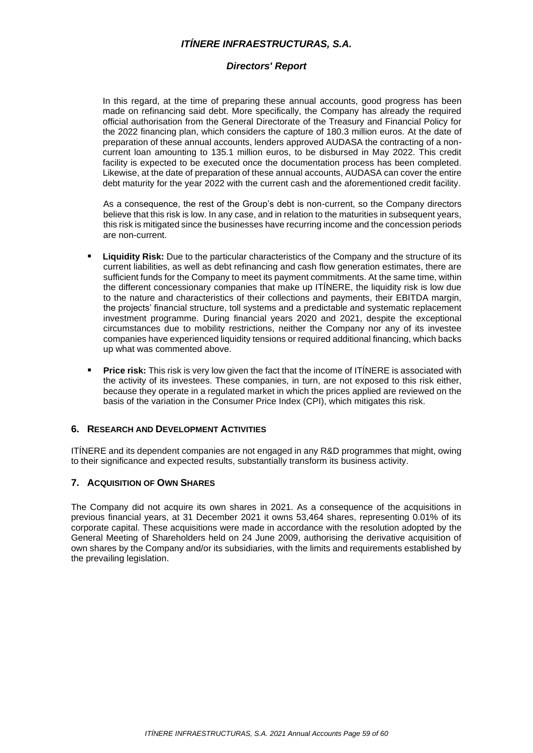# *Directors' Report*

In this regard, at the time of preparing these annual accounts, good progress has been made on refinancing said debt. More specifically, the Company has already the required official authorisation from the General Directorate of the Treasury and Financial Policy for the 2022 financing plan, which considers the capture of 180.3 million euros. At the date of preparation of these annual accounts, lenders approved AUDASA the contracting of a noncurrent loan amounting to 135.1 million euros, to be disbursed in May 2022. This credit facility is expected to be executed once the documentation process has been completed. Likewise, at the date of preparation of these annual accounts, AUDASA can cover the entire debt maturity for the year 2022 with the current cash and the aforementioned credit facility.

As a consequence, the rest of the Group's debt is non-current, so the Company directors believe that this risk is low. In any case, and in relation to the maturities in subsequent years, this risk is mitigated since the businesses have recurring income and the concession periods are non-current.

- **Liquidity Risk:** Due to the particular characteristics of the Company and the structure of its current liabilities, as well as debt refinancing and cash flow generation estimates, there are sufficient funds for the Company to meet its payment commitments. At the same time, within the different concessionary companies that make up ITÍNERE, the liquidity risk is low due to the nature and characteristics of their collections and payments, their EBITDA margin, the projects' financial structure, toll systems and a predictable and systematic replacement investment programme. During financial years 2020 and 2021, despite the exceptional circumstances due to mobility restrictions, neither the Company nor any of its investee companies have experienced liquidity tensions or required additional financing, which backs up what was commented above.
- **Price risk:** This risk is very low given the fact that the income of ITINERE is associated with the activity of its investees. These companies, in turn, are not exposed to this risk either, because they operate in a regulated market in which the prices applied are reviewed on the basis of the variation in the Consumer Price Index (CPI), which mitigates this risk.

## **6. RESEARCH AND DEVELOPMENT ACTIVITIES**

ITÍNERE and its dependent companies are not engaged in any R&D programmes that might, owing to their significance and expected results, substantially transform its business activity.

## **7. ACQUISITION OF OWN SHARES**

The Company did not acquire its own shares in 2021. As a consequence of the acquisitions in previous financial years, at 31 December 2021 it owns 53,464 shares, representing 0.01% of its corporate capital. These acquisitions were made in accordance with the resolution adopted by the General Meeting of Shareholders held on 24 June 2009, authorising the derivative acquisition of own shares by the Company and/or its subsidiaries, with the limits and requirements established by the prevailing legislation.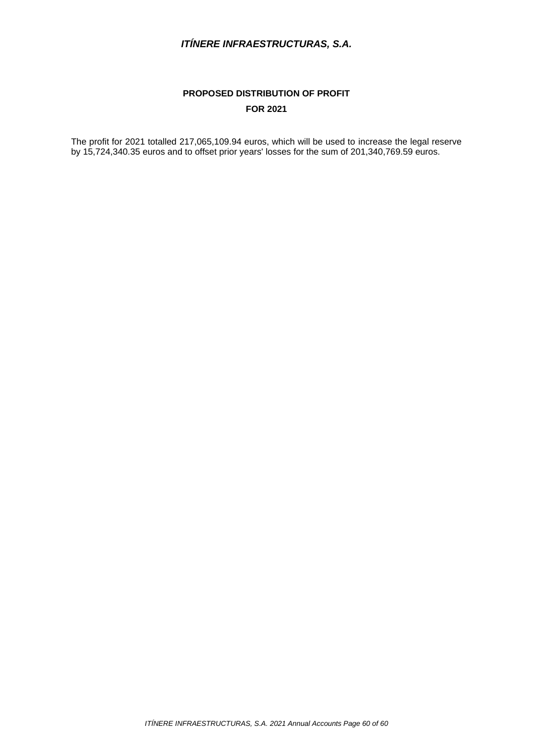# **PROPOSED DISTRIBUTION OF PROFIT**

# **FOR 2021**

The profit for 2021 totalled 217,065,109.94 euros, which will be used to increase the legal reserve by 15,724,340.35 euros and to offset prior years' losses for the sum of 201,340,769.59 euros.